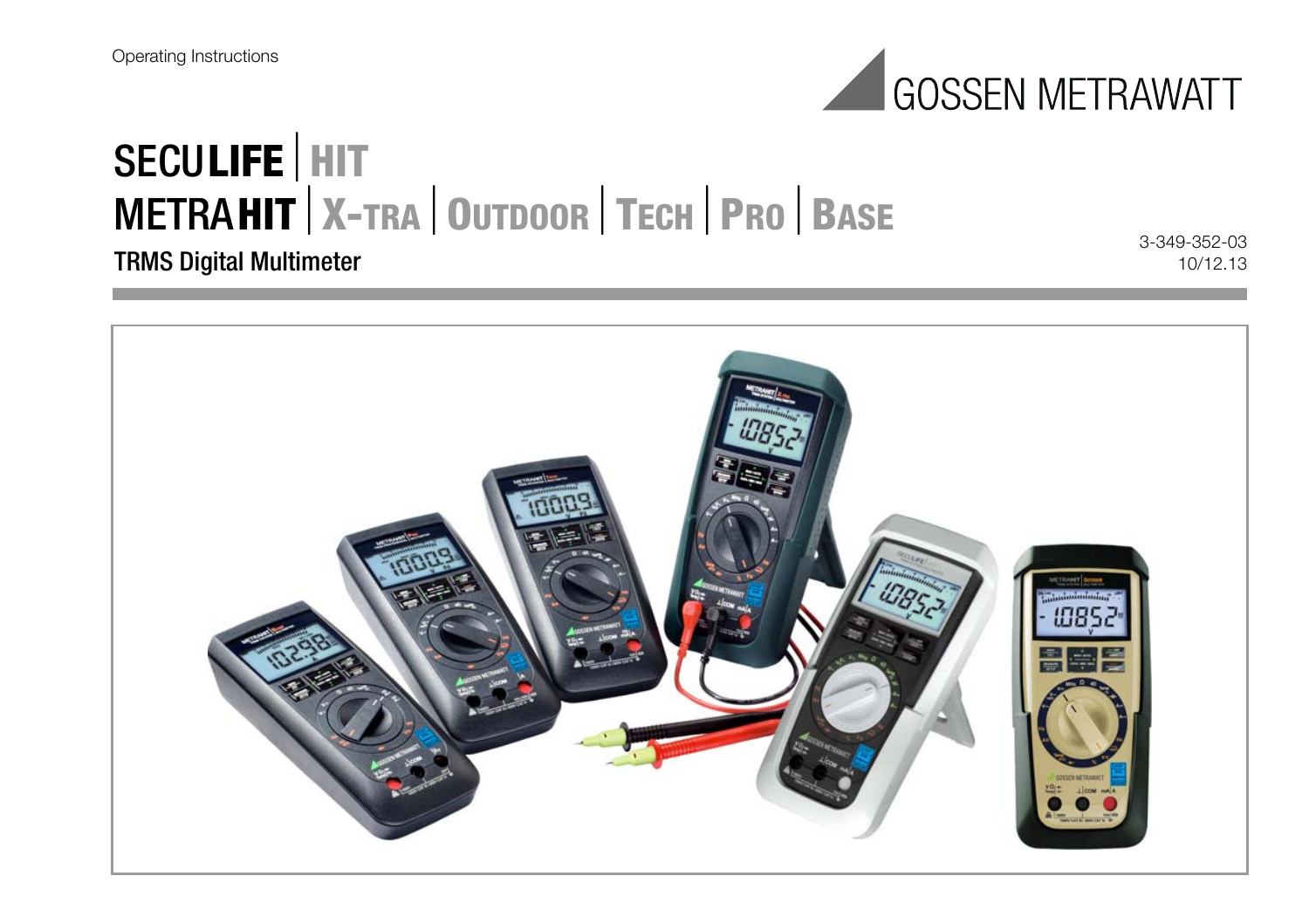

# SECU**LIFEHIT** METRA**HITX-TRAOUTDOORTECHPROBASE**

# TRMS Digital Multimeter

3-349-352-03 10/12.13

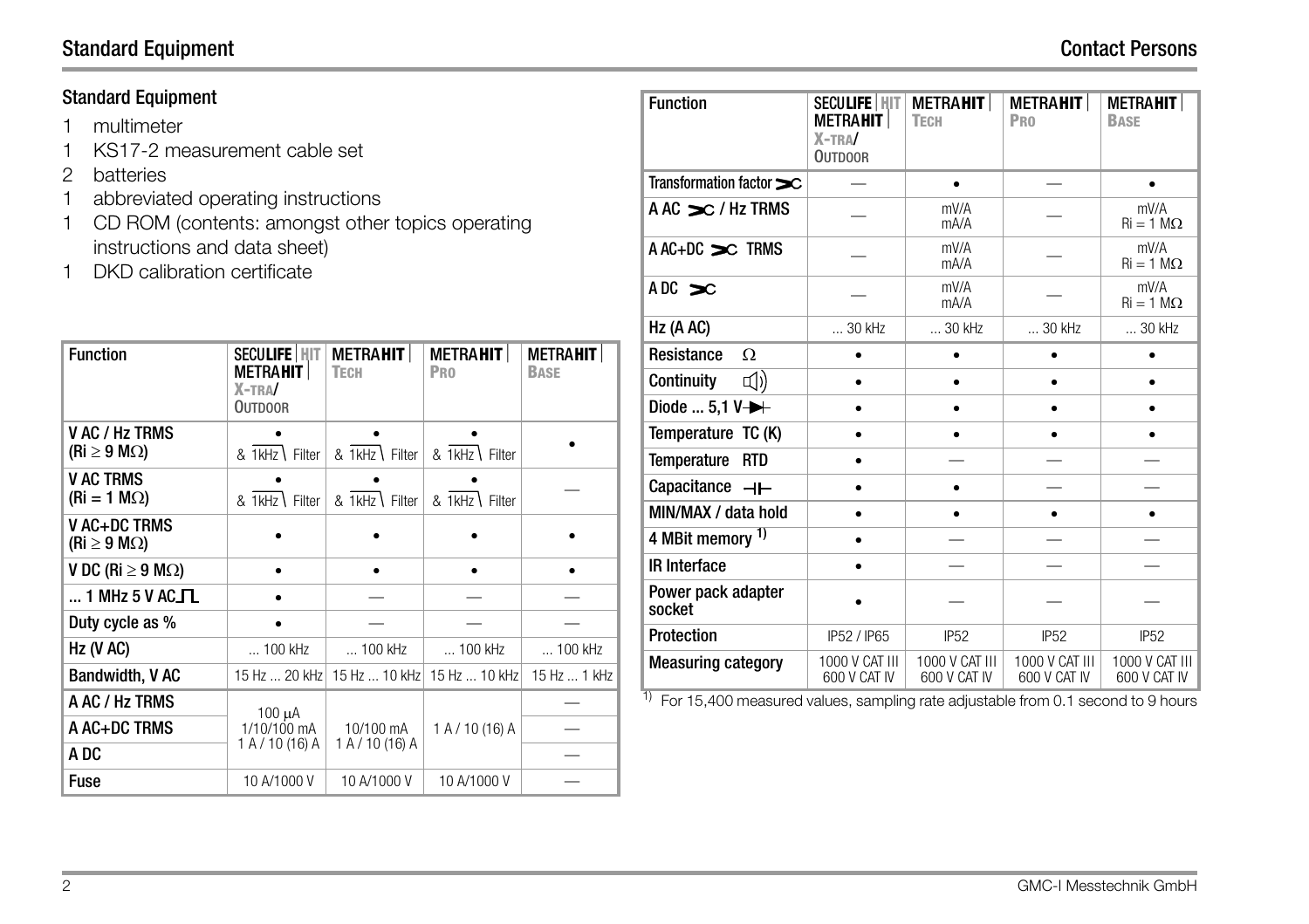# Standard Equipment Contact Persons

#### <span id="page-1-0"></span>Standard Equipment

- 1 multimeter
- 1 KS17-2 measurement cable set
- 2 batteries
- 1 abbreviated operating instructions
- 1 CD ROM (contents: amongst other topics operating instructions and data sheet)
- 1 DKD calibration certificate

| <b>Function</b>                              | <b>SECULIFE   HIT</b><br><b>METRAHIT</b><br>$X-TRA$<br><b>OUTDOOR</b> | <b>METRAHIT</b><br><b>TECH</b>                | <b>METRAHIT</b><br>PRO | <b>METRAHIT</b><br><b>BASE</b> |
|----------------------------------------------|-----------------------------------------------------------------------|-----------------------------------------------|------------------------|--------------------------------|
| V AC / Hz TRMS<br>$(Ri \geq 9 M\Omega)$      | & 1kHz \ Filter                                                       | & 1kHz   Filter                               | & 1kHz   Filter        |                                |
| <b>V AC TRMS</b><br>$(Ri = 1 M\Omega)$       | & 1kHz \ Filter                                                       | & 1kHz   Filter                               | & 1kHz   Filter        |                                |
| <b>V AC+DC TRMS</b><br>$(Ri \geq 9 M\Omega)$ |                                                                       |                                               |                        |                                |
| V DC (Ri $\geq$ 9 M $\Omega$ )               |                                                                       |                                               |                        |                                |
| $$ 1 MHz 5 V AC. $\Pi$                       |                                                                       |                                               |                        |                                |
| Duty cycle as %                              |                                                                       |                                               |                        |                                |
| Hz (V AC)                                    | $ 100$ kHz                                                            | $ 100$ kHz                                    | $ 100$ kHz             | $ 100$ kHz                     |
| Bandwidth, V AC                              |                                                                       | 15 Hz  20 kHz   15 Hz  10 kHz   15 Hz  10 kHz |                        | 15 Hz  1 kHz                   |
| A AC / Hz TRMS                               | 100 µA                                                                |                                               |                        |                                |
| A AC+DC TRMS                                 | 1/10/100 mA                                                           | 10/100 mA                                     | 1 A / 10 (16) A        |                                |
| A DC                                         | 1 A / 10 (16) A                                                       | 1 A / 10 (16) A                               |                        |                                |
| Fuse                                         | 10 A/1000 V                                                           | 10 A/1000 V                                   | 10 A/1000 V            |                                |

| <b>Function</b>                | <b>SECULIFE   HIT</b><br><b>METRAHIT</b><br>X-TRA | <b>METRAHIT</b><br>Тесн        | <b>METRAHIT</b><br>PRO         | <b>METRAHIT</b><br><b>BASE</b>          |  |
|--------------------------------|---------------------------------------------------|--------------------------------|--------------------------------|-----------------------------------------|--|
|                                | <b>OUTDOOR</b>                                    |                                |                                |                                         |  |
| Transformation factor $\infty$ |                                                   |                                |                                |                                         |  |
| A AC $\infty$ / Hz TRMS        |                                                   | mV/A<br>mA/A                   |                                | mV/A<br>$\text{Ri} = 1 \text{ M}\Omega$ |  |
| $A AC+DC \geq C$ TRMS          |                                                   | mV/A<br>mA/A                   |                                | mV/A<br>$\text{Ri} = 1 \text{ M}\Omega$ |  |
| $ADC \geq C$                   |                                                   | mV/A<br>mA/A                   |                                | mV/A<br>$\text{Ri} = 1 \text{ M}\Omega$ |  |
| Hz (A AC)                      | $ 30$ kHz                                         | $ 30$ kHz                      | $ 30$ kHz                      | $ 30$ kHz                               |  |
| Resistance<br>$\Omega$         | ٠                                                 | ٠                              | ٠                              | ٠                                       |  |
| [()]<br>Continuity             |                                                   |                                | $\bullet$                      |                                         |  |
| Diode $5,1$ V-                 |                                                   |                                |                                |                                         |  |
| Temperature TC (K)             |                                                   |                                |                                |                                         |  |
| Temperature<br><b>RTD</b>      |                                                   |                                |                                |                                         |  |
| Capacitance -                  |                                                   |                                |                                |                                         |  |
| MIN/MAX / data hold            |                                                   |                                |                                |                                         |  |
| 4 MBit memory <sup>1)</sup>    | ٠                                                 |                                |                                |                                         |  |
| <b>IR Interface</b>            |                                                   |                                |                                |                                         |  |
| Power pack adapter<br>socket   |                                                   |                                |                                |                                         |  |
| Protection                     | IP52 / IP65                                       | <b>IP52</b>                    | IP <sub>52</sub>               | <b>IP52</b>                             |  |
| <b>Measuring category</b>      | 1000 V CAT III<br>600 V CAT IV                    | 1000 V CAT III<br>600 V CAT IV | 1000 V CAT III<br>600 V CAT IV | 1000 V CAT III<br>600 V CAT IV          |  |

 $1)$  For 15,400 measured values, sampling rate adjustable from 0.1 second to 9 hours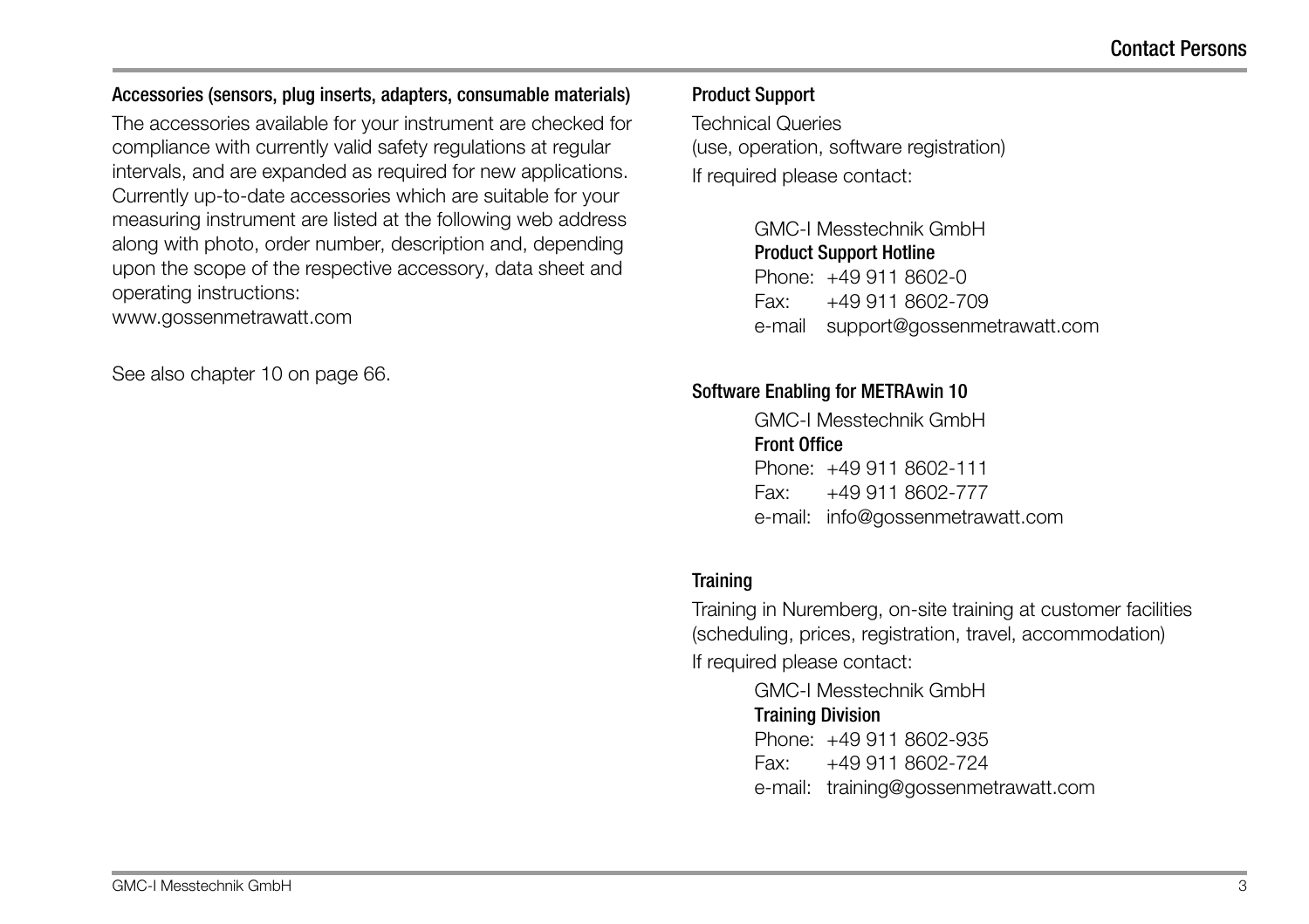#### Accessories (sensors, plug inserts, adapters, consumable materials)

The accessories available for your instrument are checked for compliance with currently valid safety regulations at regular intervals, and are expanded as required for new applications. Currently up-to-date accessories which are suitable for your measuring instrument are listed at the following web address along with photo, order number, description and, depending upon the scope of the respective accessory, data sheet and operating instructions:

www.gossenmetrawatt.com

See also [chapter 10 on page 66](#page-65-0).

#### <span id="page-2-0"></span>Product Support

Technical Queries (use, operation, software registration) If required please contact:

> <span id="page-2-1"></span>GMC-I Messtechnik GmbH Product Support Hotline Phone: +49 911 8602-0 Fax: +49 911 8602-709 e-mail support@gossenmetrawatt.com

#### <span id="page-2-2"></span>Software Enabling for METRAwin 10

GMC-I Messtechnik GmbH Front Office Phone: +49 911 8602-111 Fax: +49 911 8602-777 e-mail: info@gossenmetrawatt.com

#### <span id="page-2-3"></span>**Training**

Training in Nuremberg, on-site training at customer facilities (scheduling, prices, registration, travel, accommodation) If required please contact:

> GMC-I Messtechnik GmbH Training Division Phone: +49 911 8602-935 Fax: +49 911 8602-724 e-mail: training@gossenmetrawatt.com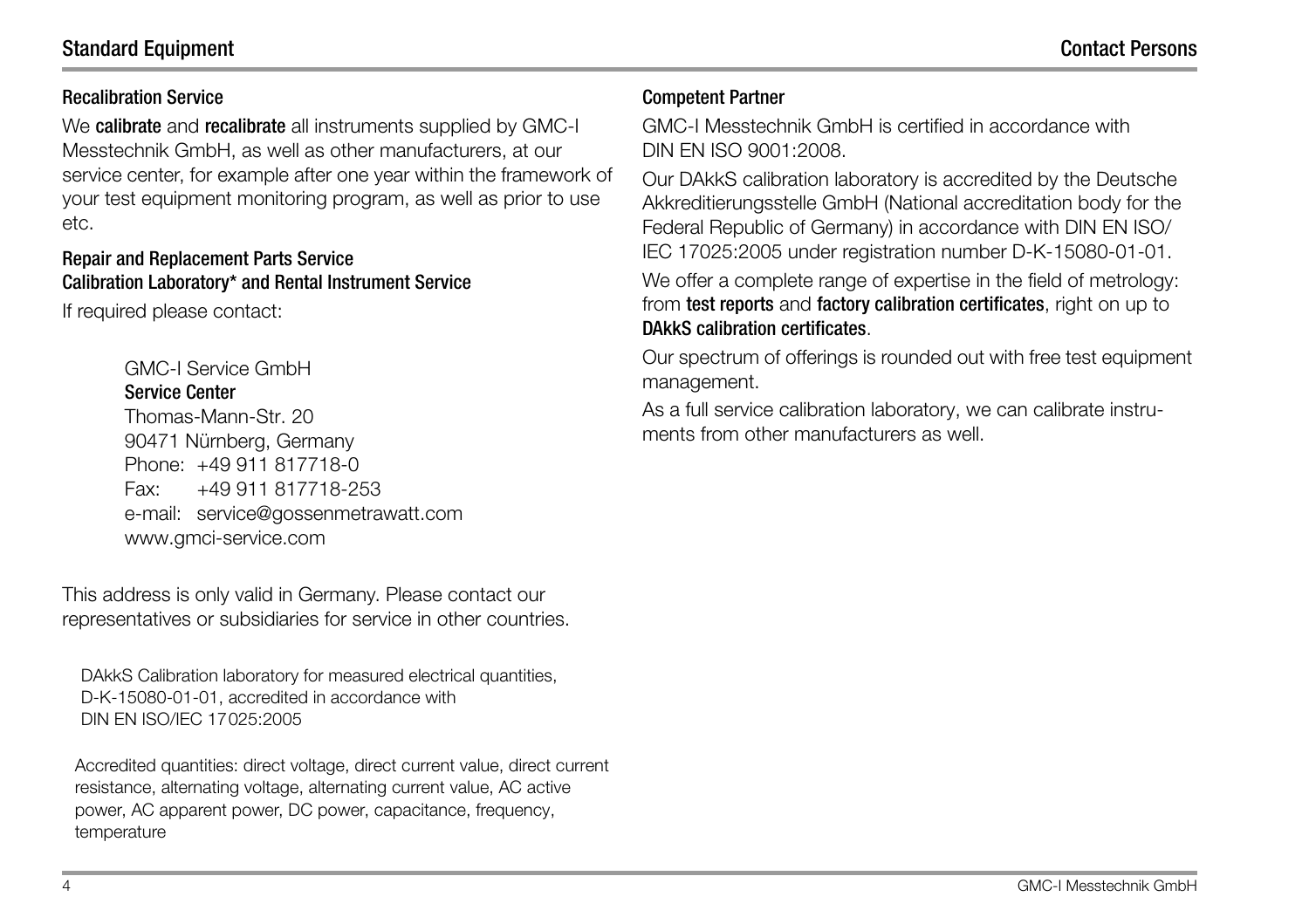#### <span id="page-3-1"></span>Recalibration Service

We calibrate and recalibrate all instruments supplied by GMC-I Messtechnik GmbH, as well as other manufacturers, at our service center, for example after one year within the framework of your test equipment monitoring program, as well as prior to use etc.

#### <span id="page-3-0"></span>Repair and Replacement Parts Service Calibration Laboratory\* and Rental Instrument Service

If required please contact:

<span id="page-3-2"></span>GMC-I Service GmbH Service Center Thomas-Mann-Str. 20 90471 Nürnberg, Germany Phone: +49 911 817718-0 Fax: +49 911 817718-253 e-mail: service@gossenmetrawatt.com www.gmci-service.com

This address is only valid in Germany. Please contact our representatives or subsidiaries for service in other countries.

DAkkS Calibration laboratory for measured electrical quantities, D-K-15080-01-01, accredited in accordance with DIN EN ISO/IEC 17025:2005

Accredited quantities: direct voltage, direct current value, direct current resistance, alternating voltage, alternating current value, AC active power, AC apparent power, DC power, capacitance, frequency, temperature

#### Competent Partner

GMC-I Messtechnik GmbH is certified in accordance with DIN EN ISO 9001:2008.

Our DAkkS calibration laboratory is accredited by the Deutsche Akkreditierungsstelle GmbH (National accreditation body for the Federal Republic of Germany) in accordance with DIN EN ISO/ IEC 17025:2005 under registration number D-K-15080-01-01.

We offer a complete range of expertise in the field of metrology: from test reports and factory calibration certificates, right on up to DAkkS calibration certificates.

Our spectrum of offerings is rounded out with free test equipment management.

As a full service calibration laboratory, we can calibrate instruments from other manufacturers as well.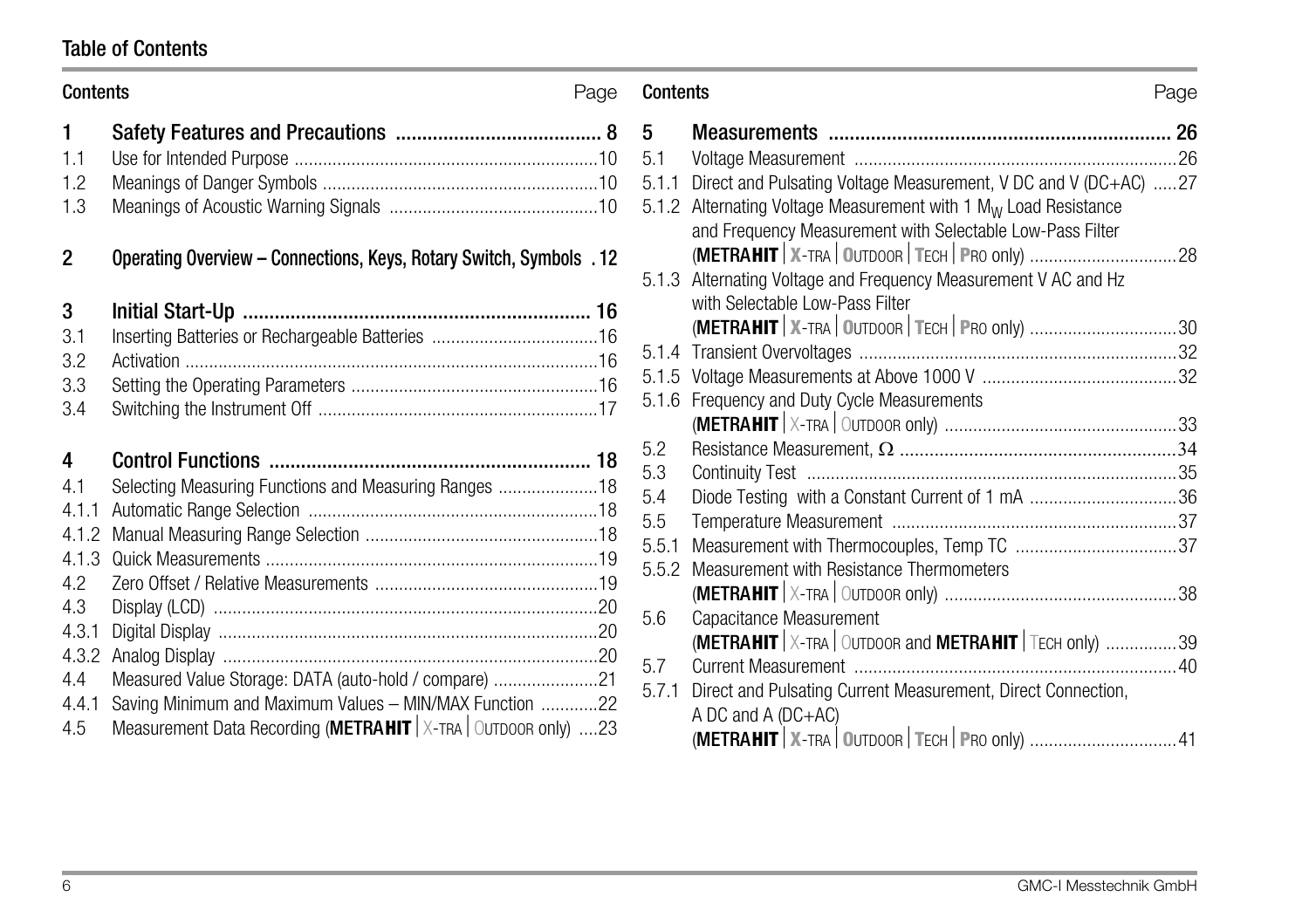# Table of Contents

| <b>Contents</b>                                   | Page                                                                                                                                                                                | Contents                          |                                                                                                                                                                                                                                | Page |
|---------------------------------------------------|-------------------------------------------------------------------------------------------------------------------------------------------------------------------------------------|-----------------------------------|--------------------------------------------------------------------------------------------------------------------------------------------------------------------------------------------------------------------------------|------|
| 1.<br>1.1<br>1.2<br>1.3<br>$\overline{2}$         | Operating Overview - Connections, Keys, Rotary Switch, Symbols . 12                                                                                                                 | 5<br>5.1<br>5.1.1                 | Direct and Pulsating Voltage Measurement, V DC and V (DC+AC) 27<br>5.1.2 Alternating Voltage Measurement with 1 M <sub>W</sub> Load Resistance<br>and Frequency Measurement with Selectable Low-Pass Filter                    |      |
| 3<br>3.1<br>3.2<br>3.3<br>3.4                     |                                                                                                                                                                                     |                                   | 5.1.3 Alternating Voltage and Frequency Measurement V AC and Hz<br>with Selectable Low-Pass Filter<br>(METRAHIT   X-TRA   OUTDOOR   TECH   PRO ONly) 30<br>5.1.6 Frequency and Duty Cycle Measurements                         |      |
| 4<br>4.1<br>4.1.1<br>4.1.2<br>4.1.3<br>4.2<br>4.3 | Selecting Measuring Functions and Measuring Ranges 18                                                                                                                               | 5.2<br>5.3<br>5.4<br>5.5<br>5.5.1 | Diode Testing with a Constant Current of 1 mA 36<br>5.5.2 Measurement with Resistance Thermometers                                                                                                                             |      |
| 4.3.1<br>4.3.2<br>4.4<br>4.4.1<br>4.5             | Measured Value Storage: DATA (auto-hold / compare) 21<br>Saving Minimum and Maximum Values - MIN/MAX Function 22<br>Measurement Data Recording (METRAHIT $ X-TRA $ OUTDOOR only) 23 | 5.6<br>5.7<br>5.7.1               | Capacitance Measurement<br>(METRAHIT   X-TRA   OUTDOOR and METRAHIT   TECH ONly) 39<br>Direct and Pulsating Current Measurement, Direct Connection,<br>A DC and A (DC+AC)<br>(METRAHIT   X-TRA   OUTDOOR   TECH   PRO ONly) 41 |      |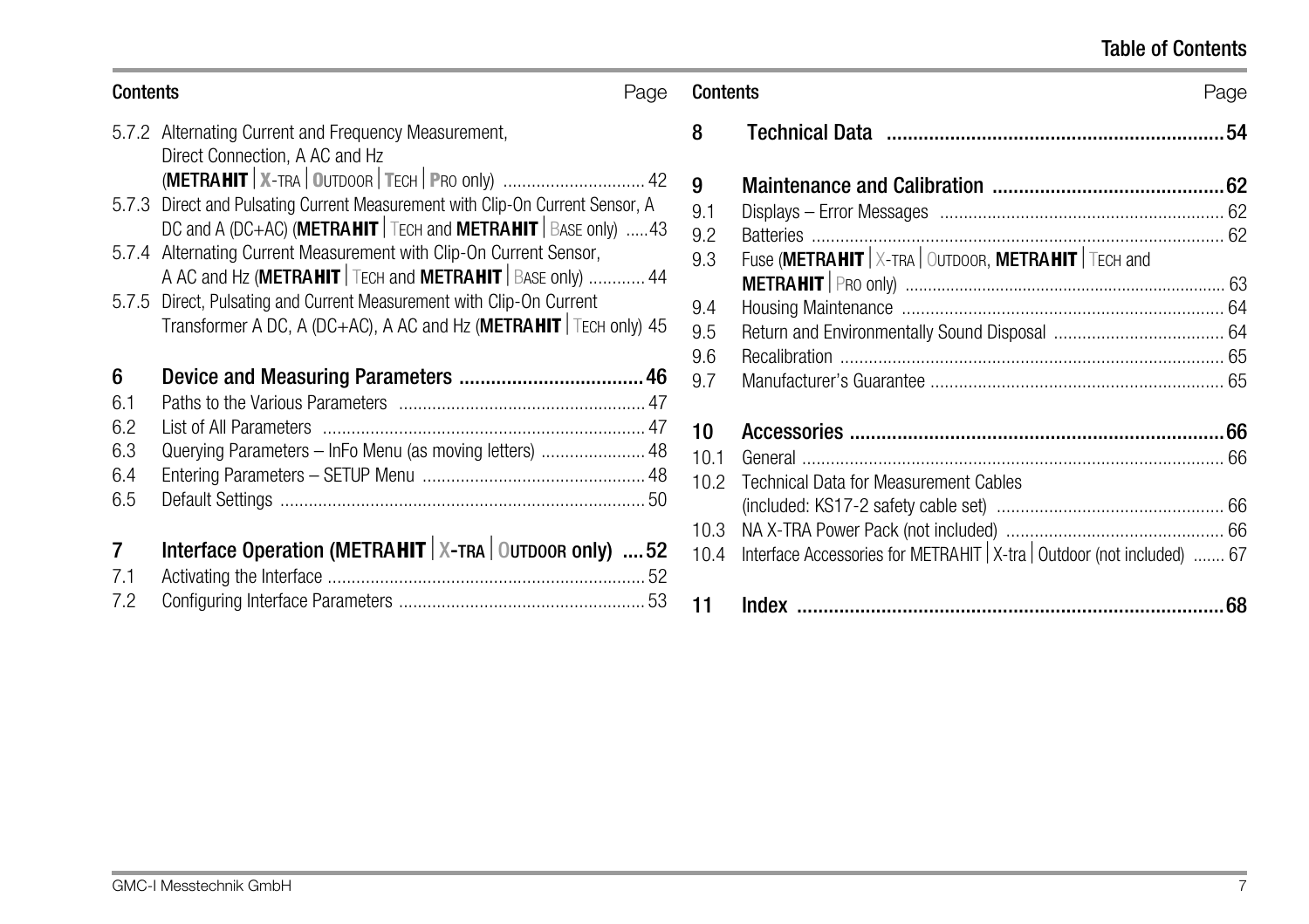# Table of Contents

|            | Contents<br>Page                                                                                                                           | υ              |
|------------|--------------------------------------------------------------------------------------------------------------------------------------------|----------------|
|            | 5.7.2 Alternating Current and Frequency Measurement,<br>Direct Connection, A AC and Hz                                                     | 8              |
|            |                                                                                                                                            | g              |
| 5.7.3      | Direct and Pulsating Current Measurement with Clip-On Current Sensor, A                                                                    | g              |
|            | DC and A (DC+AC) (METRAHIT $\vert$ Tech and METRAHIT $\vert$ Base only) 43                                                                 | g              |
|            | 5.7.4 Alternating Current Measurement with Clip-On Current Sensor,                                                                         | g              |
|            | A AC and Hz (METRAHIT $\vert$ Tech and METRAHIT $\vert$ Base only)  44                                                                     |                |
| 5.7.5      | Direct, Pulsating and Current Measurement with Clip-On Current<br>Transformer A DC, A (DC+AC), A AC and Hz (METRAHIT $\vert$ Tech only) 45 | g              |
|            |                                                                                                                                            | g              |
|            |                                                                                                                                            | g              |
|            |                                                                                                                                            |                |
| 6          |                                                                                                                                            | g              |
| 6.1        |                                                                                                                                            |                |
| 6.2<br>6.3 |                                                                                                                                            | 1              |
| 6.4        | Querying Parameters - InFo Menu (as moving letters)  48                                                                                    | $\overline{1}$ |
| 6.5        |                                                                                                                                            | $\overline{1}$ |
|            |                                                                                                                                            | 1              |
| 7          | Interface Operation (METRAHIT $X$ -TRA $\vert$ Outpoor only) 52                                                                            | $\mathbf{1}$   |
| 7.1        |                                                                                                                                            |                |
| 7.2        |                                                                                                                                            | 1              |

| Contents          | Page                                                                                                                                                                                                                                                                                                                                                                                                                                                                                                                            | Contents                                    |                                                                              | Page |
|-------------------|---------------------------------------------------------------------------------------------------------------------------------------------------------------------------------------------------------------------------------------------------------------------------------------------------------------------------------------------------------------------------------------------------------------------------------------------------------------------------------------------------------------------------------|---------------------------------------------|------------------------------------------------------------------------------|------|
|                   | 5.7.2 Alternating Current and Frequency Measurement,                                                                                                                                                                                                                                                                                                                                                                                                                                                                            | 8                                           |                                                                              |      |
|                   | Direct Connection, A AC and Hz<br>(METRAHIT   X-TRA   OUTDOOR   TECH   PRO ONly)  42<br>5.7.3 Direct and Pulsating Current Measurement with Clip-On Current Sensor, A<br>DC and A (DC+AC) (METRAHIT   TECH and METRAHIT   BASE only) 43<br>5.7.4 Alternating Current Measurement with Clip-On Current Sensor,<br>A AC and Hz (METRAHIT   TECH and METRAHIT   BASE only)  44<br>5.7.5 Direct, Pulsating and Current Measurement with Clip-On Current<br>Transformer A DC, A (DC+AC), A AC and Hz (METRAHIT $\vert$ Tech only) 45 | 9<br>9.1<br>9.2<br>9.3<br>9.4<br>9.5<br>9.6 | Fuse (METRAHIT   X-TRA   OUTDOOR, METRAHIT   TECH and                        |      |
| 6                 |                                                                                                                                                                                                                                                                                                                                                                                                                                                                                                                                 | 9.7                                         |                                                                              |      |
| 6.1<br>6.2<br>6.3 | Querying Parameters - InFo Menu (as moving letters)  48                                                                                                                                                                                                                                                                                                                                                                                                                                                                         | 10<br>10.1                                  |                                                                              |      |
| 6.4<br>6.5        |                                                                                                                                                                                                                                                                                                                                                                                                                                                                                                                                 | 10.2                                        | <b>Technical Data for Measurement Cables</b>                                 |      |
| 7<br>7.1          | Interface Operation (METRAHIT $X$ -TRA $\overline{O}$ OUTDOOR only) 52                                                                                                                                                                                                                                                                                                                                                                                                                                                          |                                             | 10.4 Interface Accessories for METRAHIT   X-tra   Outdoor (not included)  67 |      |
| 7.2               |                                                                                                                                                                                                                                                                                                                                                                                                                                                                                                                                 | 11                                          |                                                                              |      |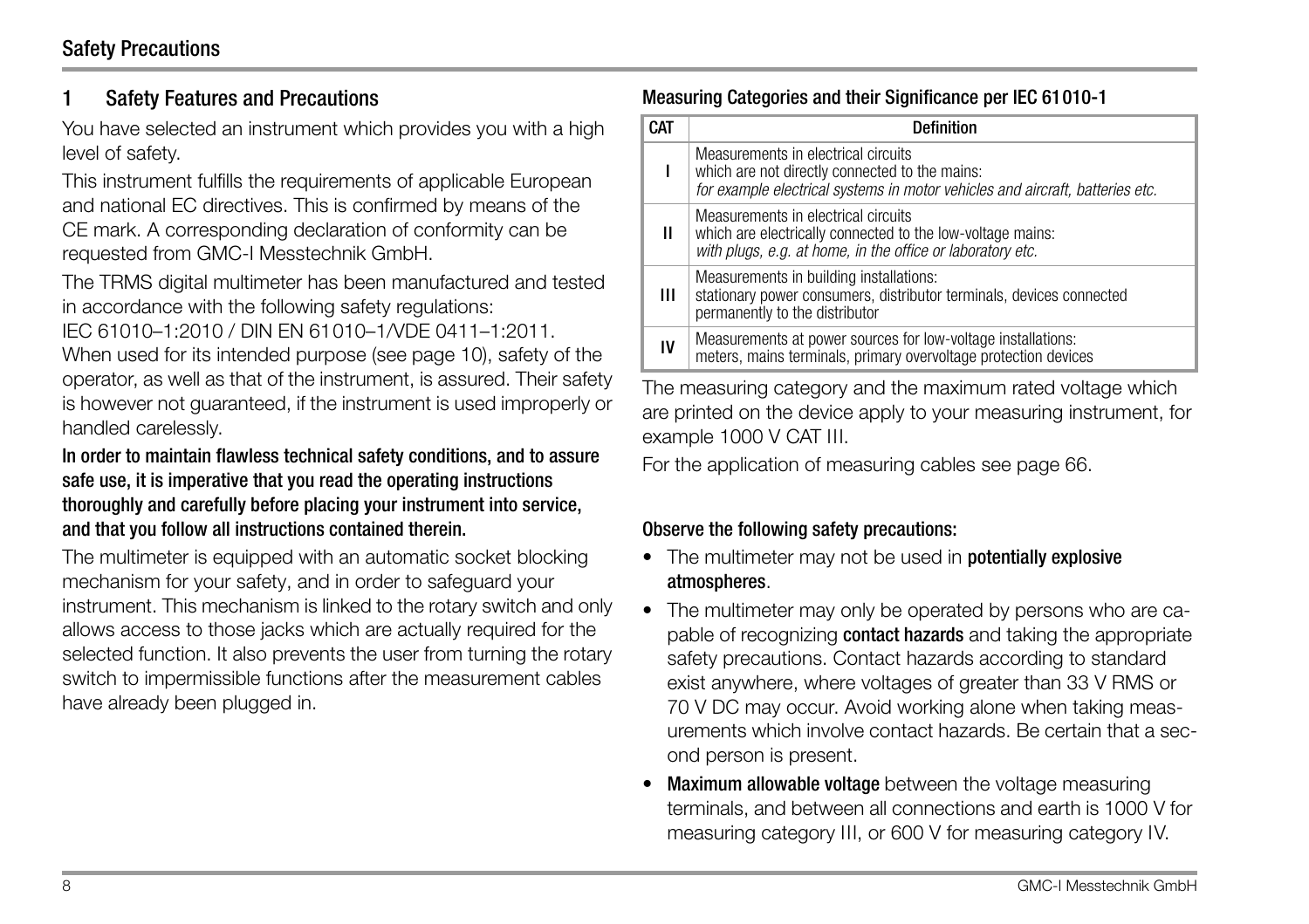# <span id="page-7-0"></span>**Safety Features and Precautions**

You have selected an instrument which provides you with a high level of safety.

This instrument fulfills the requirements of applicable European and national EC directives. This is confirmed by means of the CE mark. A corresponding declaration of conformity can be requested from GMC-I Messtechnik GmbH.

The TRMS digital multimeter has been manufactured and tested in accordance with the following safety regulations:

IEC 61010–1:2010 / DIN EN 61010–1/VDE 0411–1:2011.

When used for its intended purpose (see [page 10](#page-9-0)), safety of the operator, as well as that of the instrument, is assured. Their safety is however not guaranteed, if the instrument is used improperly or handled carelessly.

In order to maintain flawless technical safety conditions, and to assure safe use, it is imperative that you read the operating instructions thoroughly and carefully before placing your instrument into service, and that you follow all instructions contained therein.

The multimeter is equipped with an automatic socket blocking mechanism for your safety, and in order to safeguard your instrument. This mechanism is linked to the rotary switch and only allows access to those jacks which are actually required for the selected function. It also prevents the user from turning the rotary switch to impermissible functions after the measurement cables have already been plugged in.

# <span id="page-7-3"></span><span id="page-7-2"></span><span id="page-7-1"></span>Measuring Categories and their Significance per IEC 61010-1

| <b>CAT</b> | Definition                                                                                                                                                             |
|------------|------------------------------------------------------------------------------------------------------------------------------------------------------------------------|
|            | Measurements in electrical circuits<br>which are not directly connected to the mains:<br>for example electrical systems in motor vehicles and aircraft, batteries etc. |
| Ш          | Measurements in electrical circuits<br>which are electrically connected to the low-voltage mains:<br>with plugs, e.g. at home, in the office or laboratory etc.        |
| Ш          | Measurements in building installations:<br>stationary power consumers, distributor terminals, devices connected<br>permanently to the distributor                      |
| IV         | Measurements at power sources for low-voltage installations:<br>meters, mains terminals, primary overvoltage protection devices                                        |

The measuring category and the maximum rated voltage which are printed on the device apply to your measuring instrument, for example 1000 V CAT III.

For the application of measuring cables see [page 66](#page-65-5).

# <span id="page-7-4"></span>Observe the following safety precautions:

- The multimeter may not be used in **potentially explosive** atmospheres.
- The multimeter may only be operated by persons who are capable of recognizing contact hazards and taking the appropriate safety precautions. Contact hazards according to standard exist anywhere, where voltages of greater than 33 V RMS or 70 V DC may occur. Avoid working alone when taking measurements which involve contact hazards. Be certain that a second person is present.
- Maximum allowable voltage between the voltage measuring terminals, and between all connections and earth is 1000 V for measuring category III, or 600 V for measuring category IV.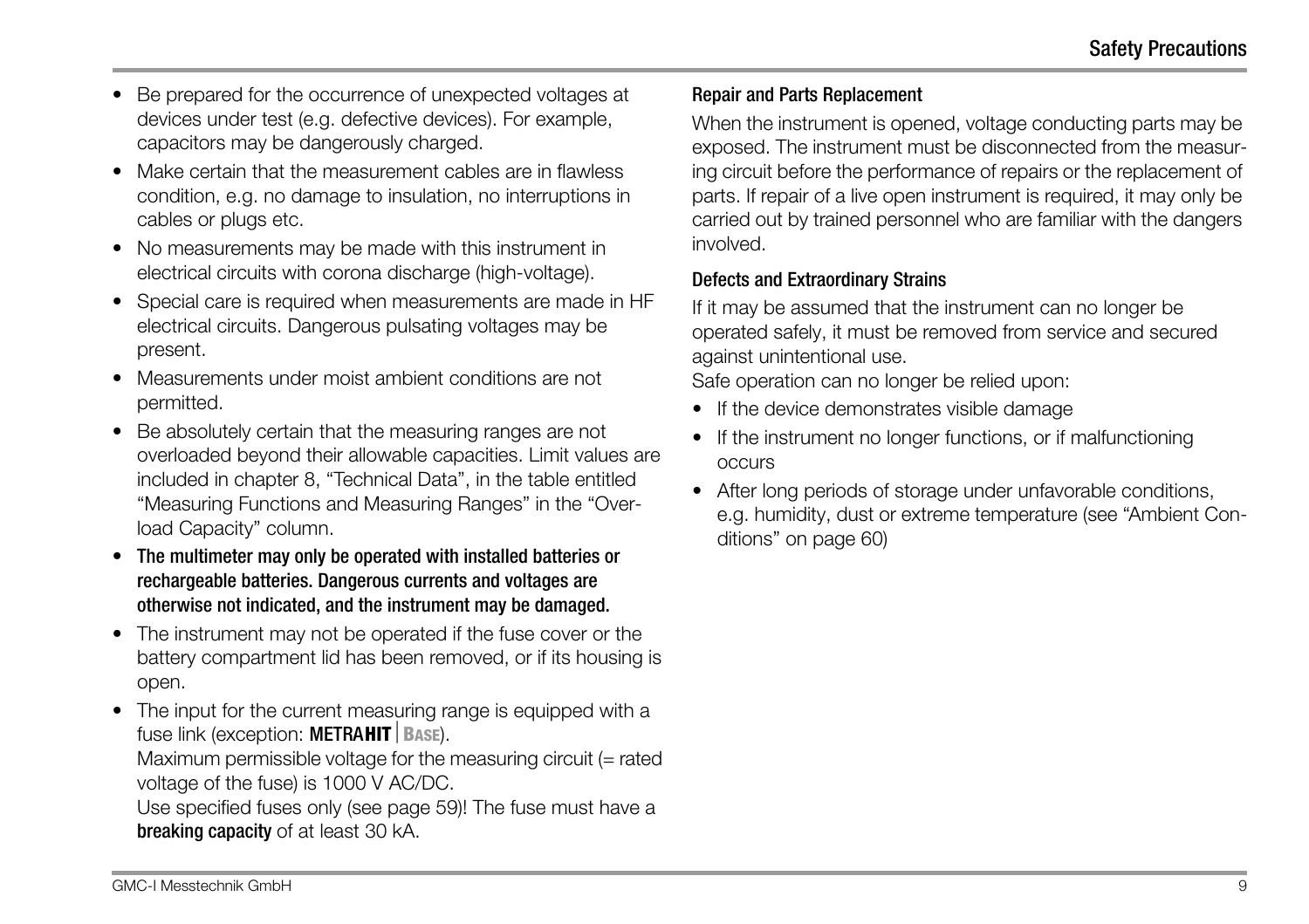- Be prepared for the occurrence of unexpected voltages at devices under test (e.g. defective devices). For example, capacitors may be dangerously charged.
- Make certain that the measurement cables are in flawless condition, e.g. no damage to insulation, no interruptions in cables or plugs etc.
- No measurements may be made with this instrument in electrical circuits with corona discharge (high-voltage).
- Special care is required when measurements are made in HF electrical circuits. Dangerous pulsating voltages may be present.
- Measurements under moist ambient conditions are not permitted.
- Be absolutely certain that the measuring ranges are not overloaded beyond their allowable capacities. Limit values are included in [chapter 8, "Technical Data"](#page-53-1), in the table entitled "Measuring Functions and Measuring Ranges" in the "Overload Capacity" column.
- The multimeter may only be operated with installed batteries or rechargeable batteries. Dangerous currents and voltages are otherwise not indicated, and the instrument may be damaged.
- The instrument may not be operated if the fuse cover or the battery compartment lid has been removed, or if its housing is open.
- The input for the current measuring range is equipped with a fuse link (exception: **METRAHIT** | BASE).

Maximum permissible voltage for the measuring circuit (= rated voltage of the fuse) is 1000 V AC/DC.

Use specified fuses only (see [page 59](#page-58-0))! The fuse must have a breaking capacity of at least 30 kA.

# Repair and Parts Replacement

When the instrument is opened, voltage conducting parts may be exposed. The instrument must be disconnected from the measuring circuit before the performance of repairs or the replacement of parts. If repair of a live open instrument is required, it may only be carried out by trained personnel who are familiar with the dangers involved.

#### Defects and Extraordinary Strains

If it may be assumed that the instrument can no longer be operated safely, it must be removed from service and secured against unintentional use.

Safe operation can no longer be relied upon:

- If the device demonstrates visible damage
- If the instrument no longer functions, or if malfunctioning occurs
- After long periods of storage under unfavorable conditions, e.g. humidity, dust or extreme temperature (see ["Ambient Con](#page-59-0)[ditions" on page 60](#page-59-0))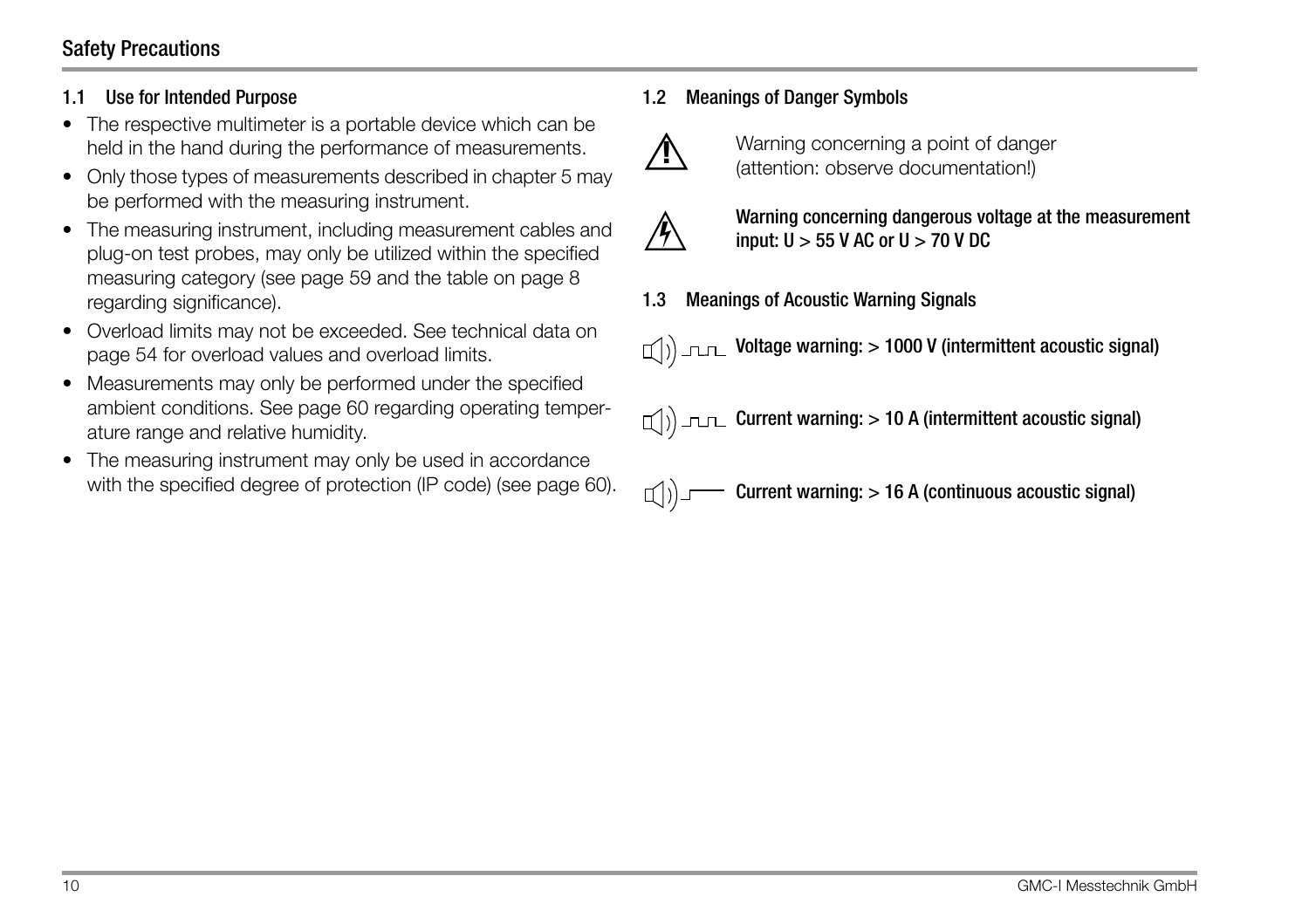# <span id="page-9-4"></span><span id="page-9-0"></span>1.1 Use for Intended Purpose

- The respective multimeter is a portable device which can be held in the hand during the performance of measurements.
- Only those types of measurements described in [chapter 5](#page-25-2) may be performed with the measuring instrument.
- The measuring instrument, including measurement cables and plug-on test probes, may only be utilized within the specified measuring category (see [page 59](#page-58-1) and the table on [page 8](#page-7-1)  regarding significance).
- Overload limits may not be exceeded. See technical data on [page 54](#page-53-1) for overload values and overload limits.
- Measurements may only be performed under the specified ambient conditions. See [page 60](#page-59-0) regarding operating temperature range and relative humidity.
- The measuring instrument may only be used in accordance with the specified degree of protection (IP code) (see [page 60\)](#page-59-1).

# <span id="page-9-3"></span><span id="page-9-1"></span>1.2 Meanings of Danger Symbols



Warning concerning a point of danger (attention: observe documentation!)



Warning concerning dangerous voltage at the measurement input:  $U > 55$  V AC or  $U > 70$  V DC

<span id="page-9-2"></span>1.3 Meanings of Acoustic Warning Signals

 $\mathbb{I}(\ket{n})$   $\mathbb{I}(\mathbb{I})$  Voltage warning: > 1000 V (intermittent acoustic signal)

 $\Gamma(\cdot)$   $\Gamma$  Current warning: > 10 A (intermittent acoustic signal)

Current warning: > 16 A (continuous acoustic signal)  $\Box$ )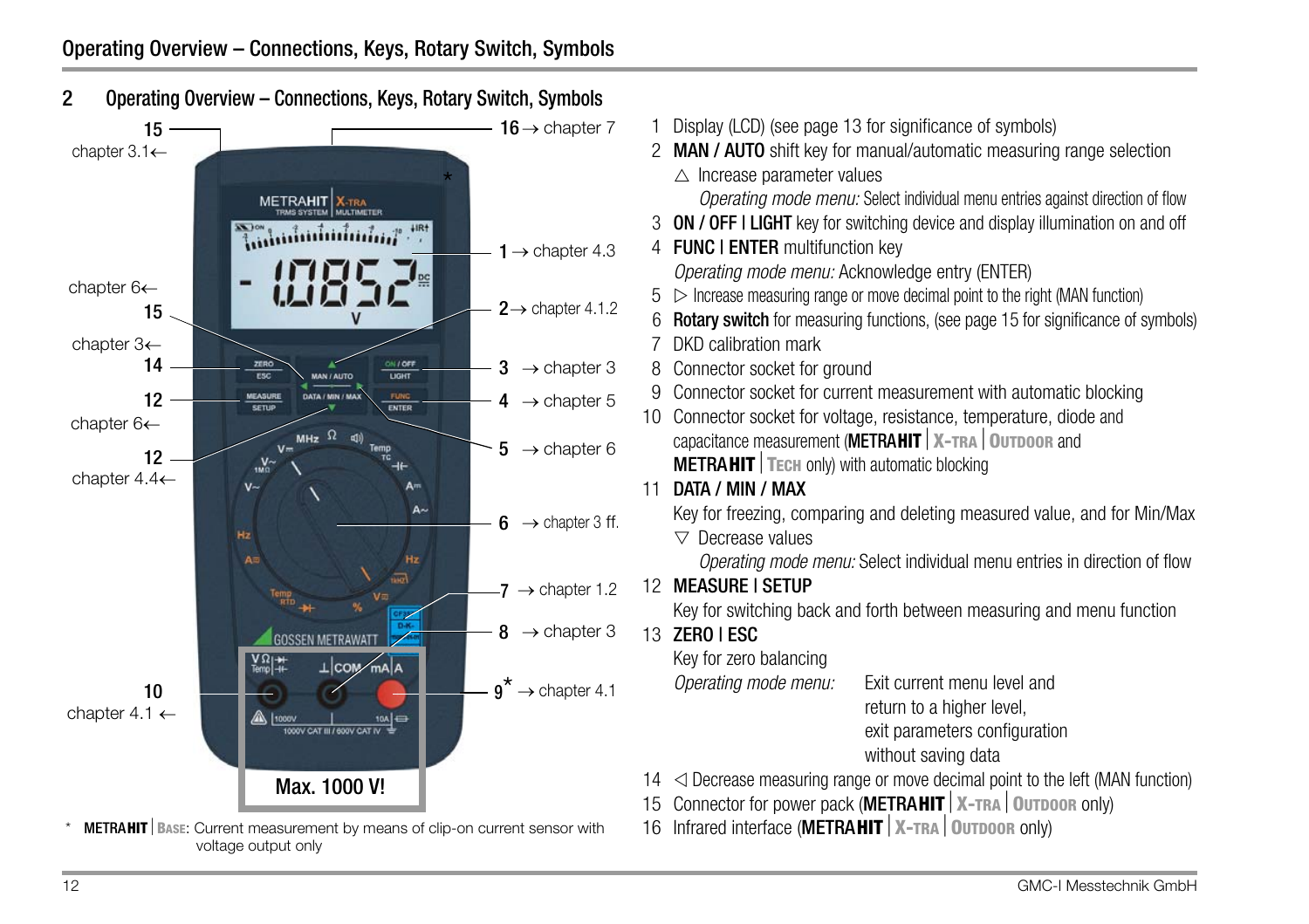<span id="page-11-1"></span><span id="page-11-0"></span>

| $\overline{2}$<br>Operating Overview – Connections, Keys, Rotary Switch, Symbols                                |                                                                                             |
|-----------------------------------------------------------------------------------------------------------------|---------------------------------------------------------------------------------------------|
| 16 $\rightarrow$ chapter 7<br>15                                                                                | Display (LCD) (see page 13 for significance of symbols)                                     |
| chapter 3.1←                                                                                                    | 2 MAN / AUTO shift key for manual/automatic measuring range selection                       |
|                                                                                                                 | $\triangle$ Increase parameter values                                                       |
| METRA <b>HIT   X</b> -tra                                                                                       | Operating mode menu: Select individual menu entries against direction of flow               |
|                                                                                                                 | <b>ON / OFF I LIGHT</b> key for switching device and display illumination on and off<br>3   |
| <b><i><u>iniminiminining</u></i></b><br>1 $\rightarrow$ chapter 4.3                                             | 4 FUNC I ENTER multifunction key                                                            |
|                                                                                                                 | Operating mode menu: Acknowledge entry (ENTER)                                              |
| chapter $6 \leftarrow$                                                                                          | $\triangleright$ Increase measuring range or move decimal point to the right (MAN function) |
| $2 \rightarrow$ chapter 4.1.2<br>15                                                                             | Rotary switch for measuring functions, (see page 15 for significance of symbols)<br>6       |
| chapter $3 \leftarrow$                                                                                          | DKD calibration mark                                                                        |
| 14<br>ON / OFF<br>ZERO<br>3<br>$\rightarrow$ chapter 3<br>$\overline{\text{esc}}$<br>LIGHT<br><b>MAN / AUTO</b> | Connector socket for ground                                                                 |
| 12<br><b>DATA / MIN / MAX</b><br><b>IEASURE</b><br><b>FUND</b><br>$4 \rightarrow$ chapter 5<br>ENTER            | Connector socket for current measurement with automatic blocking                            |
| <b>SETUP</b><br>chapter 6←                                                                                      | Connector socket for voltage, resistance, temperature, diode and<br>$10^{\circ}$            |
| $MHz \Omega$<br>di<br>$\rightarrow$ chapter 6<br>5.<br>$V =$                                                    | capacitance measurement (METRAHIT   X-TRA   OUTDOOR and                                     |
| 12<br>$\frac{V}{100}$<br>chapter $4.4 \leftarrow$                                                               | <b>METRAHIT</b>   TECH only) with automatic blocking                                        |
| V-                                                                                                              | DATA / MIN / MAX<br>11                                                                      |
| $A\sim$<br>$6 \rightarrow$ chapter 3 ff.                                                                        | Key for freezing, comparing and deleting measured value, and for Min/Max                    |
| Hz                                                                                                              | $\triangledown$ Decrease values                                                             |
| Am<br>Hz<br>ब्ल                                                                                                 | Operating mode menu: Select individual menu entries in direction of flow                    |
| 7 $\rightarrow$ chapter 1.2                                                                                     | 12 MEASURE   SETUP                                                                          |
|                                                                                                                 | Key for switching back and forth between measuring and menu function                        |
| $\rightarrow$ chapter 3                                                                                         | 13 ZERO   ESC                                                                               |
| VΩ  <del>*</del><br>Temp +<br>⊥ COM mA A                                                                        | Key for zero balancing                                                                      |
| $9^*$ $\rightarrow$ chapter 4.1<br>10                                                                           | Operating mode menu:<br>Exit current menu level and                                         |
| chapter 4.1 $\leftarrow$<br><b>ALL</b> 1000V<br>$10A \right) \rightleftarrow$                                   | return to a higher level,                                                                   |
| 1000V CAT III / 600V CAT IV                                                                                     | exit parameters configuration                                                               |
|                                                                                                                 | without saving data                                                                         |
| Max. 1000 V!                                                                                                    | $\leq$ Decrease measuring range or move decimal point to the left (MAN function)<br>14      |
|                                                                                                                 | Connector for power pack (METRAHIT   X-TRA   OUTDOOR ONly)<br>15                            |
| METRAHIT   BASE: Current measurement by means of clip-on current sensor with<br>voltage output only             | Infrared interface (METRAHIT   X-TRA   OUTDOOR ONly)<br>16                                  |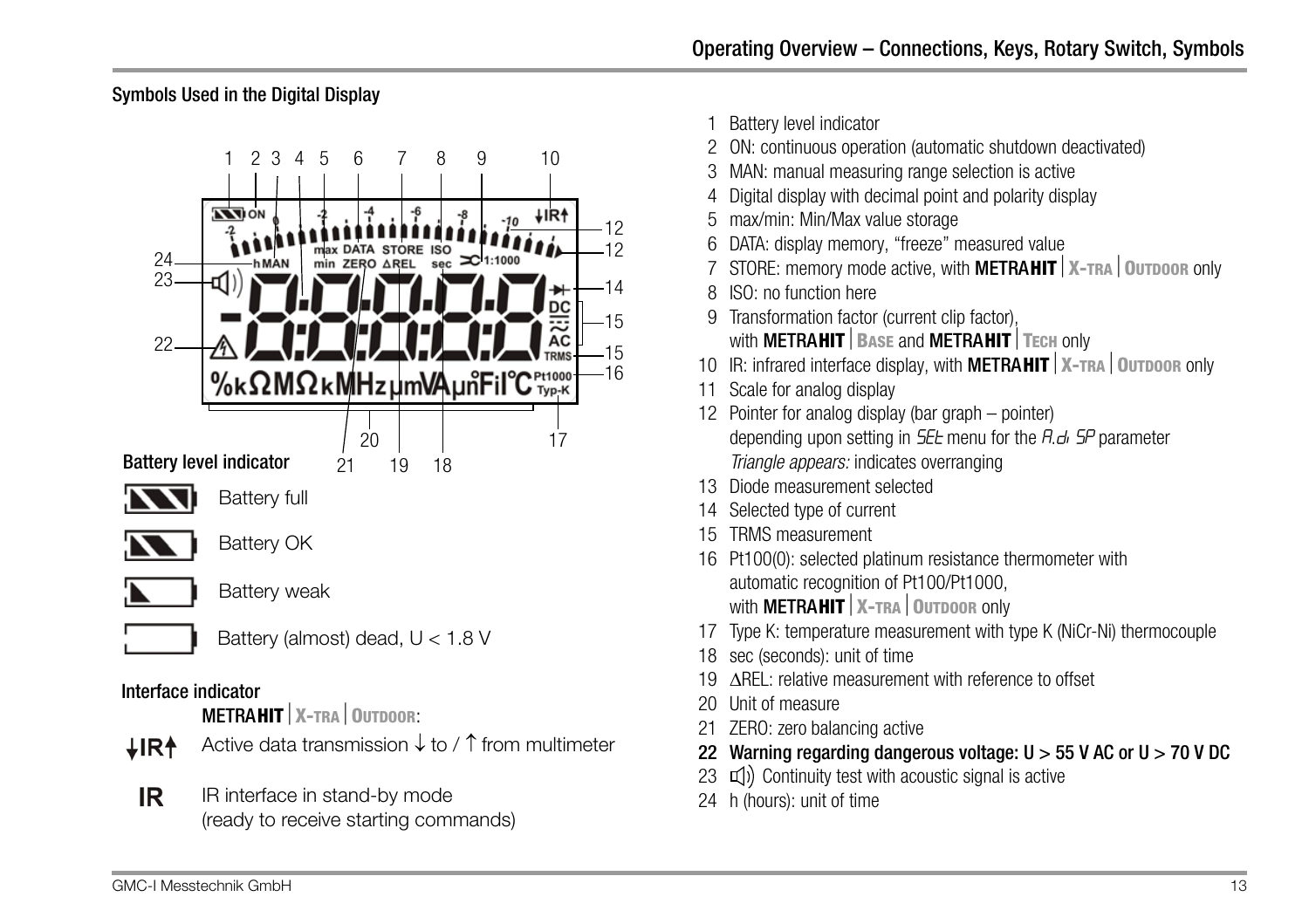#### <span id="page-12-4"></span><span id="page-12-1"></span><span id="page-12-0"></span>Symbols Used in the Digital Display

<span id="page-12-2"></span>

<span id="page-12-3"></span>**IR** IR interface in stand-by mode (ready to receive starting commands)

- **Battery level indicator**
- 2 ON: continuous operation (automatic shutdown deactivated)
- 3 MAN: manual measuring range selection is active
- 4 Digital display with decimal point and polarity display
- 5 max/min: Min/Max value storage
- 6 DATA: display memory, "freeze" measured value
- 7 STORE: memory mode active, with **METRAHIT** | X-TRA | OUTDOOR only
- 8 ISO: no function here
- 9 Transformation factor (current clip factor), **With METRAHIT BASE** and **METRAHIT TECH** only
- 10 IR: infrared interface display, with **METRAHIT** | X-TRA | OUTDOOR only
- 11 Scale for analog display
- 12 Pointer for analog display (bar graph pointer) depending upon setting in  $5EE$  menu for the  $A.d.$   $5P$  parameter Triangle appears: indicates overranging
- 13 Diode measurement selected
- 14 Selected type of current
- 15 TRMS measurement
- 16 Pt100(0): selected platinum resistance thermometer with automatic recognition of Pt100/Pt1000, with METRA**HITX-TRAOUTDOOR** only
- 17 Type K: temperature measurement with type K (NiCr-Ni) thermocouple
- 18 sec (seconds): unit of time
- 19 AREL: relative measurement with reference to offset
- 20 Unit of measure
- 21 ZERO: zero balancing active
- 22 Warning regarding dangerous voltage:  $U > 55$  V AC or  $U > 70$  V DC
- $(23 \text{ T})$ ) Continuity test with acoustic signal is active
- 24 h (hours): unit of time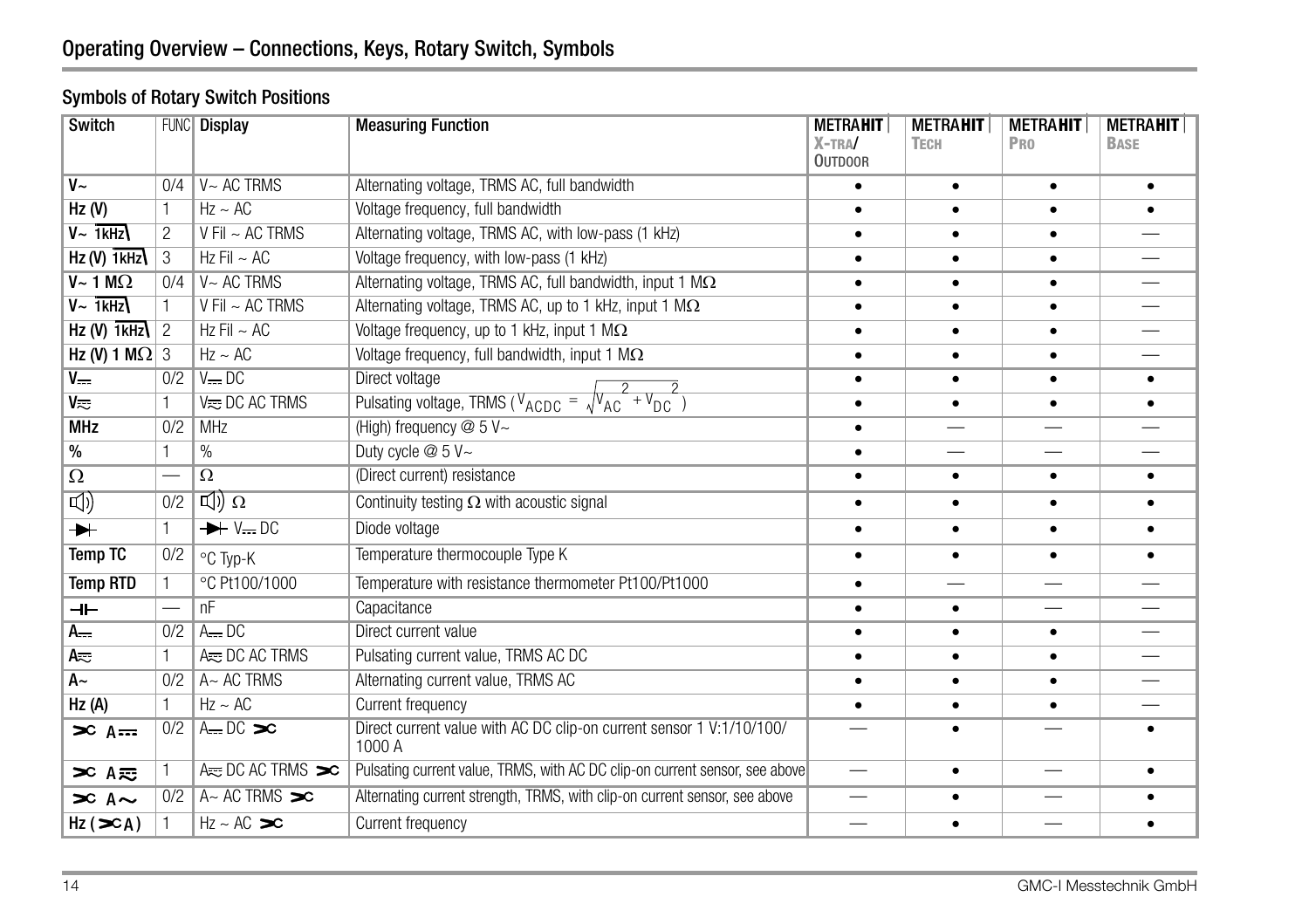# <span id="page-13-0"></span>Symbols of Rotary Switch Positions

| Switch                            |              | <b>FUNC</b> Display                          | <b>Measuring Function</b>                                                      | <b>METRAHIT</b><br>$X-TRA$<br><b>OUTDOOR</b> | <b>METRAHIT</b><br><b>TECH</b> | <b>METRAHIT</b><br>PRO | <b>METRAHIT</b><br><b>BASE</b> |
|-----------------------------------|--------------|----------------------------------------------|--------------------------------------------------------------------------------|----------------------------------------------|--------------------------------|------------------------|--------------------------------|
| $\overline{V}$ ~                  | 0/4          | $V~\sim$ AC TRMS                             | Alternating voltage, TRMS AC, full bandwidth                                   | ٠                                            | $\bullet$                      | $\bullet$              |                                |
| Hz <sub>(V)</sub>                 |              | $Hz \sim AC$                                 | Voltage frequency, full bandwidth                                              |                                              |                                |                        |                                |
| $V - \overline{1}$ <sub>KHz</sub> | 2            | $V$ Fil ~ AC TRMS                            | Alternating voltage, TRMS AC, with low-pass (1 kHz)                            | $\bullet$                                    | $\bullet$                      | $\bullet$              |                                |
| $Hz(W)$ 1kHz                      | 3            | $Hz$ Fil $\sim$ AC                           | Voltage frequency, with low-pass (1 kHz)                                       | ٠                                            | $\bullet$                      | ٠                      |                                |
| $V - 1 M\Omega$                   | 0/4          | I V∼ AC TRMS                                 | Alternating voltage, TRMS AC, full bandwidth, input 1 $M\Omega$                | $\bullet$                                    | $\bullet$                      | $\bullet$              |                                |
| $V~\sim~1$ kHz                    |              | V Fil $\sim$ AC TRMS                         | Alternating voltage, TRMS AC, up to 1 kHz, input 1 $M\Omega$                   | $\bullet$                                    |                                | $\bullet$              |                                |
| $Hz (V)$ $1kHz$                   | 2            | $Hz$ Fil $\sim$ AC                           | Voltage frequency, up to 1 kHz, input 1 $M\Omega$                              | $\bullet$                                    | ٠                              | $\bullet$              |                                |
| Hz (V) 1 M $\Omega$ 3             |              | $Hz \sim AC$                                 | Voltage frequency, full bandwidth, input 1 $M\Omega$                           | $\bullet$                                    |                                | $\bullet$              |                                |
| $V_{\rm max}$                     | 0/2          | $V = DC$                                     | Direct voltage                                                                 | $\bullet$                                    | $\bullet$                      | $\bullet$              | $\bullet$                      |
| V <sub>IV</sub>                   |              | $V = DC AC$ TRMS                             | Pulsating voltage, TRMS ( $V_{ACDC} = \sqrt{V_{AC} + V_{DC}}$ )                | $\bullet$                                    | $\bullet$                      | $\bullet$              |                                |
| <b>MHz</b>                        | 0/2          | <b>MHz</b>                                   | (High) frequency $@5V~$                                                        | $\bullet$                                    |                                |                        |                                |
| %                                 |              | $\%$                                         | Duty cycle @ 5 V~                                                              | $\bullet$                                    |                                |                        |                                |
| Ω                                 |              | Ω                                            | (Direct current) resistance                                                    | $\bullet$                                    | ٠                              | $\bullet$              | $\bullet$                      |
| √                                 | 0/2          | $\pi$ $\alpha$                               | Continuity testing $\Omega$ with acoustic signal                               | $\bullet$                                    | ٠                              | $\bullet$              |                                |
| $\blacktriangleright$ $\vdash$    | $\mathbf{1}$ | $V = DC$                                     | Diode voltage                                                                  | $\bullet$                                    | $\bullet$                      | $\bullet$              |                                |
| Temp TC                           | 0/2          | °C Typ-K                                     | Temperature thermocouple Type K                                                | $\bullet$                                    | $\bullet$                      | $\bullet$              |                                |
| <b>Temp RTD</b>                   |              | °C Pt100/1000                                | Temperature with resistance thermometer Pt100/Pt1000                           | $\bullet$                                    |                                |                        |                                |
| ᆉ                                 |              | nF                                           | Capacitance                                                                    | $\bullet$                                    | $\bullet$                      |                        |                                |
| A                                 | 0/2          | $A = DC$                                     | Direct current value                                                           | $\bullet$                                    | $\bullet$                      | $\bullet$              |                                |
| $A_{\infty}$                      |              | $A \rightleftarrows$ DC AC TRMS              | Pulsating current value, TRMS AC DC                                            | $\bullet$                                    | $\bullet$                      | $\bullet$              |                                |
| $A -$                             | 0/2          | $A \sim AC$ TRMS                             | Alternating current value, TRMS AC                                             | $\bullet$                                    | $\bullet$                      | $\bullet$              |                                |
| Hz(A)                             |              | $Hz \sim AC$                                 | Current frequency                                                              | $\bullet$                                    |                                | $\bullet$              |                                |
| $\infty$ A=                       | 0/2          | $A \cdot BC \geq C$                          | Direct current value with AC DC clip-on current sensor 1 V:1/10/100/<br>1000 A |                                              | $\bullet$                      |                        |                                |
| <b>∞ A 走</b>                      |              | $A\rightleftarrows$ DC AC TRMS $\Rightarrow$ | Pulsating current value, TRMS, with AC DC clip-on current sensor, see above    |                                              | $\bullet$                      |                        |                                |
| $\infty$ A $\sim$                 | 0/2          | $A \sim AC$ TRMS $\infty$                    | Alternating current strength, TRMS, with clip-on current sensor, see above     |                                              | $\bullet$                      |                        |                                |
| $Hz (\infty A)$                   |              | $Hz \sim AC$ $\infty$                        | Current frequency                                                              |                                              |                                |                        |                                |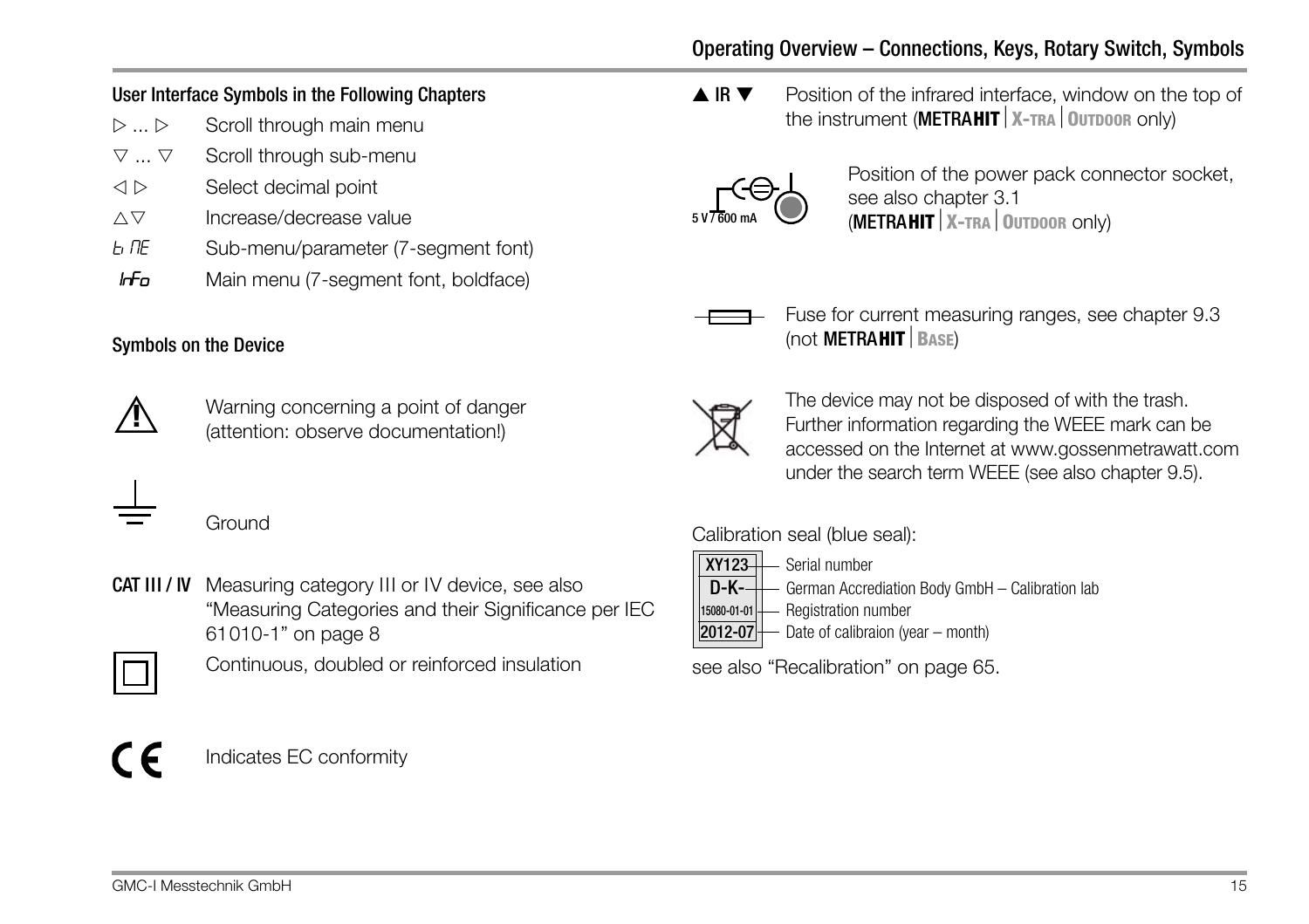# Operating Overview – Connections, Keys, Rotary Switch, Symbols

#### User Interface Symbols in the Following Chapters

- $\triangleright ... \triangleright$  Scroll through main menu
- $\nabla \dots \nabla$  Scroll through sub-menu
- $\triangle$   $\triangleright$  Select decimal point
- $\wedge \nabla$  Increase/decrease value
- $t = 10$  Sub-menu/parameter (7-segment font)
- $hf_{\theta}$  Main menu (7-segment font, boldface)

#### <span id="page-14-1"></span>Symbols on the Device



Warning concerning a point of danger (attention: observe documentation!)



Ground

CAT III / IV Measuring category III or IV device, see also ["Measuring Categories and their Significance per IEC](#page-7-2)  [61010-1" on page 8](#page-7-2)



Continuous, doubled or reinforced insulation

# $\epsilon$

Indicates EC conformity

 $\triangle$  IR  $\nabla$  Position of the infrared interface, window on the top of the instrument (METRA**HITX-TRAOUTDOOR** only)



<span id="page-14-0"></span>Position of the power pack connector socket, see also [chapter 3.1](#page-15-5) (METRA**HITX-TRAOUTDOOR** only)



Fuse for current measuring ranges, see [chapter 9.3](#page-62-1) (not METRA**HITBASE**)



<span id="page-14-2"></span>The device may not be disposed of with the trash. Further information regarding the WEEE mark can be accessed on the Internet at www.gossenmetrawatt.com under the search term WEEE (see also [chapter 9.5\)](#page-63-2).

Calibration seal (blue seal):

- Serial number XY123
- German Accrediation Body GmbH Calibration lab D-K-

- Registration number 15080-01-01

 $-$  Date of calibraion (year  $-$  month) 2012-07

see also ["Recalibration" on page 65](#page-64-2).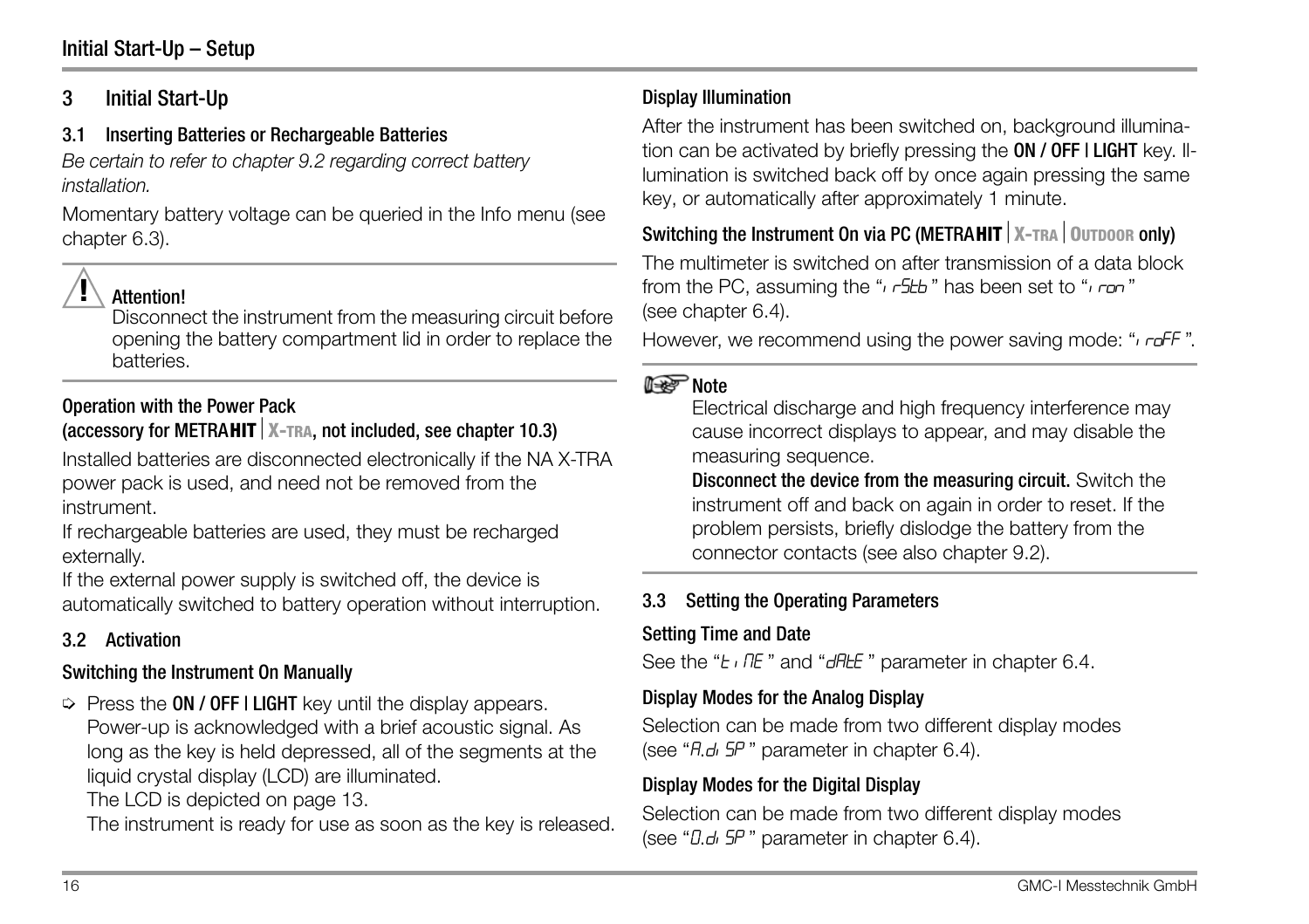# <span id="page-15-4"></span><span id="page-15-0"></span>3 Initial Start-Up

# <span id="page-15-5"></span><span id="page-15-1"></span>3.1 Inserting Batteries or Rechargeable Batteries

Be certain to refer to [chapter 9.2](#page-61-3) regarding correct battery installation.

Momentary battery voltage can be queried in the Info menu (see [chapter 6.3\)](#page-47-2).

# **!** Attention!

<span id="page-15-7"></span>Disconnect the instrument from the measuring circuit before opening the battery compartment lid in order to replace the batteries.

# Operation with the Power Pack (accessory for METRA**HITX-TRA**, not included, see [chapter 10.3](#page-65-6))

Installed batteries are disconnected electronically if the NA X-TRA power pack is used, and need not be removed from the instrument.

If rechargeable batteries are used, they must be recharged externally.

If the external power supply is switched off, the device is automatically switched to battery operation without interruption.

# <span id="page-15-2"></span>3.2 Activation

# <span id="page-15-8"></span>Switching the Instrument On Manually

 $\Rightarrow$  Press the ON / OFF | LIGHT key until the display appears. Power-up is acknowledged with a brief acoustic signal. As long as the key is held depressed, all of the segments at the liquid crystal display (LCD) are illuminated.

The LCD is depicted on [page 13](#page-12-1).

The instrument is ready for use as soon as the key is released.

# <span id="page-15-6"></span>Display Illumination

After the instrument has been switched on, background illumination can be activated by briefly pressing the ON / OFF | LIGHT key. IIlumination is switched back off by once again pressing the same key, or automatically after approximately 1 minute.

<span id="page-15-9"></span>Switching the Instrument On via PC (METRAHIT | X-TRA | OUTDOOR ONly) The multimeter is switched on after transmission of a data block from the PC, assuming the " $i$   $r$ -Stb" has been set to " $i$  ron" (see [chapter 6.4\)](#page-47-3).

However, we recommend using the power saving mode: "*i*<sub>r</sub>  $\sigma$ FF".

# **Note** Note

Electrical discharge and high frequency interference may cause incorrect displays to appear, and may disable the measuring sequence.

Disconnect the device from the measuring circuit. Switch the instrument off and back on again in order to reset. If the problem persists, briefly dislodge the battery from the connector contacts (see also [chapter 9.2\)](#page-61-3).

# <span id="page-15-3"></span>3.3 Setting the Operating Parameters

# Setting Time and Date

See the " $E \cdot \Pi E$ " and " $dH E$ " parameter in [chapter 6.4](#page-47-3).

# Display Modes for the Analog Display

Selection can be made from two different display modes (see " $H.d.$   $5P$ " parameter in [chapter 6.4](#page-47-3)).

# Display Modes for the Digital Display

Selection can be made from two different display modes (see " $0.4$   $5P$ " parameter in [chapter 6.4](#page-47-3)).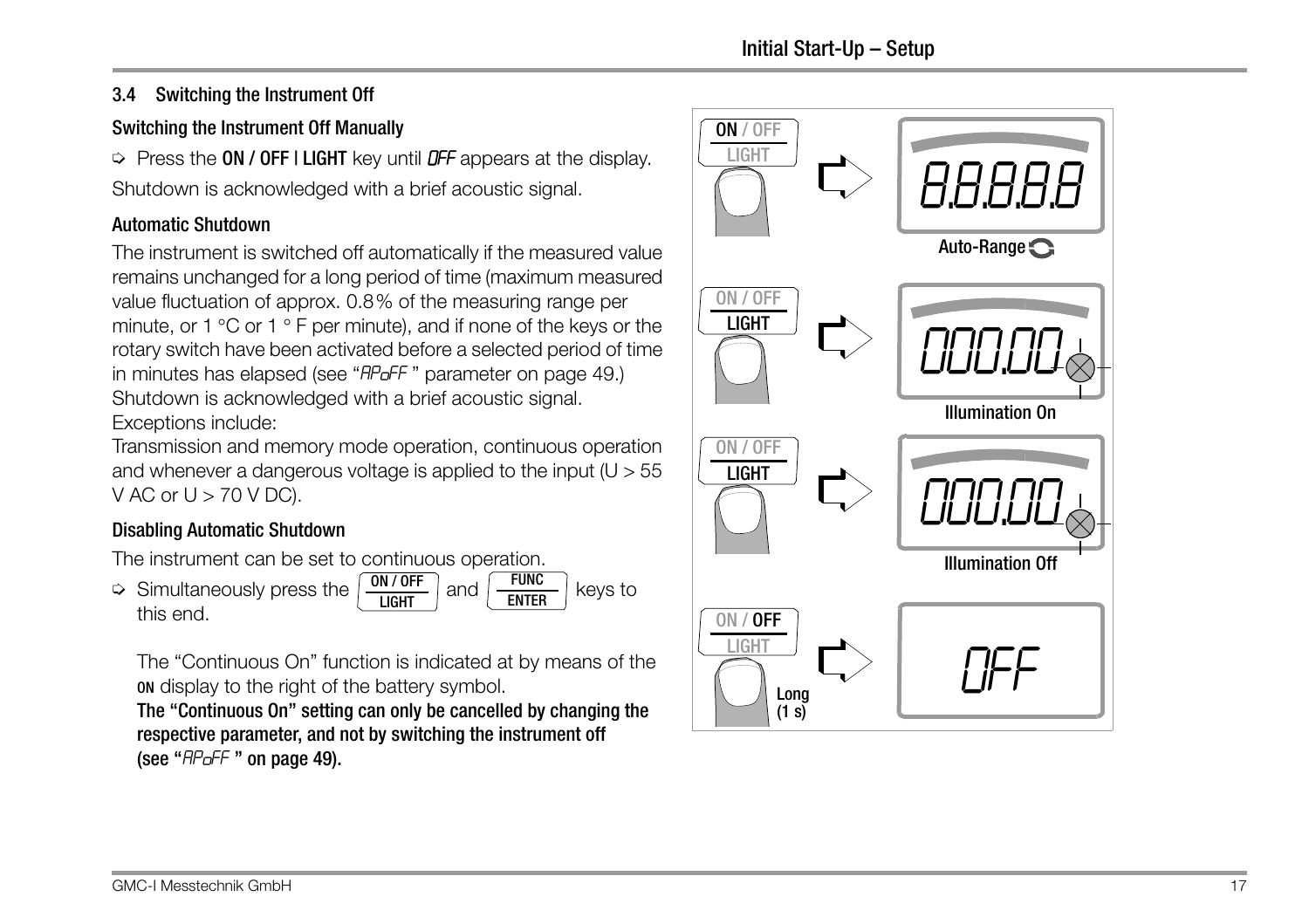# <span id="page-16-0"></span>3.4 Switching the Instrument Off

# Switching the Instrument Off Manually

 $\Rightarrow$  Press the ON / OFF | LIGHT key until OFF appears at the display.

Shutdown is acknowledged with a brief acoustic signal.

# <span id="page-16-2"></span>Automatic Shutdown

The instrument is switched off automatically if the measured value remains unchanged for a long period of time (maximum measured value fluctuation of approx. 0.8% of the measuring range per minute, or 1  $\degree$ C or 1  $\degree$  F per minute), and if none of the keys or the rotary switch have been activated before a selected period of time in minutes has elapsed (see "RP<sub>P</sub>FF" parameter on [page 49](#page-48-0).) Shutdown is acknowledged with a brief acoustic signal. Exceptions include:

Transmission and memory mode operation, continuous operation and whenever a dangerous voltage is applied to the input ( $U > 55$ ) V AC or  $U > 70$  V DC).

# <span id="page-16-1"></span>Disabling Automatic Shutdown

The instrument can be set to continuous operation.

 $\Rightarrow$  Simultaneously press the  $\frac{UN/UF}{M}$  and  $\frac{FUNC}{M}$  keys to this end. ON / OFF LIGHT FUNC ENTER

The "Continuous On" function is indicated at by means of the ON display to the right of the battery symbol.

The "Continuous On" setting can only be cancelled by changing the respective parameter, and not by switching the instrument off (see " $HP$ of F" on [page 49\)](#page-48-0).

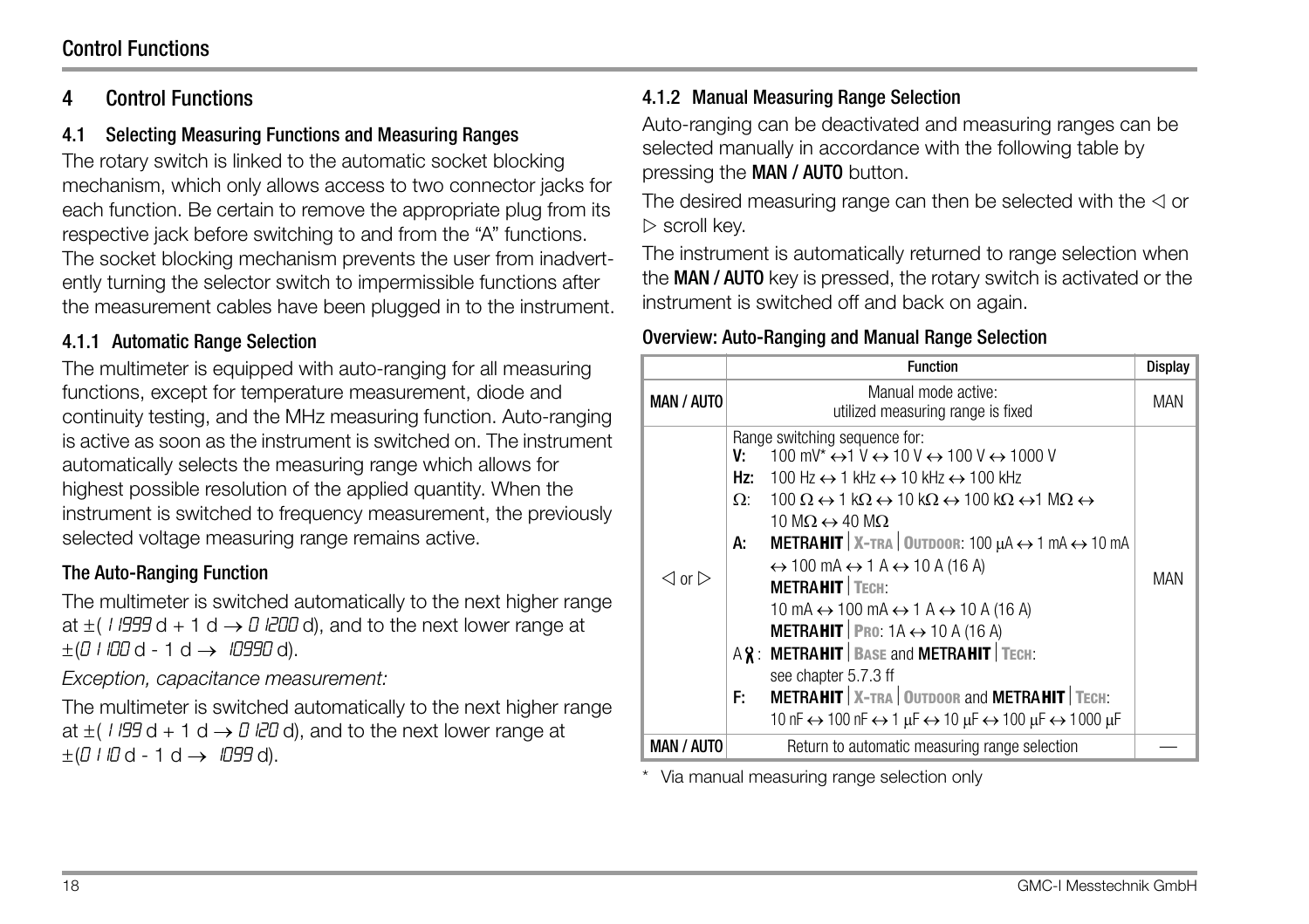# <span id="page-17-0"></span>Control Functions

# <span id="page-17-4"></span><span id="page-17-1"></span>4.1 Selecting Measuring Functions and Measuring Ranges

The rotary switch is linked to the automatic socket blocking mechanism, which only allows access to two connector jacks for each function. Be certain to remove the appropriate plug from its respective jack before switching to and from the "A" functions. The socket blocking mechanism prevents the user from inadvertently turning the selector switch to impermissible functions after the measurement cables have been plugged in to the instrument.

#### <span id="page-17-7"></span><span id="page-17-2"></span>4.1.1 Automatic Range Selection

The multimeter is equipped with auto-ranging for all measuring functions, except for temperature measurement, diode and continuity testing, and the MHz measuring function. Auto-ranging is active as soon as the instrument is switched on. The instrument automatically selects the measuring range which allows for highest possible resolution of the applied quantity. When the instrument is switched to frequency measurement, the previously selected voltage measuring range remains active.

# <span id="page-17-6"></span>The Auto-Ranging Function

The multimeter is switched automatically to the next higher range at  $\pm$ (11999 d + 1 d  $\rightarrow$  D 1200 d), and to the next lower range at  $\pm$ (0  $\sqrt{100}$  d - 1 d  $\rightarrow$   $\sqrt{10990}$  d).

Exception, capacitance measurement:

The multimeter is switched automatically to the next higher range at  $\pm$ (1199 d + 1 d  $\rightarrow$  0 120 d), and to the next lower range at  $\pm$ (0  $\pm$  10 d - 1 d  $\rightarrow$  1099 d).

# <span id="page-17-8"></span><span id="page-17-5"></span><span id="page-17-3"></span>4.1.2 Manual Measuring Range Selection

Auto-ranging can be deactivated and measuring ranges can be selected manually in accordance with the following table by pressing the MAN / AUTO button.

The desired measuring range can then be selected with the  $\triangleleft$  or  $\triangleright$  scroll key.

The instrument is automatically returned to range selection when the MAN / AUTO key is pressed, the rotary switch is activated or the instrument is switched off and back on again.

#### Overview: Auto-Ranging and Manual Range Selection

|                                           | <b>Function</b>                                                                                                                                                                                                                                                                                                                                                                                                                                                                                                                                                                                                                                                                                                                                                                                                                                                                                                                                                                                                                                                  | <b>Display</b> |
|-------------------------------------------|------------------------------------------------------------------------------------------------------------------------------------------------------------------------------------------------------------------------------------------------------------------------------------------------------------------------------------------------------------------------------------------------------------------------------------------------------------------------------------------------------------------------------------------------------------------------------------------------------------------------------------------------------------------------------------------------------------------------------------------------------------------------------------------------------------------------------------------------------------------------------------------------------------------------------------------------------------------------------------------------------------------------------------------------------------------|----------------|
| <b>MAN / AUTO</b>                         | Manual mode active:<br>utilized measuring range is fixed                                                                                                                                                                                                                                                                                                                                                                                                                                                                                                                                                                                                                                                                                                                                                                                                                                                                                                                                                                                                         | MAN            |
| $\operatorname{\lhd}$ or $\triangleright$ | Range switching sequence for:<br>$100 \text{ mV}^* \leftrightarrow 1 \text{ V} \leftrightarrow 10 \text{ V} \leftrightarrow 100 \text{ V} \leftrightarrow 1000 \text{ V}$<br>V٠<br>$100 \text{ Hz} \leftrightarrow 1 \text{ kHz} \leftrightarrow 10 \text{ kHz} \leftrightarrow 100 \text{ kHz}$<br>Hz:<br>$100 \Omega \leftrightarrow 1 k\Omega \leftrightarrow 10 k\Omega \leftrightarrow 100 k\Omega \leftrightarrow 1 M\Omega \leftrightarrow$<br>$O^+$<br>10 M $\Omega \leftrightarrow 40$ M $\Omega$<br><b>METRAHIT</b>   X-TRA   OUTDOOR: 100 µA $\leftrightarrow$ 1 mA $\leftrightarrow$ 10 mA<br>А:<br>$\leftrightarrow$ 100 mA $\leftrightarrow$ 1 A $\leftrightarrow$ 10 A (16 A)<br><b>METRAHIT</b> TECH:<br>10 mA $\leftrightarrow$ 100 mA $\leftrightarrow$ 1 A $\leftrightarrow$ 10 A (16 A)<br><b>METRAHIT</b>   PRO: 1A $\leftrightarrow$ 10 A (16 A)<br>A <b>R</b> : METRAHIT   BASE and METRAHIT   TECH:<br>see chapter 5.7.3 ff<br>METRAHIT   X-TRA   OUTDOOR and METRAHIT   TECH:<br>F:<br>10 nF ↔ 100 nF ↔ 1 μF ↔ 10 μF ↔ 100 μF ↔ 1000 μF | MAN            |
| MAN / AUTO                                | Return to automatic measuring range selection                                                                                                                                                                                                                                                                                                                                                                                                                                                                                                                                                                                                                                                                                                                                                                                                                                                                                                                                                                                                                    |                |

\* Via manual measuring range selection only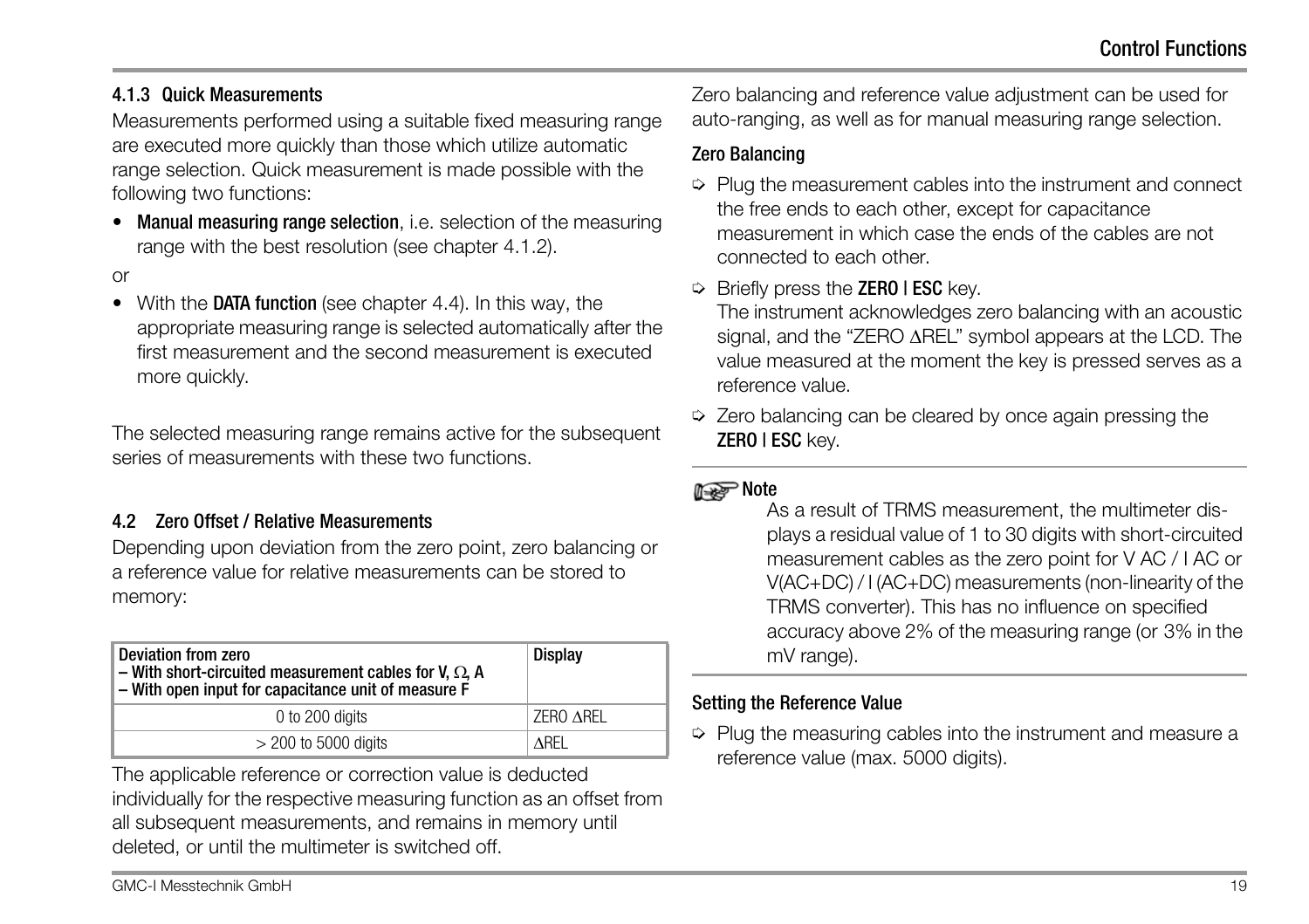#### <span id="page-18-0"></span>4.1.3 Quick Measurements

Measurements performed using a suitable fixed measuring range are executed more quickly than those which utilize automatic range selection. Quick measurement is made possible with the following two functions:

• Manual measuring range selection, i.e. selection of the measuring range with the best resolution (see [chapter 4.1.2\)](#page-17-3).

#### or

• With the DATA function (see [chapter 4.4\)](#page-20-0). In this way, the appropriate measuring range is selected automatically after the first measurement and the second measurement is executed more quickly.

The selected measuring range remains active for the subsequent series of measurements with these two functions.

#### <span id="page-18-2"></span><span id="page-18-1"></span>4.2 Zero Offset / Relative Measurements

Depending upon deviation from the zero point, zero balancing or a reference value for relative measurements can be stored to memory:

| Deviation from zero<br>- With short-circuited measurement cables for V, $\Omega$ , A<br>- With open input for capacitance unit of measure F | Display          |
|---------------------------------------------------------------------------------------------------------------------------------------------|------------------|
| 0 to 200 digits                                                                                                                             | <b>7FRO ARFL</b> |
| $>$ 200 to 5000 digits                                                                                                                      | ∧RFI             |

The applicable reference or correction value is deducted individually for the respective measuring function as an offset from all subsequent measurements, and remains in memory until deleted, or until the multimeter is switched off.

Zero balancing and reference value adjustment can be used for auto-ranging, as well as for manual measuring range selection.

#### Zero Balancing

 $\Rightarrow$  Plug the measurement cables into the instrument and connect the free ends to each other, except for capacitance measurement in which case the ends of the cables are not connected to each other.

#### $\Rightarrow$  Briefly press the **ZERO I ESC** key.

The instrument acknowledges zero balancing with an acoustic signal, and the "ZERO AREL" symbol appears at the LCD. The value measured at the moment the key is pressed serves as a reference value.

 $\Rightarrow$  Zero balancing can be cleared by once again pressing the ZERO I ESC key.

#### **Note**

As a result of TRMS measurement, the multimeter displays a residual value of 1 to 30 digits with short-circuited measurement cables as the zero point for V AC / I AC or V(AC+DC) / I (AC+DC) measurements (non-linearity of the TRMS converter). This has no influence on specified accuracy above 2% of the measuring range (or 3% in the mV range).

#### Setting the Reference Value

 $\Rightarrow$  Plug the measuring cables into the instrument and measure a reference value (max. 5000 digits).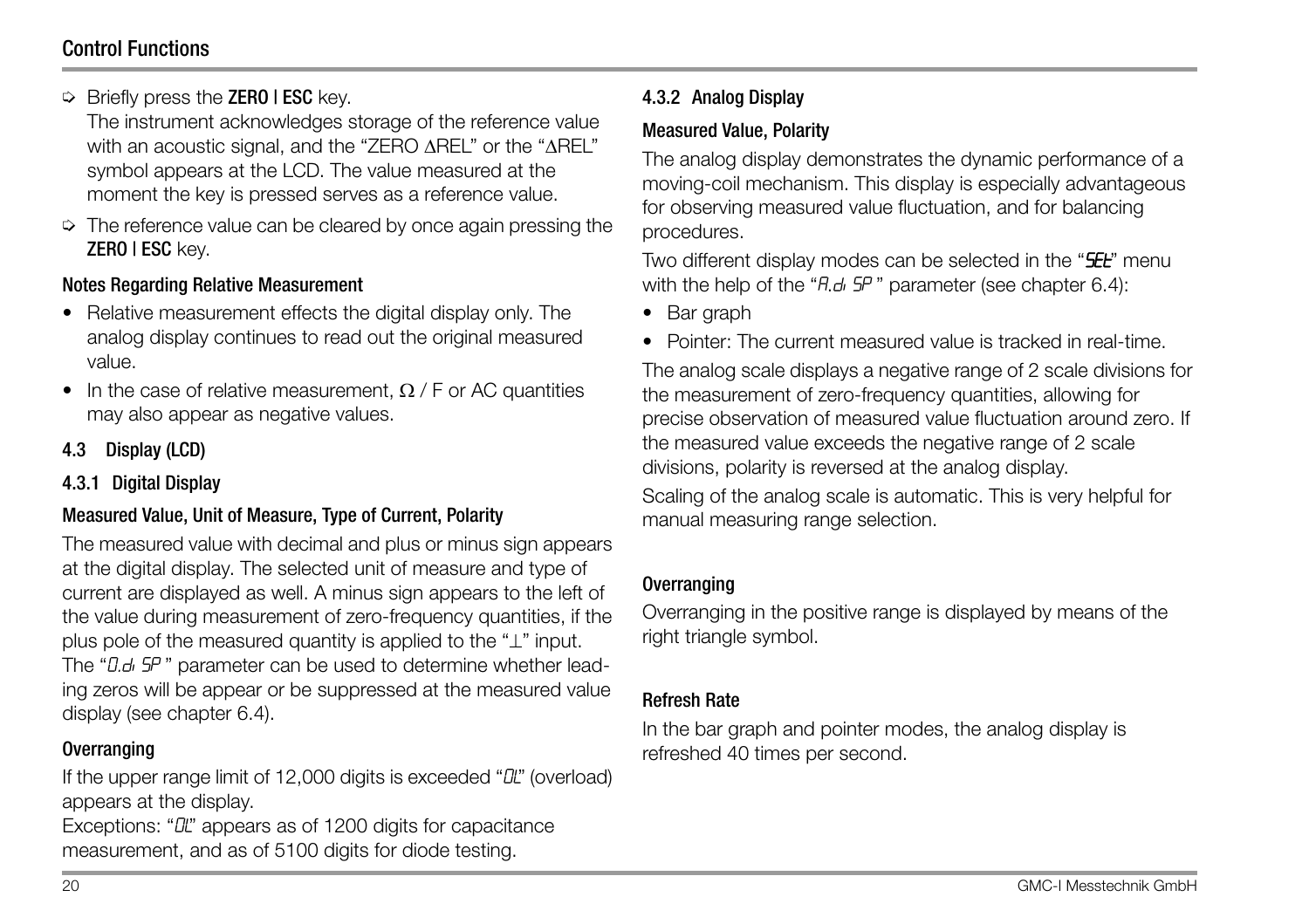#### Control Functions

 $\Rightarrow$  Briefly press the ZERO I ESC key.

The instrument acknowledges storage of the reference value with an acoustic signal, and the "ZERO AREL" or the "AREL" symbol appears at the LCD. The value measured at the moment the key is pressed serves as a reference value.

 $\Rightarrow$  The reference value can be cleared by once again pressing the ZERO I ESC kev.

#### Notes Regarding Relative Measurement

- Relative measurement effects the digital display only. The analog display continues to read out the original measured value.
- In the case of relative measurement,  $\Omega$  / F or AC quantities may also appear as negative values.

# <span id="page-19-3"></span><span id="page-19-0"></span>4.3 Display (LCD)

#### <span id="page-19-1"></span>4.3.1 Digital Display

#### Measured Value, Unit of Measure, Type of Current, Polarity

The measured value with decimal and plus or minus sign appears at the digital display. The selected unit of measure and type of current are displayed as well. A minus sign appears to the left of the value during measurement of zero-frequency quantities, if the plus pole of the measured quantity is applied to the " $\perp$ " input. The "D.di SP" parameter can be used to determine whether leading zeros will be appear or be suppressed at the measured value display (see [chapter 6.4](#page-47-3)).

#### **Overranging**

If the upper range limit of 12,000 digits is exceeded "DL" (overload) appears at the display.

Exceptions: "DL" appears as of 1200 digits for capacitance measurement, and as of 5100 digits for diode testing.

# <span id="page-19-2"></span>4.3.2 Analog Display

#### Measured Value, Polarity

The analog display demonstrates the dynamic performance of a moving-coil mechanism. This display is especially advantageous for observing measured value fluctuation, and for balancing procedures.

Two different display modes can be selected in the "**SEE**" menu with the help of the " $A.d.$   $5P$ " parameter (see [chapter 6.4\)](#page-47-3):

- Bar graph
- Pointer: The current measured value is tracked in real-time.

The analog scale displays a negative range of 2 scale divisions for the measurement of zero-frequency quantities, allowing for precise observation of measured value fluctuation around zero. If the measured value exceeds the negative range of 2 scale divisions, polarity is reversed at the analog display.

Scaling of the analog scale is automatic. This is very helpful for manual measuring range selection.

#### **Overranging**

Overranging in the positive range is displayed by means of the right triangle symbol.

#### Refresh Rate

In the bar graph and pointer modes, the analog display is refreshed 40 times per second.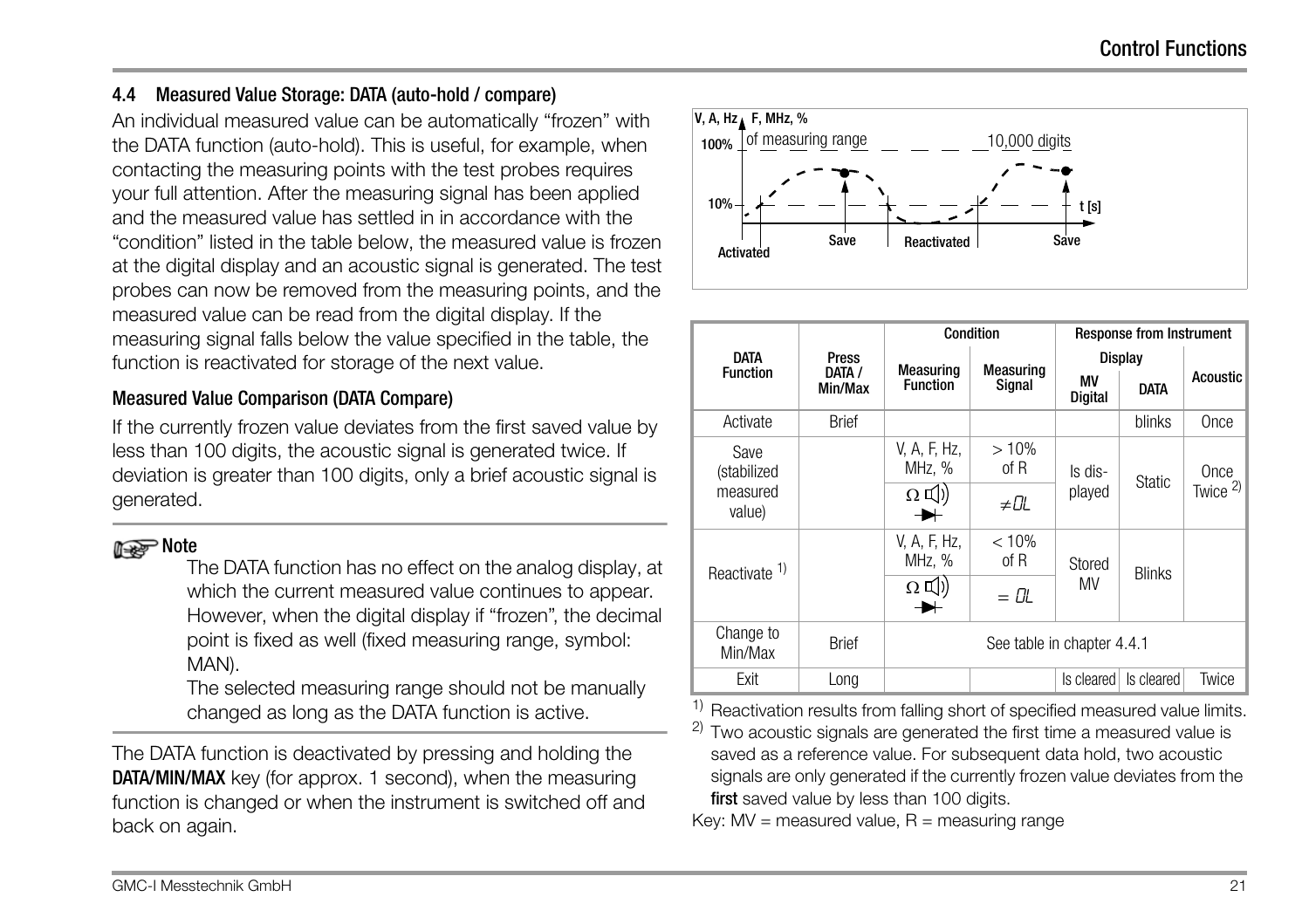#### <span id="page-20-1"></span><span id="page-20-0"></span>4.4 Measured Value Storage: DATA (auto-hold / compare)

An individual measured value can be automatically "frozen" with the DATA function (auto-hold). This is useful, for example, when contacting the measuring points with the test probes requires your full attention. After the measuring signal has been applied and the measured value has settled in in accordance with the "condition" listed in the table below, the measured value is frozen at the digital display and an acoustic signal is generated. The test probes can now be removed from the measuring points, and the measured value can be read from the digital display. If the measuring signal falls below the value specified in the table, the function is reactivated for storage of the next value.

#### Measured Value Comparison (DATA Compare)

If the currently frozen value deviates from the first saved value by less than 100 digits, the acoustic signal is generated twice. If deviation is greater than 100 digits, only a brief acoustic signal is generated.

# **Note** Note

The DATA function has no effect on the analog display, at which the current measured value continues to appear. However, when the digital display if "frozen", the decimal point is fixed as well (fixed measuring range, symbol: MAN).

The selected measuring range should not be manually changed as long as the DATA function is active.

The DATA function is deactivated by pressing and holding the **DATA/MIN/MAX** key (for approx. 1 second), when the measuring function is changed or when the instrument is switched off and back on again.

<span id="page-20-2"></span>

|                          |                   |                            | <b>Condition</b> |                      |               | <b>Response from Instrument</b> |  |
|--------------------------|-------------------|----------------------------|------------------|----------------------|---------------|---------------------------------|--|
| <b>DATA</b>              | <b>Press</b>      | <b>Measuring</b>           | Measuring        |                      | Display       |                                 |  |
| <b>Function</b>          | DATA /<br>Min/Max | <b>Function</b>            | Signal           | ΜV<br><b>Digital</b> | <b>DATA</b>   | <b>Acoustic</b>                 |  |
| Activate                 | <b>Brief</b>      |                            |                  |                      | blinks        | Once                            |  |
| Save<br>(stabilized      |                   | V, A, F, Hz,<br>MHz, %     | >10%<br>of R     | ls dis-              | <b>Static</b> | Once<br>Twice $2$ )             |  |
| measured<br>value)       |                   | $\Omega$ $\Box$ )<br>┻     | ≠OL              | played               |               |                                 |  |
| Reactivate <sup>1)</sup> |                   | V, A, F, Hz,<br>MHz, %     | < 10%<br>of R    | Stored               | <b>Blinks</b> |                                 |  |
|                          |                   | $\Omega$ $\Box$ )<br>➤     | $= \Pi$          | MV                   |               |                                 |  |
| Change to<br>Min/Max     | <b>Brief</b>      | See table in chapter 4.4.1 |                  |                      |               |                                 |  |
| Exit                     | Long              |                            |                  | Is cleared           | Is cleared    | Twice                           |  |

<sup>1)</sup> Reactivation results from falling short of specified measured value limits.<br><sup>2)</sup> Two acquistic signals are generated the first time a measured value is

Two acoustic signals are generated the first time a measured value is saved as a reference value. For subsequent data hold, two acoustic signals are only generated if the currently frozen value deviates from the first saved value by less than 100 digits.

Key:  $MV = measured value$ ,  $R = measuring range$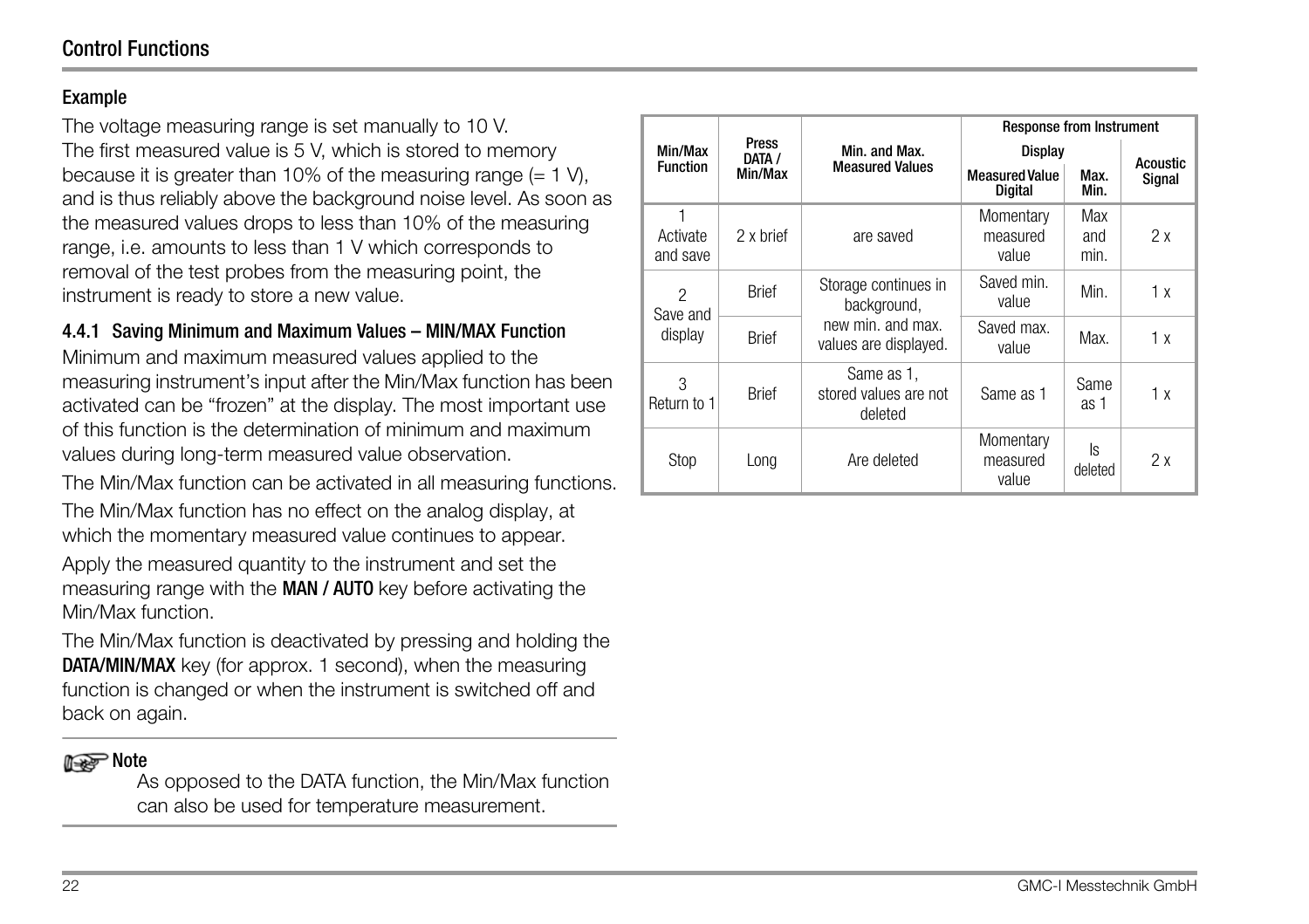#### Example

The voltage measuring range is set manually to 10 V. The first measured value is 5 V, which is stored to memory because it is greater than 10% of the measuring range  $(= 1 \text{ V})$ , and is thus reliably above the background noise level. As soon as the measured values drops to less than 10% of the measuring range, i.e. amounts to less than 1 V which corresponds to removal of the test probes from the measuring point, the instrument is ready to store a new value.

#### <span id="page-21-0"></span>4.4.1 Saving Minimum and Maximum Values – MIN/MAX Function

Minimum and maximum measured values applied to the measuring instrument's input after the Min/Max function has been activated can be "frozen" at the display. The most important use of this function is the determination of minimum and maximum values during long-term measured value observation.

The Min/Max function can be activated in all measuring functions. The Min/Max function has no effect on the analog display, at which the momentary measured value continues to appear. Apply the measured quantity to the instrument and set the measuring range with the MAN / AUTO key before activating the Min/Max function.

The Min/Max function is deactivated by pressing and holding the **DATA/MIN/MAX** key (for approx. 1 second), when the measuring function is changed or when the instrument is switched off and back on again.

#### **Note**

As opposed to the DATA function, the Min/Max function can also be used for temperature measurement.

<span id="page-21-1"></span>

|                      |                                   |                                                | <b>Response from Instrument</b>  |                    |        |
|----------------------|-----------------------------------|------------------------------------------------|----------------------------------|--------------------|--------|
| Min/Max              | Press<br>Min. and Max.<br>DATA /  | Display                                        | Acoustic                         |                    |        |
| <b>Function</b>      | <b>Measured Values</b><br>Min/Max |                                                | <b>Measured Value</b><br>Digital | Max.<br>Min.       | Signal |
| Activate<br>and save | 2 x brief                         | are saved                                      | Momentary<br>measured<br>value   | Max<br>and<br>min. | 2x     |
| 2<br>Save and        | <b>Brief</b>                      | Storage continues in<br>background,            | Saved min.<br>value              | Min.               | 1 x    |
| display              | <b>Rrief</b>                      | new min. and max.<br>values are displayed.     | Saved max.<br>value              | Max.               | 1 x    |
| 3<br>Return to 1     | <b>Rrief</b>                      | Same as 1,<br>stored values are not<br>deleted | Same as 1                        | Same<br>as 1       | 1 x    |
| Stop                 | Long                              | Are deleted                                    | Momentary<br>measured<br>value   | ls<br>deleted      | 2x     |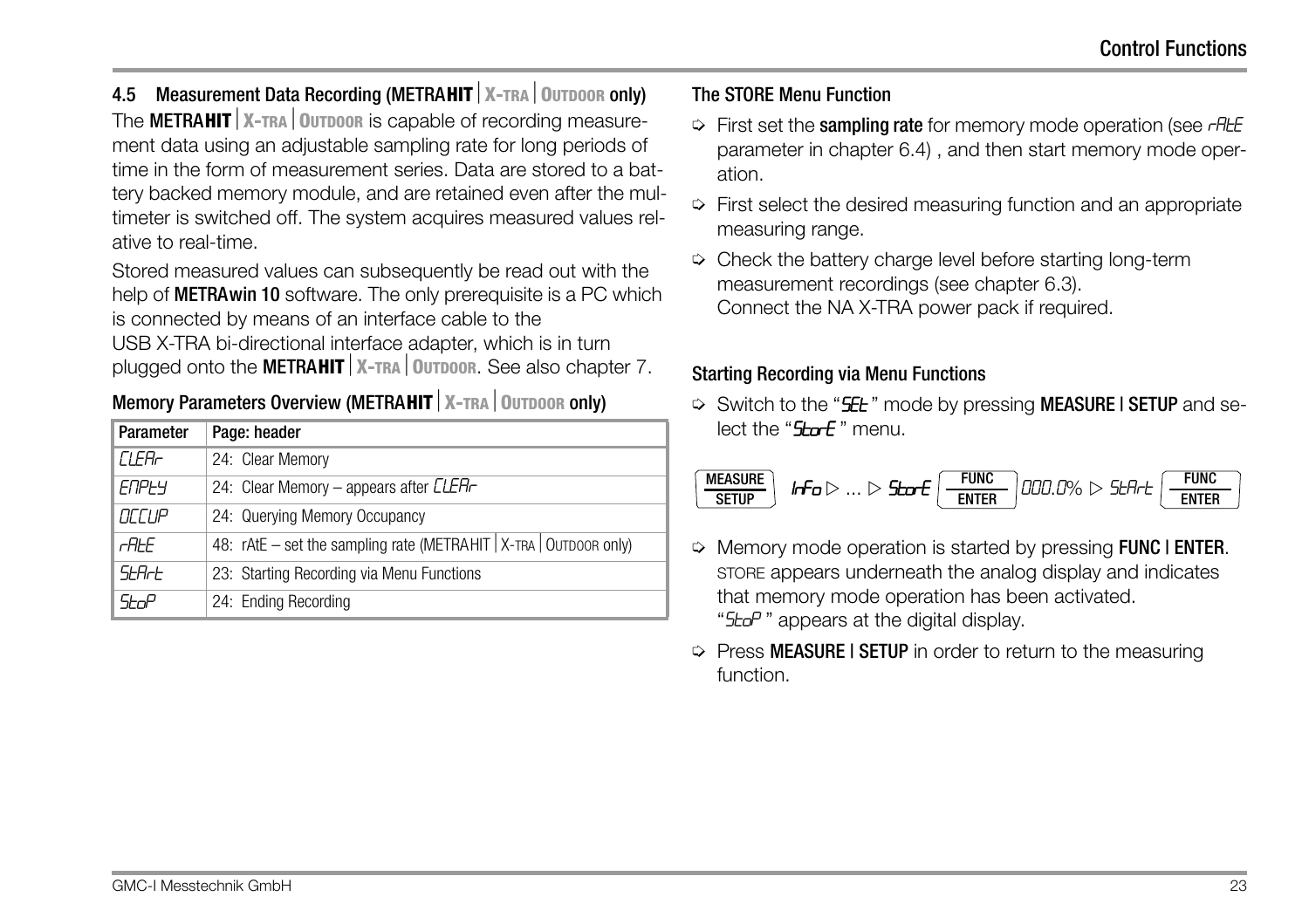<span id="page-22-2"></span><span id="page-22-0"></span>**4.5 Measurement Data Recording (METRAHIT** | X-TRA | OUTDOOR only) The METRA**HITX-TRAOUTDOOR** is capable of recording measurement data using an adjustable sampling rate for long periods of time in the form of measurement series. Data are stored to a battery backed memory module, and are retained even after the multimeter is switched off. The system acquires measured values relative to real-time.

Stored measured values can subsequently be read out with the help of **METRAwin 10** software. The only prerequisite is a PC which is connected by means of an interface cable to the

USB X-TRA bi-directional interface adapter, which is in turn plugged onto the METRA**HITX-TRAOUTDOOR**. See also [chapter 7](#page-51-2).

# Memory Parameters Overview (METRAHIT X-TRA OUTDOOR only)

| Parameter    | Page: header                                                                |
|--------------|-----------------------------------------------------------------------------|
| <b>FIFR-</b> | 24: Clear Memory                                                            |
| <b>FNPF4</b> | 24: Clear Memory – appears after <i>CLER-</i>                               |
| <b>NCCUP</b> | 24: Querying Memory Occupancy                                               |
| <b>AHF</b>   | 48: $rA \times E$ – set the sampling rate (METRAHIT   X-TRA   OUTDOOR only) |
| <i>SHArt</i> | 23: Starting Recording via Menu Functions                                   |
| Stop         | 24: Ending Recording                                                        |

#### The STORE Menu Function

- $\Rightarrow$  First set the sampling rate for memory mode operation (see  $rH \& F$ parameter in [chapter 6.4](#page-47-3)) , and then start memory mode operation.
- $\Rightarrow$  First select the desired measuring function and an appropriate measuring range.
- $\heartsuit$  Check the battery charge level before starting long-term measurement recordings (see [chapter 6.3](#page-47-2)). Connect the NA X-TRA power pack if required.

# <span id="page-22-3"></span><span id="page-22-1"></span>Starting Recording via Menu Functions

 $\Diamond$  Switch to the "SEL" mode by pressing MEASURE I SETUP and select the "**StorE**" menu.



- $\Rightarrow$  Memory mode operation is started by pressing FUNC I ENTER. STORE appears underneath the analog display and indicates that memory mode operation has been activated. "StoP" appears at the digital display.
- $\Rightarrow$  Press MEASURE I SETUP in order to return to the measuring function.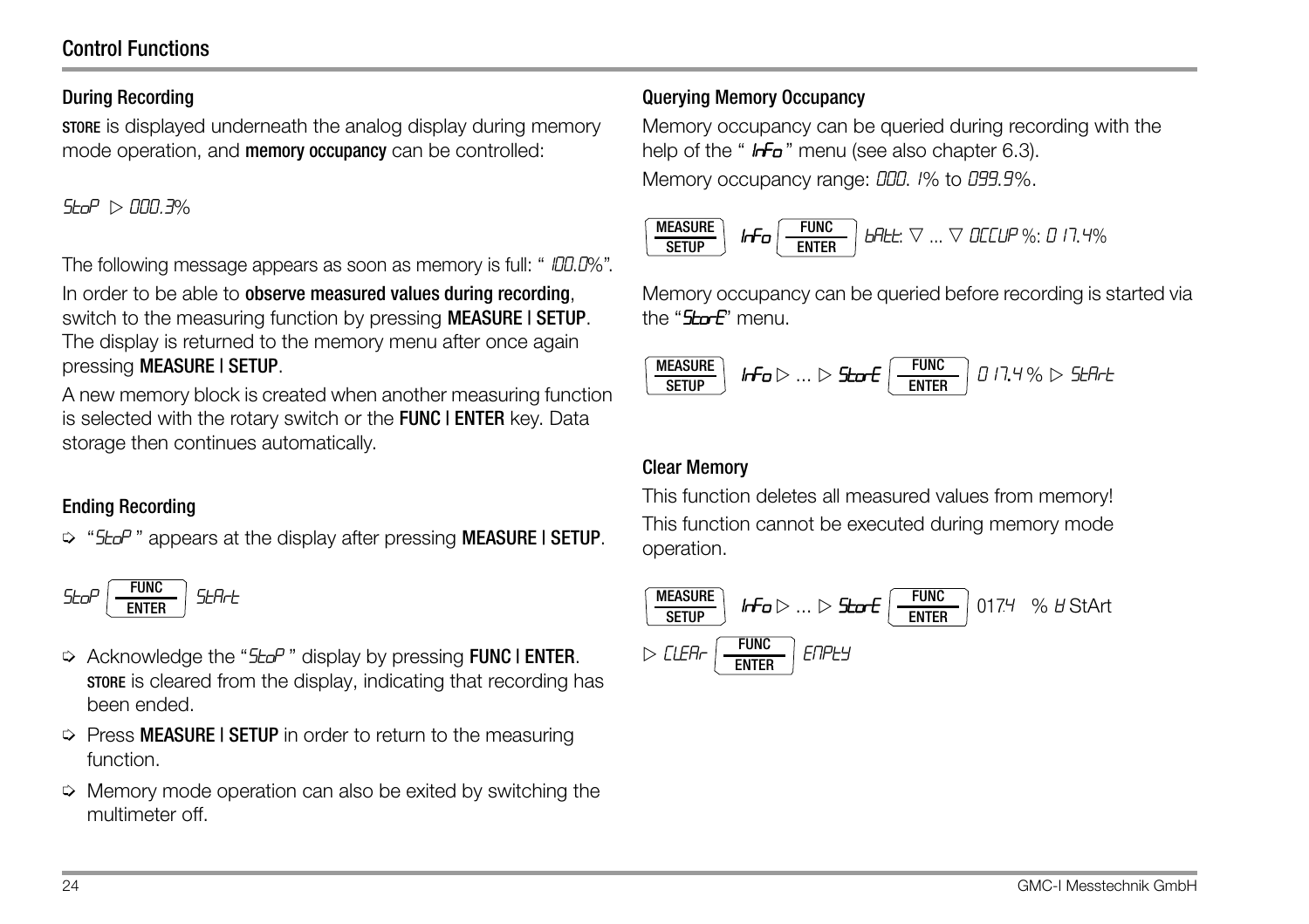#### Control Functions

#### During Recording

STORE is displayed underneath the analog display during memory mode operation, and **memory occupancy** can be controlled:

 $5 - P > 000.3\%$ 

The following message appears as soon as memory is full: "  $100.0\%$ ".

In order to be able to **observe measured values during recording.** switch to the measuring function by pressing **MEASURE | SETUP.** The display is returned to the memory menu after once again pressing MEASURE | SETUP.

A new memory block is created when another measuring function is selected with the rotary switch or the FUNC I ENTER key. Data storage then continues automatically.

# <span id="page-23-1"></span>Ending Recording

 $\Rightarrow$  "Sto<sup>p</sup>" appears at the display after pressing **MEASURE | SETUP.** 

$$
\text{StoP}\left(\begin{array}{c}\text{FUNC} \\ \hline \text{ENTER}\end{array}\right)\text{StRrt}
$$

- $\Rightarrow$  Acknowledge the "5 to P " display by pressing FUNC | ENTER. STORE is cleared from the display, indicating that recording has been ended.
- $\Rightarrow$  Press MEASURE I SETUP in order to return to the measuring function.
- $\Rightarrow$  Memory mode operation can also be exited by switching the multimeter off.

# <span id="page-23-2"></span>Querying Memory Occupancy

Memory occupancy can be queried during recording with the help of the " $l$  $r$ - $\overline{r}$ " menu (see also [chapter 6.3](#page-47-2)).

Memory occupancy range: 000. 1% to 099.9%.

$$
\begin{array}{|c|c|c|c|}\hline \textbf{MEASURE} \\ \hline \textbf{SETUP} & \textbf{hFo} \begin{array}{|c|c|c|}\hline \textbf{FUNC} \\ \hline \textbf{ENTER} \\ \hline \end{array} \end{array} \textbf{bRLE:} \ \nabla \ ... \ \nabla \ \textbf{DECUP}\ \% \textbf{:}\ \textbf{D} \ \textbf{17.4}\%
$$

Memory occupancy can be queried before recording is started via the "StorE" menu.

$$
\begin{array}{|l|l|}\hline \text{MEASURE} \\ \hline \text{SETUP} \end{array} \textit{lr}\textbf{Fo} \triangleright ... \triangleright \textbf{S} \textbf{L}\textbf{or} \textbf{E} \begin{array}{|l|l|}\hline \text{FUNC} \\ \hline \text{ENTER} \end{array} \textit{0 17.4\%} \triangleright \textit{5} \textit{L}\textit{H}\textit{-t}
$$

#### <span id="page-23-0"></span>Clear Memory

This function deletes all measured values from memory! This function cannot be executed during memory mode operation.

$$
\begin{array}{ll}\n\text{MEASURE} & \text{If } \sigma \rhd \dots \rhd \text{State} \\
\hline\n\text{SETUP} & \text{H} & \text{F} & \text{F} \\
\hline\n\text{E} & \text{H} & \text{F} \\
\hline\n\end{array}
$$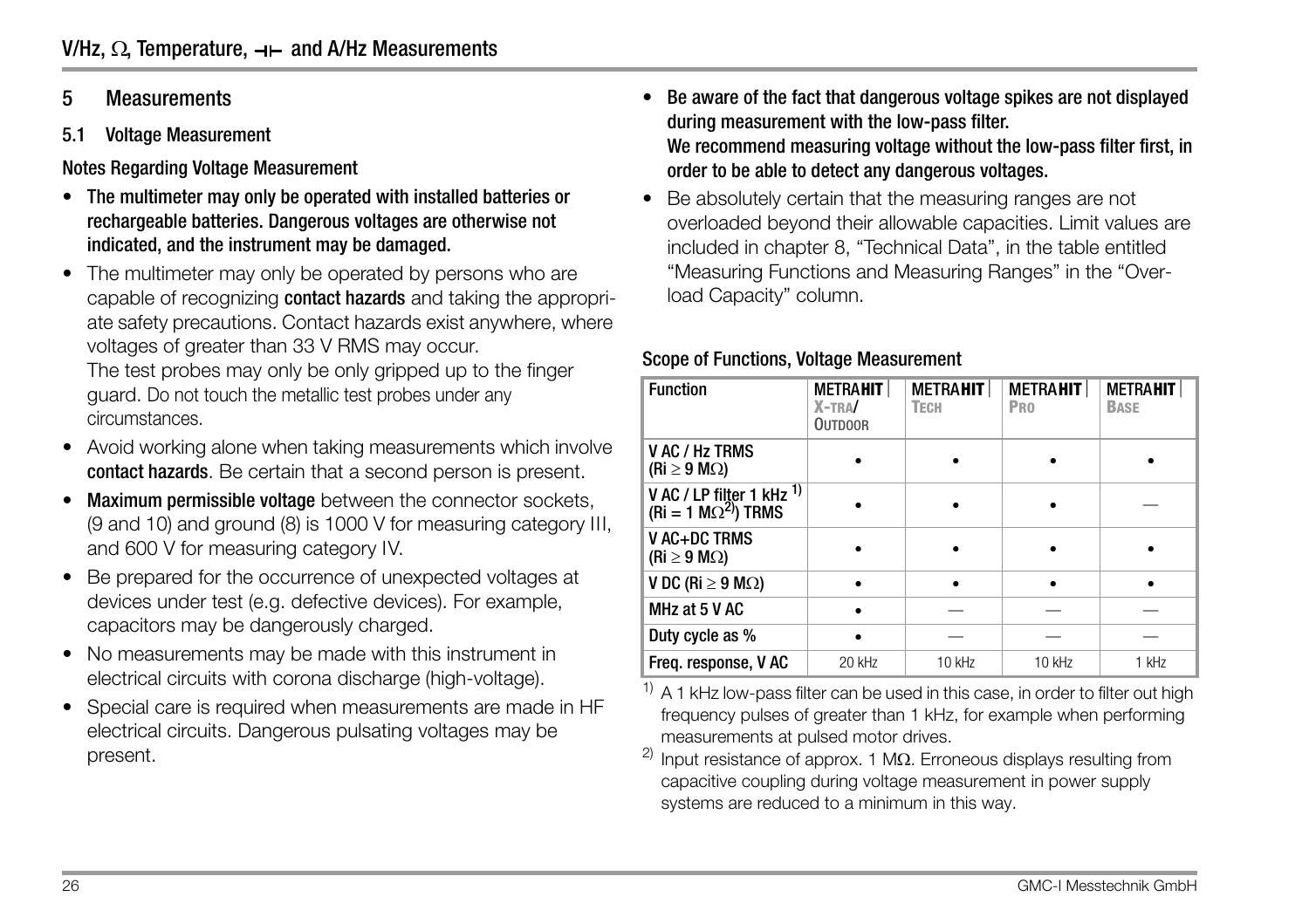#### <span id="page-25-2"></span><span id="page-25-0"></span>5 Measurements

<span id="page-25-1"></span>5.1 Voltage Measurement

<span id="page-25-3"></span>Notes Regarding Voltage Measurement

- The multimeter may only be operated with installed batteries or rechargeable batteries. Dangerous voltages are otherwise not indicated, and the instrument may be damaged.
- The multimeter may only be operated by persons who are capable of recognizing contact hazards and taking the appropriate safety precautions. Contact hazards exist anywhere, where voltages of greater than 33 V RMS may occur. The test probes may only be only gripped up to the finger guard. Do not touch the metallic test probes under any circumstances.
- Avoid working alone when taking measurements which involve contact hazards. Be certain that a second person is present.
- Maximum permissible voltage between the connector sockets, (9 and 10) and ground (8) is 1000 V for measuring category III, and 600 V for measuring category IV.
- Be prepared for the occurrence of unexpected voltages at devices under test (e.g. defective devices). For example, capacitors may be dangerously charged.
- No measurements may be made with this instrument in electrical circuits with corona discharge (high-voltage).
- Special care is required when measurements are made in HF electrical circuits. Dangerous pulsating voltages may be present.
- Be aware of the fact that dangerous voltage spikes are not displayed during measurement with the low-pass filter. We recommend measuring voltage without the low-pass filter first, in order to be able to detect any dangerous voltages.
- Be absolutely certain that the measuring ranges are not overloaded beyond their allowable capacities. Limit values are included in [chapter 8, "Technical Data"](#page-53-1), in the table entitled "Measuring Functions and Measuring Ranges" in the "Overload Capacity" column.

#### <span id="page-25-4"></span>Scope of Functions, Voltage Measurement

| <b>Function</b>                                           | <b>METRAHIT</b><br>$X-TRA$<br><b>OUTDOOR</b> | <b>METRAHIT</b><br>ТЕСН | <b>METRAHIT</b><br>PRO | <b>METRAHIT</b><br><b>BASE</b> |
|-----------------------------------------------------------|----------------------------------------------|-------------------------|------------------------|--------------------------------|
| V AC / Hz TRMS<br>(Ri $\geq$ 9 M $\Omega$ )               |                                              |                         |                        |                                |
| V AC / LP filter 1 kHz $1$<br>$(Ri = 1 M\Omega^{2})$ TRMS |                                              |                         |                        |                                |
| V AC+DC TRMS<br>(Ri $\geq$ 9 M $\Omega$ )                 |                                              |                         |                        |                                |
| V DC (Ri $\geq$ 9 M $\Omega$ )                            |                                              |                         |                        |                                |
| MHz at 5 V AC                                             |                                              |                         |                        |                                |
| Duty cycle as %                                           |                                              |                         |                        |                                |
| Freq. response, V AC                                      | 20 kHz                                       | 10 kHz                  | 10 kHz                 | 1 kHz                          |

 $1)$  A 1 kHz low-pass filter can be used in this case, in order to filter out high frequency pulses of greater than 1 kHz, for example when performing measurements at pulsed motor drives.

<sup>2)</sup> Input resistance of approx. 1 M $\Omega$ . Erroneous displays resulting from capacitive coupling during voltage measurement in power supply systems are reduced to a minimum in this way.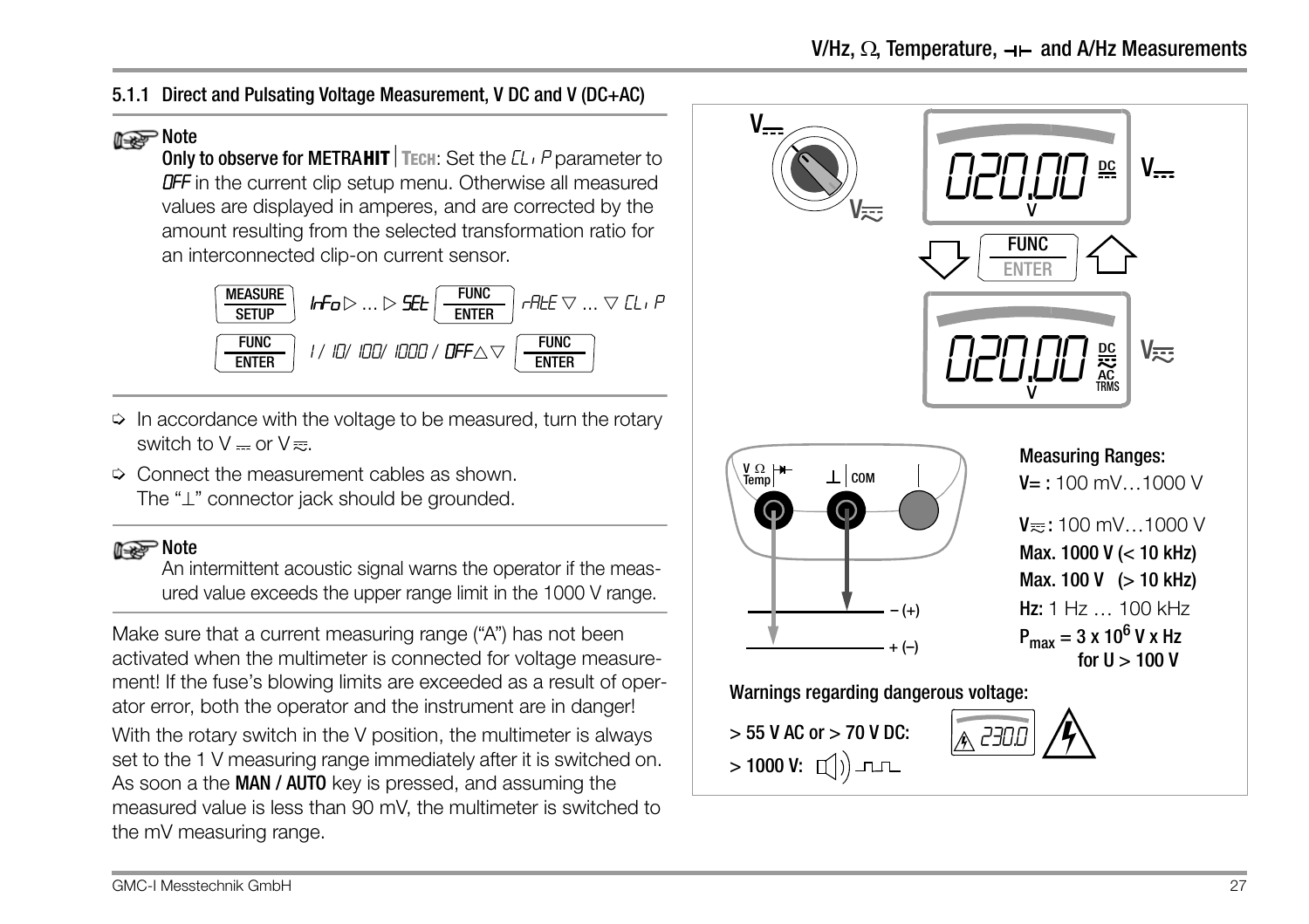### <span id="page-26-0"></span>5.1.1 Direct and Pulsating Voltage Measurement, V DC and V (DC+AC)

#### **Note** Note

Only to observe for METRAHIT TECH: Set the *EL<sub>i</sub>P* parameter to **OFF** in the current clip setup menu. Otherwise all measured values are displayed in amperes, and are corrected by the amount resulting from the selected transformation ratio for an interconnected clip-on current sensor.



- $\Rightarrow$  In accordance with the voltage to be measured, turn the rotary switch to  $V =$  or  $V =$ .
- $\Diamond$  Connect the measurement cables as shown. The " $\perp$ " connector jack should be grounded.

# **Note** Note

An intermittent acoustic signal warns the operator if the measured value exceeds the upper range limit in the 1000 V range.

Make sure that a current measuring range ("A") has not been activated when the multimeter is connected for voltage measurement! If the fuse's blowing limits are exceeded as a result of operator error, both the operator and the instrument are in danger!

With the rotary switch in the V position, the multimeter is always set to the 1 V measuring range immediately after it is switched on. As soon a the **MAN / AUTO** key is pressed, and assuming the measured value is less than 90 mV, the multimeter is switched to the mV measuring range.

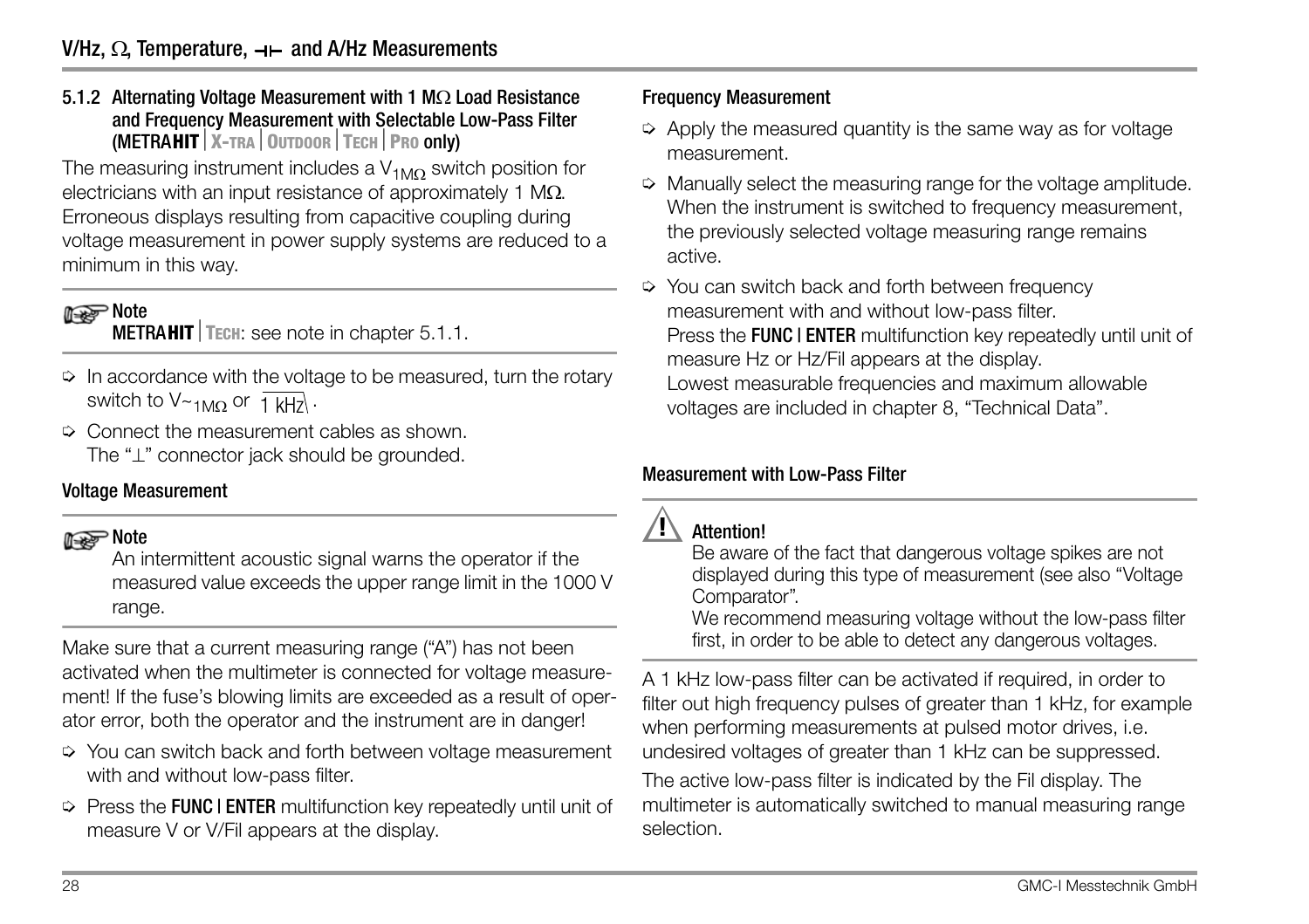#### <span id="page-27-0"></span>5.1.2 Alternating Voltage Measurement with 1 M $\Omega$  Load Resistance and Frequency Measurement with Selectable Low-Pass Filter (METRA**HITX-TRAOUTDOORTECHPRO** only)

The measuring instrument includes a  $V_{1MO}$  switch position for electricians with an input resistance of approximately 1 M $\Omega$ . Erroneous displays resulting from capacitive coupling during voltage measurement in power supply systems are reduced to a minimum in this way.

# **Note**

**METRAHIT** TECH: see note in [chapter 5.1.1.](#page-26-0)

- $\Rightarrow$  In accordance with the voltage to be measured, turn the rotary switch to V $\sim_{1 \, \text{M}\Omega}$  or  $\overline{1 \text{ kHz}}$  .
- $\Diamond$  Connect the measurement cables as shown. The " $\perp$ " connector jack should be grounded.

# Voltage Measurement

# **Note**

An intermittent acoustic signal warns the operator if the measured value exceeds the upper range limit in the 1000 V range.

Make sure that a current measuring range ("A") has not been activated when the multimeter is connected for voltage measurement! If the fuse's blowing limits are exceeded as a result of operator error, both the operator and the instrument are in danger!

- Ð You can switch back and forth between voltage measurement with and without low-pass filter.
- $\Rightarrow$  Press the FUNC I ENTER multifunction key repeatedly until unit of measure V or V/Fil appears at the display.

#### Frequency Measurement

- $\Rightarrow$  Apply the measured quantity is the same way as for voltage measurement.
- $\Diamond$  Manually select the measuring range for the voltage amplitude. When the instrument is switched to frequency measurement, the previously selected voltage measuring range remains active.
- You can switch back and forth between frequency measurement with and without low-pass filter. Press the **FUNC | ENTER** multifunction key repeatedly until unit of measure Hz or Hz/Fil appears at the display. Lowest measurable frequencies and maximum allowable voltages are included in [chapter 8, "Technical Data"](#page-53-1).

# Measurement with Low-Pass Filter



Be aware of the fact that dangerous voltage spikes are not displayed during this type of measurement (see also "Voltage Comparator".

We recommend measuring voltage without the low-pass filter first, in order to be able to detect any dangerous voltages.

A 1 kHz low-pass filter can be activated if required, in order to filter out high frequency pulses of greater than 1 kHz, for example when performing measurements at pulsed motor drives, i.e. undesired voltages of greater than 1 kHz can be suppressed. The active low-pass filter is indicated by the Fil display. The multimeter is automatically switched to manual measuring range selection.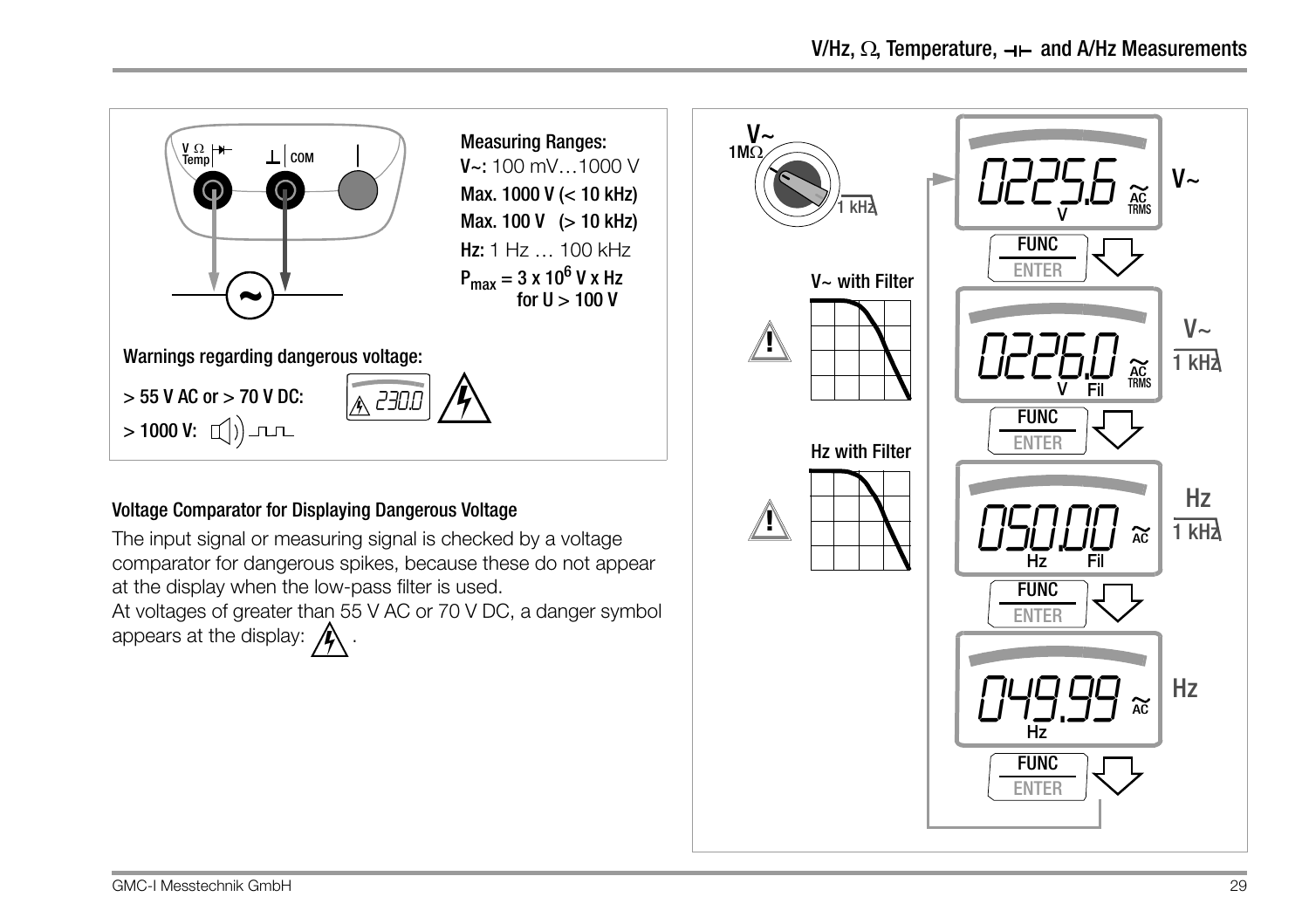

<span id="page-28-0"></span>At voltages of greater than 55 V AC or 70 V DC, a danger symbol appears at the display:  $\bigwedge$ 

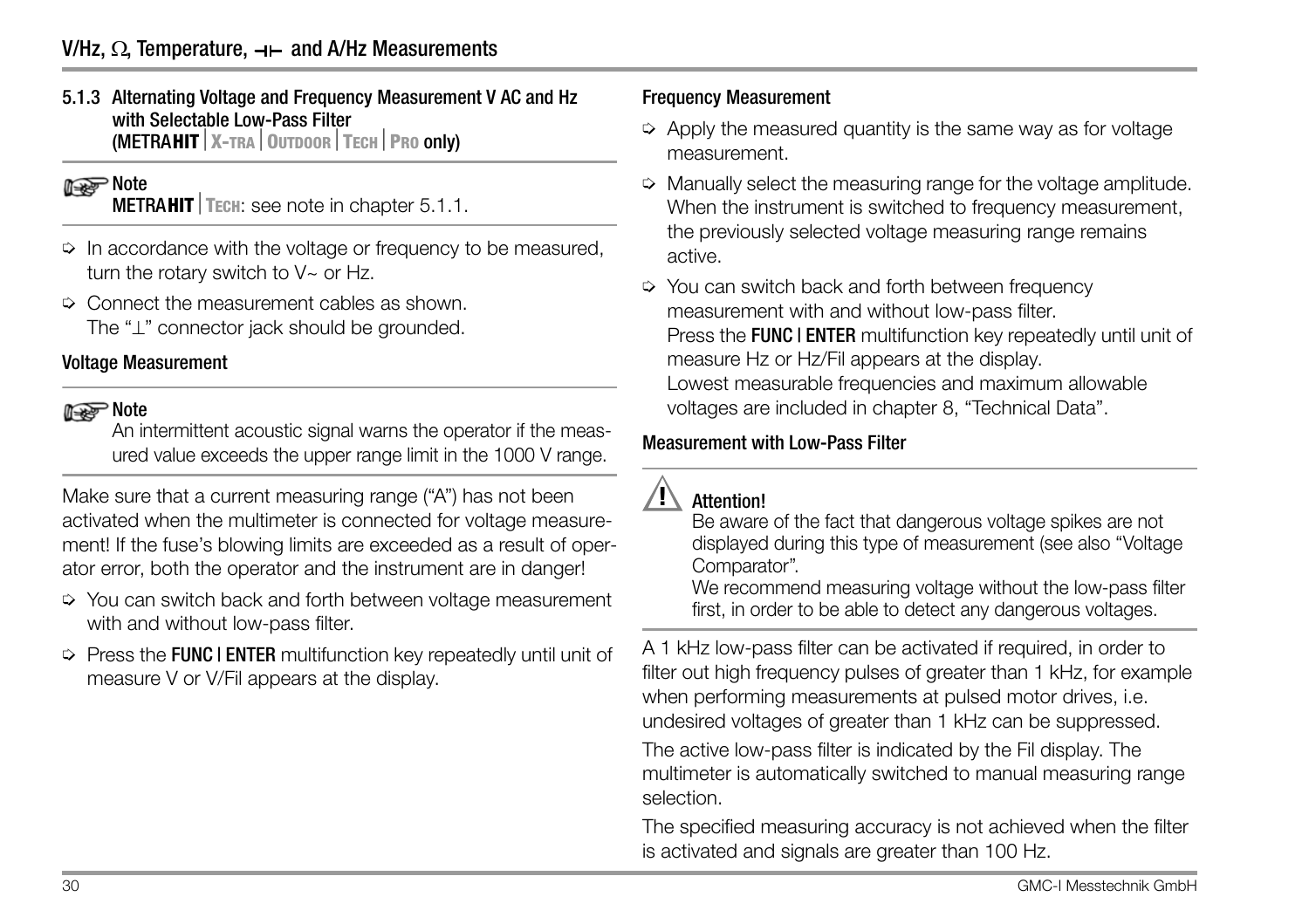#### V/Hz,  $\Omega$ , Temperature,  $\neg$  m and A/Hz Measurements

<span id="page-29-0"></span>5.1.3 Alternating Voltage and Frequency Measurement V AC and Hz with Selectable Low-Pass Filter (METRA**HITX-TRAOUTDOORTECHPRO** only)

# **Note**

METRA**HITTECH**: see note in [chapter 5.1.1.](#page-26-0)

- $\Rightarrow$  In accordance with the voltage or frequency to be measured, turn the rotary switch to V~ or Hz.
- $\Diamond$  Connect the measurement cables as shown. The " $\perp$ " connector jack should be grounded.

#### Voltage Measurement

# **Note**

An intermittent acoustic signal warns the operator if the measured value exceeds the upper range limit in the 1000 V range.

Make sure that a current measuring range ("A") has not been activated when the multimeter is connected for voltage measurement! If the fuse's blowing limits are exceeded as a result of operator error, both the operator and the instrument are in danger!

- Ð You can switch back and forth between voltage measurement with and without low-pass filter.
- $\Rightarrow$  Press the **FUNC** | **ENTER** multifunction key repeatedly until unit of measure V or V/Fil appears at the display.

#### Frequency Measurement

- $\Rightarrow$  Apply the measured quantity is the same way as for voltage measurement.
- $\Diamond$  Manually select the measuring range for the voltage amplitude. When the instrument is switched to frequency measurement, the previously selected voltage measuring range remains active.
- $\Diamond$  You can switch back and forth between frequency measurement with and without low-pass filter. Press the **FUNC | ENTER** multifunction key repeatedly until unit of measure Hz or Hz/Fil appears at the display. Lowest measurable frequencies and maximum allowable voltages are included in [chapter 8, "Technical Data"](#page-53-1).

#### Measurement with Low-Pass Filter



**!** Attention!

Be aware of the fact that dangerous voltage spikes are not displayed during this type of measurement (see also "Voltage Comparator".

We recommend measuring voltage without the low-pass filter first, in order to be able to detect any dangerous voltages.

A 1 kHz low-pass filter can be activated if required, in order to filter out high frequency pulses of greater than 1 kHz, for example when performing measurements at pulsed motor drives, i.e. undesired voltages of greater than 1 kHz can be suppressed.

The active low-pass filter is indicated by the Fil display. The multimeter is automatically switched to manual measuring range selection.

The specified measuring accuracy is not achieved when the filter is activated and signals are greater than 100 Hz.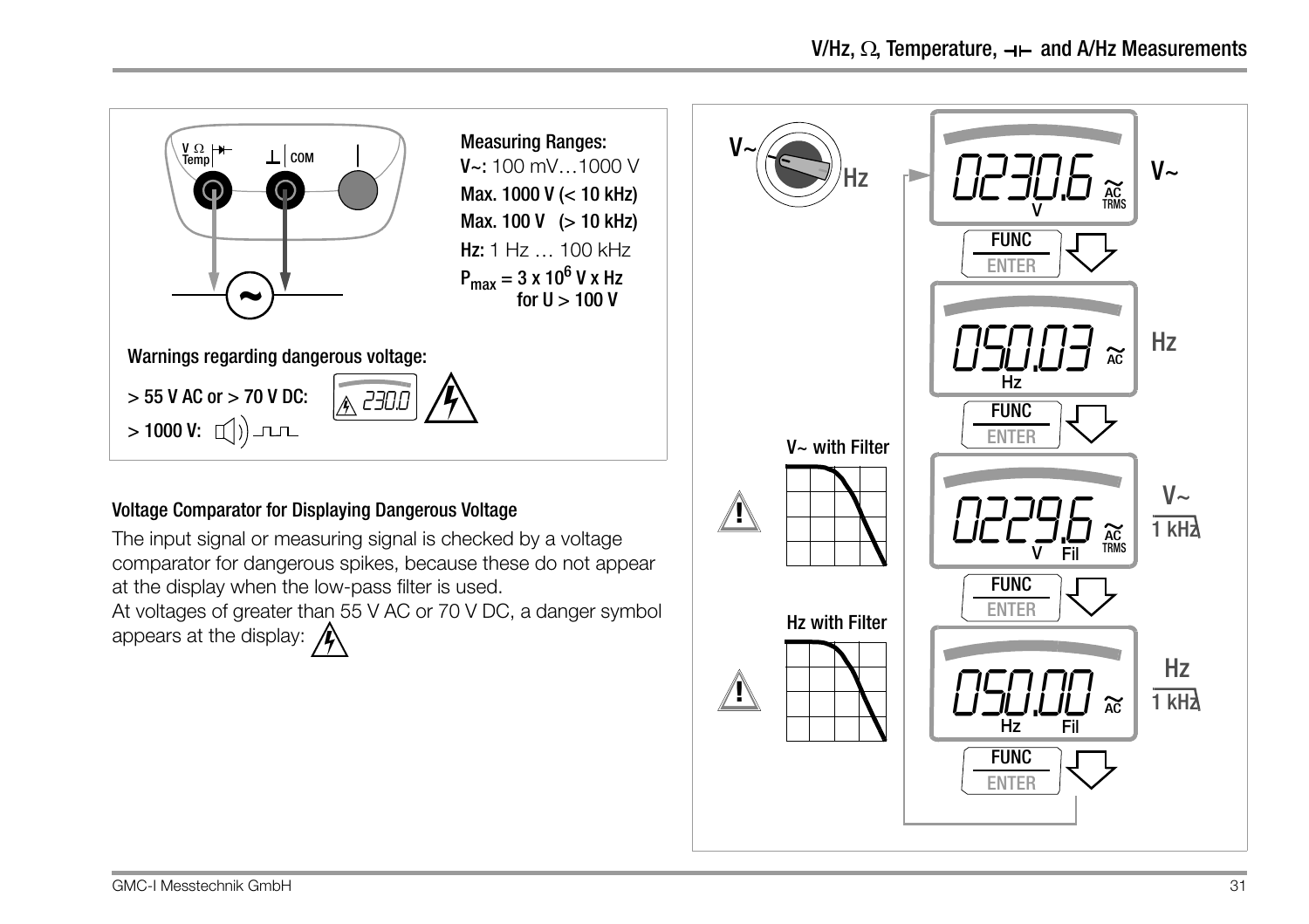<span id="page-30-0"></span>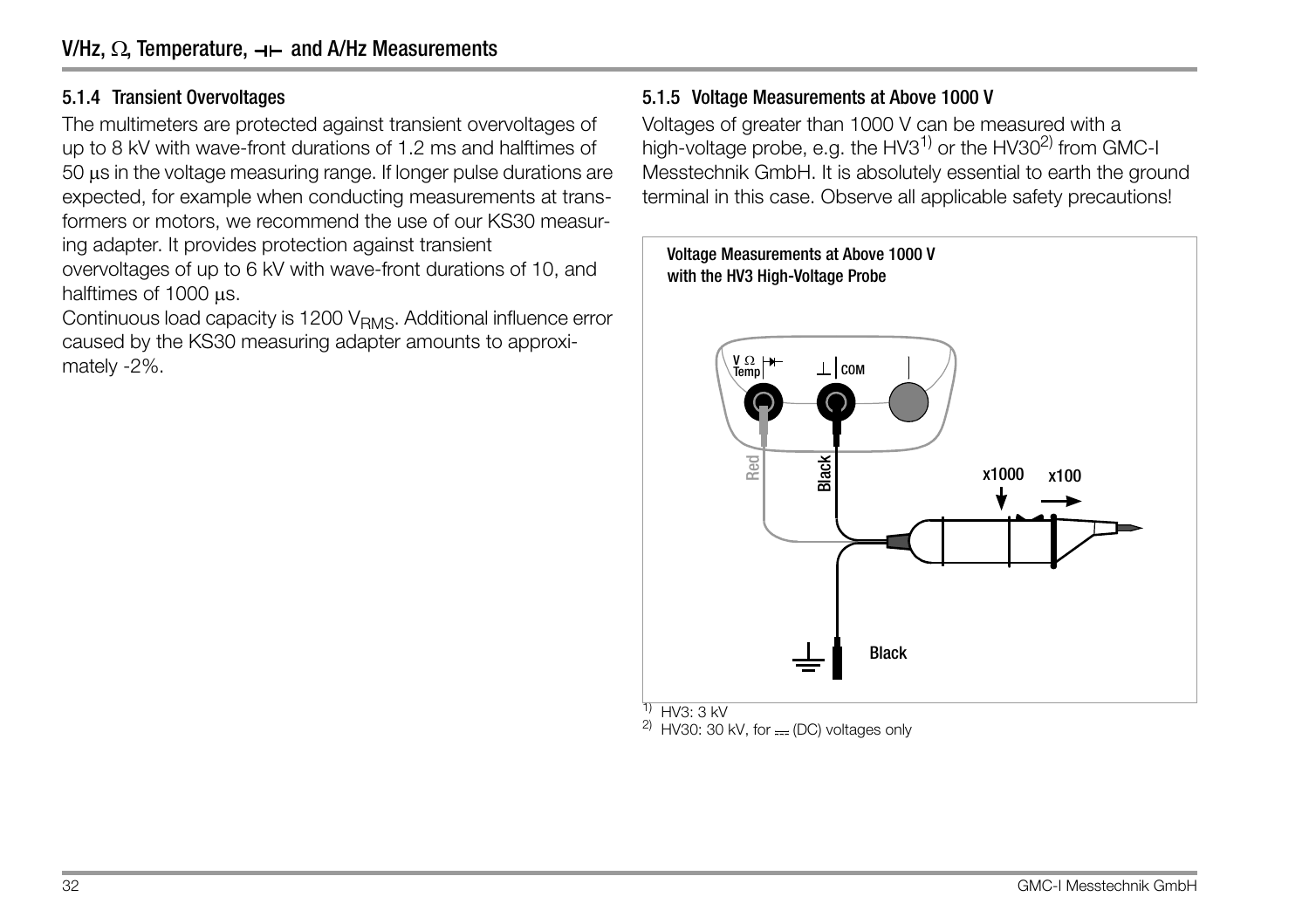#### <span id="page-31-0"></span>5.1.4 Transient Overvoltages

The multimeters are protected against transient overvoltages of up to 8 kV with wave-front durations of 1.2 ms and halftimes of  $50 \,\mu s$  in the voltage measuring range. If longer pulse durations are expected, for example when conducting measurements at transformers or motors, we recommend the use of our KS30 measuring adapter. It provides protection against transient

overvoltages of up to 6 kV with wave-front durations of 10, and halftimes of  $1000 \mu s$ .

Continuous load capacity is 1200 V<sub>RMS</sub>. Additional influence error caused by the KS30 measuring adapter amounts to approximately -2%.

#### <span id="page-31-2"></span><span id="page-31-1"></span>5.1.5 Voltage Measurements at Above 1000 V

Voltages of greater than 1000 V can be measured with a high-voltage probe, e.g. the HV3<sup>1)</sup> or the HV30<sup>2)</sup> from GMC-I Messtechnik GmbH. It is absolutely essential to earth the ground terminal in this case. Observe all applicable safety precautions!

![](_page_31_Figure_7.jpeg)

 $1)$  HV3 $\cdot$  3 kV  $2)$  HV30: 30 kV, for  $=$  (DC) voltages only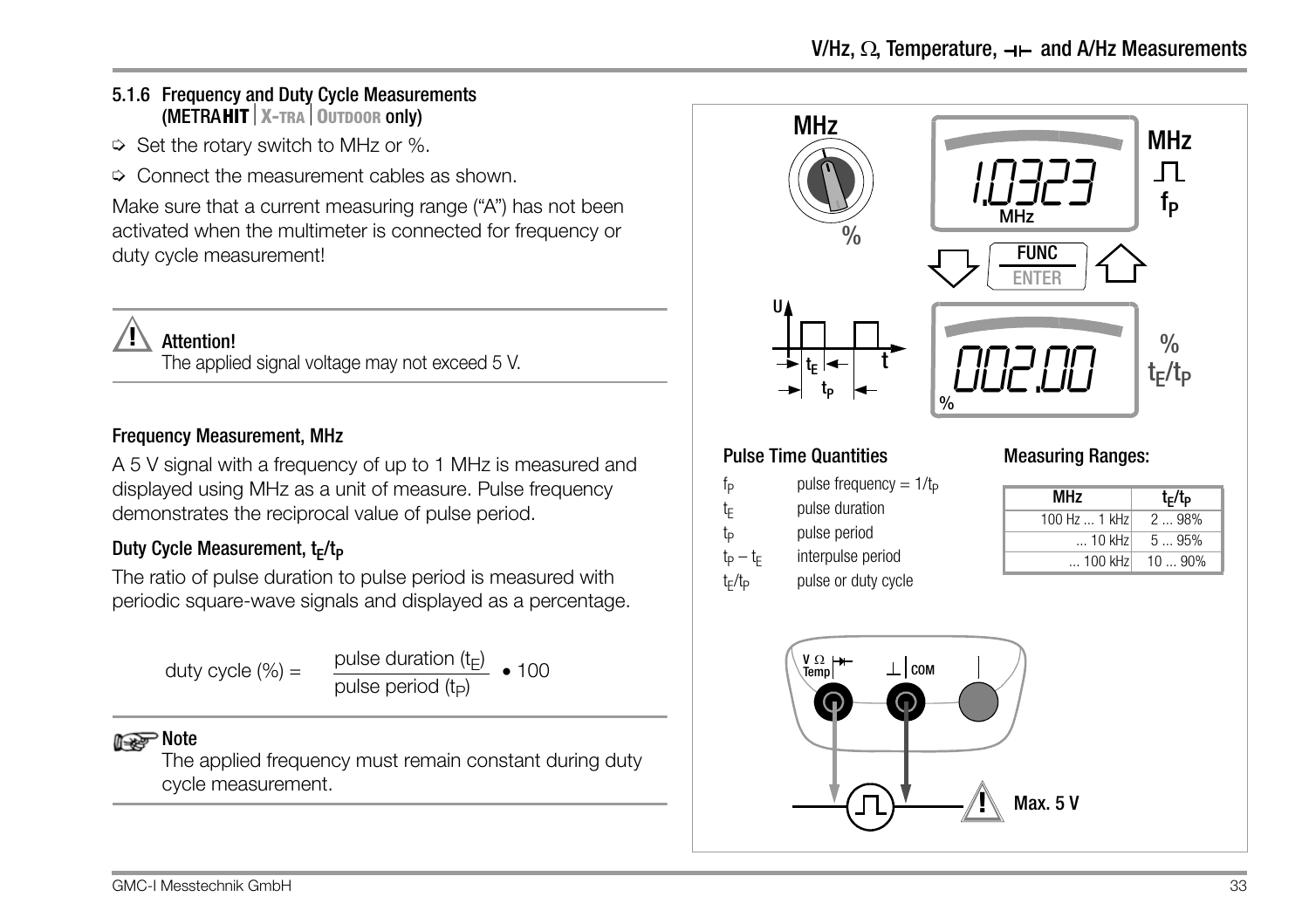#### <span id="page-32-0"></span>5.1.6 Frequency and Duty Cycle Measurements (METRA**HITX-TRAOUTDOOR** only)

- $\Rightarrow$  Set the rotary switch to MHz or %.
- $\Diamond$  Connect the measurement cables as shown.

Make sure that a current measuring range ("A") has not been activated when the multimeter is connected for frequency or duty cycle measurement!

**!** Attention!

The applied signal voltage may not exceed 5 V.

#### Frequency Measurement, MHz

A 5 V signal with a frequency of up to 1 MHz is measured and displayed using MHz as a unit of measure. Pulse frequency demonstrates the reciprocal value of pulse period.

#### <span id="page-32-1"></span>Duty Cycle Measurement,  $t_F/t_P$

The ratio of pulse duration to pulse period is measured with periodic square-wave signals and displayed as a percentage.

#### **Note**

The applied frequency must remain constant during duty cycle measurement.

![](_page_32_Figure_14.jpeg)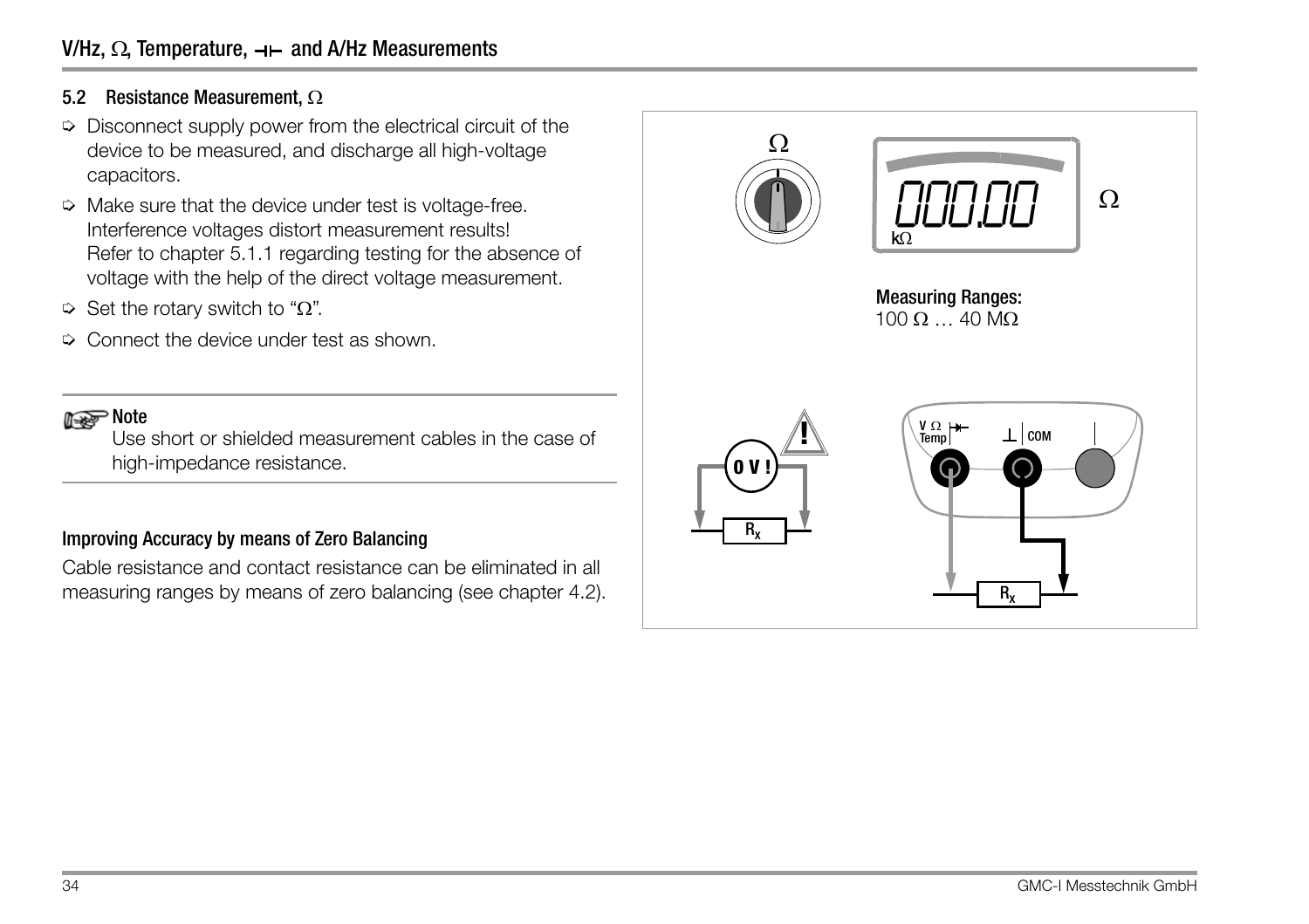#### <span id="page-33-1"></span><span id="page-33-0"></span>5.2 Resistance Measurement,  $\Omega$

- $\Rightarrow$  Disconnect supply power from the electrical circuit of the device to be measured, and discharge all high-voltage capacitors.
- $\Rightarrow$  Make sure that the device under test is voltage-free. Interference voltages distort measurement results! Refer to [chapter 5.1.1](#page-26-0) regarding testing for the absence of voltage with the help of the direct voltage measurement.
- $\Rightarrow$  Set the rotary switch to " $\Omega$ ".
- $\Diamond$  Connect the device under test as shown.

**Note** 

Use short or shielded measurement cables in the case of high-impedance resistance.

#### Improving Accuracy by means of Zero Balancing

Cable resistance and contact resistance can be eliminated in all measuring ranges by means of zero balancing (see [chapter 4.2](#page-18-2)).

![](_page_33_Figure_10.jpeg)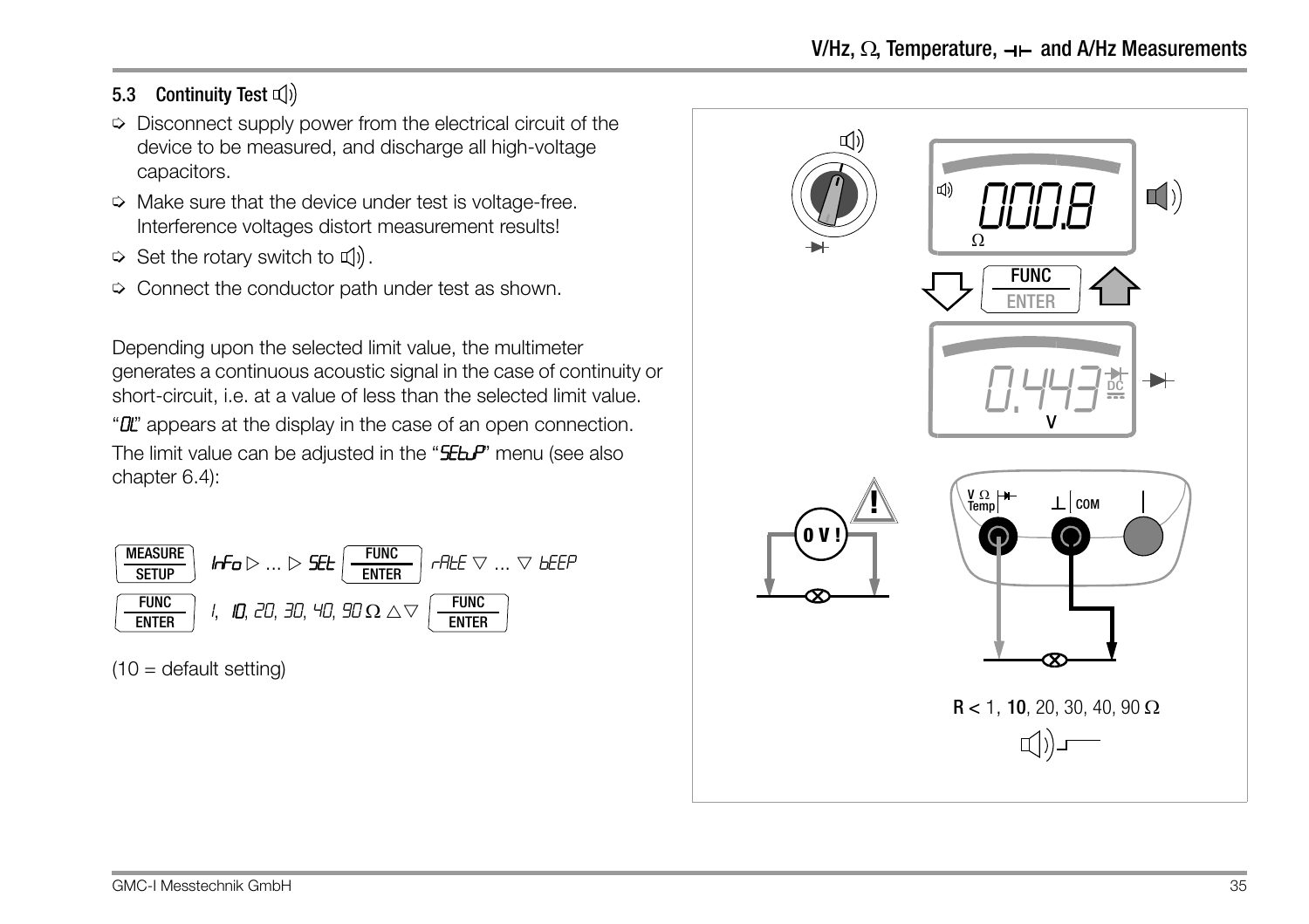# <span id="page-34-1"></span><span id="page-34-0"></span>5.3 Continuity Test  $\Pi$ )

- $\Rightarrow$  Disconnect supply power from the electrical circuit of the device to be measured, and discharge all high-voltage capacitors.
- $\Rightarrow$  Make sure that the device under test is voltage-free. Interference voltages distort measurement results!
- $\Rightarrow$  Set the rotary switch to  $\Box$ .
- $\Diamond$  Connect the conductor path under test as shown.

Depending upon the selected limit value, the multimeter generates a continuous acoustic signal in the case of continuity or short-circuit, i.e. at a value of less than the selected limit value.

"Du" appears at the display in the case of an open connection. The limit value can be adjusted in the " $\mathsf{S}\mathsf{E}\mathsf{L}\mathsf{P}$ " menu (see also [chapter 6.4](#page-47-3)):

![](_page_34_Figure_8.jpeg)

 $(10 =$  default setting)

![](_page_34_Figure_10.jpeg)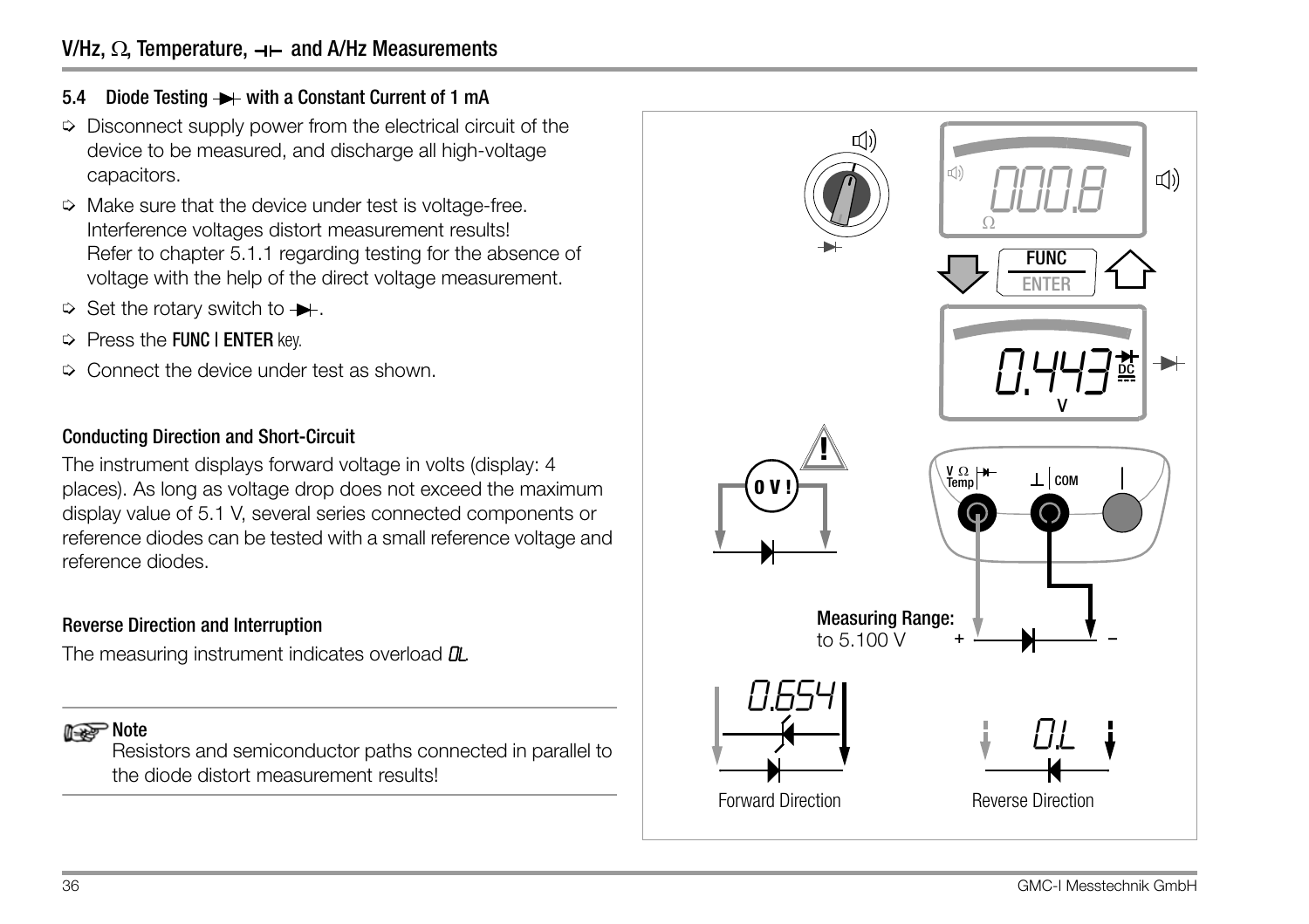#### <span id="page-35-1"></span><span id="page-35-0"></span>5.4 Diode Testing  $\rightarrow$  with a Constant Current of 1 mA

- $\Rightarrow$  Disconnect supply power from the electrical circuit of the device to be measured, and discharge all high-voltage capacitors.
- $\Rightarrow$  Make sure that the device under test is voltage-free. Interference voltages distort measurement results! Refer to [chapter 5.1.1](#page-26-0) regarding testing for the absence of voltage with the help of the direct voltage measurement.
- $\Rightarrow$  Set the rotary switch to  $\rightarrow$ .
- $\Rightarrow$  Press the **FUNC I ENTER** kev.
- $\heartsuit$  Connect the device under test as shown.

#### Conducting Direction and Short-Circuit

The instrument displays forward voltage in volts (display: 4 places). As long as voltage drop does not exceed the maximum display value of 5.1 V, several series connected components or reference diodes can be tested with a small reference voltage and reference diodes.

#### Reverse Direction and Interruption

The measuring instrument indicates overload  $\Omega$ .

**Note** Note

Resistors and semiconductor paths connected in parallel to the diode distort measurement results!

![](_page_35_Figure_13.jpeg)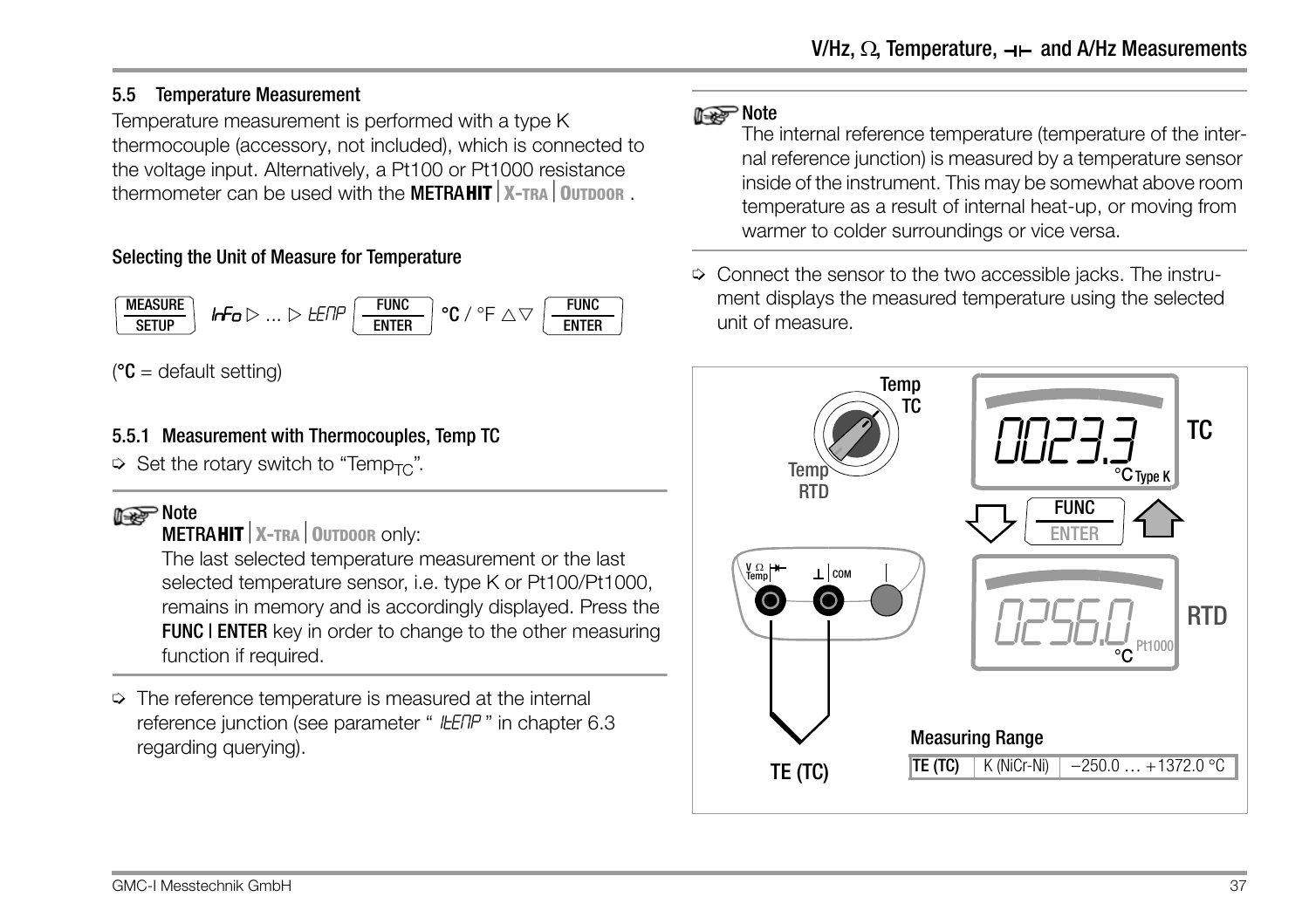# <span id="page-36-2"></span><span id="page-36-0"></span>5.5 Temperature Measurement

Temperature measurement is performed with a type K thermocouple (accessory, not included), which is connected to the voltage input. Alternatively, a Pt100 or Pt1000 resistance thermometer can be used with the **METRAHIT** | X-TRA | OUTDOOR.

#### Selecting the Unit of Measure for Temperature

![](_page_36_Figure_4.jpeg)

 $(^{\circ}C =$  default setting)

# <span id="page-36-1"></span>5.5.1 Measurement with Thermocouples, Temp TC

 $\Rightarrow$  Set the rotary switch to "Temp<sub>TC</sub>".

# ns Pote

<span id="page-36-4"></span>METRA**HITX-TRAOUTDOOR** only:

The last selected temperature measurement or the last selected temperature sensor, i.e. type K or Pt100/Pt1000, remains in memory and is accordingly displayed. Press the **FUNC | ENTER** key in order to change to the other measuring function if required.

 $\Rightarrow$  The reference temperature is measured at the internal reference junction (see parameter " IEENP" in chapter 6.3 regarding querying).

# **Note**

The internal reference temperature (temperature of the internal reference junction) is measured by a temperature sensor inside of the instrument. This may be somewhat above room temperature as a result of internal heat-up, or moving from warmer to colder surroundings or vice versa.

 $\heartsuit$  Connect the sensor to the two accessible jacks. The instrument displays the measured temperature using the selected unit of measure.

<span id="page-36-3"></span>![](_page_36_Figure_15.jpeg)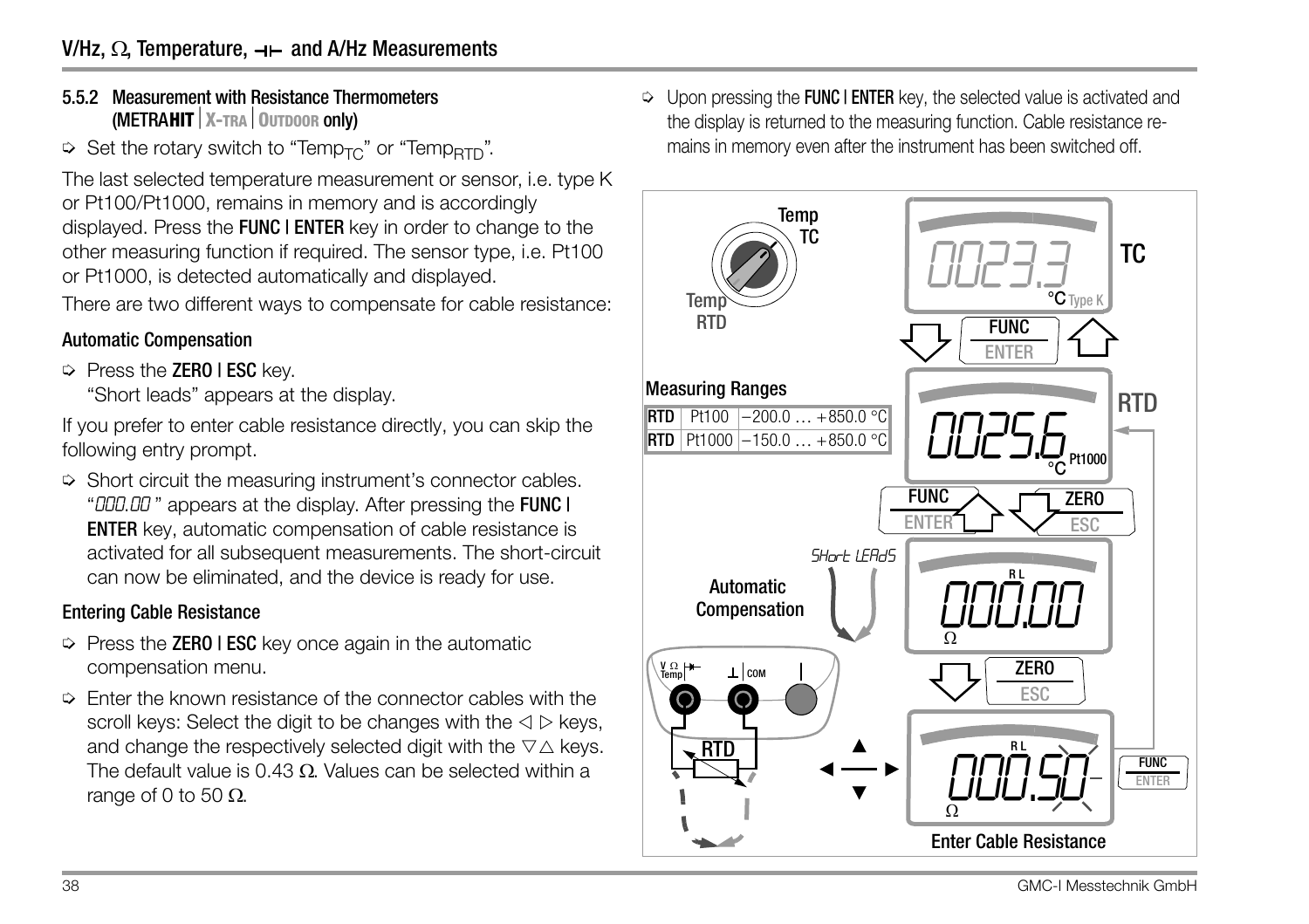#### <span id="page-37-2"></span><span id="page-37-0"></span>5.5.2 Measurement with Resistance Thermometers (METRA**HITX-TRAOUTDOOR** only)

 $\Rightarrow$  Set the rotary switch to "Temp<sub>TC</sub>" or "Temp<sub>RTD</sub>".

The last selected temperature measurement or sensor, i.e. type K or Pt100/Pt1000, remains in memory and is accordingly displayed. Press the **FUNC | ENTER** key in order to change to the other measuring function if required. The sensor type, i.e. Pt100 or Pt1000, is detected automatically and displayed.

There are two different ways to compensate for cable resistance:

#### Automatic Compensation

Ð Press the ZERO | ESC key.

"Short leads" appears at the display.

If you prefer to enter cable resistance directly, you can skip the following entry prompt.

 $\Diamond$  Short circuit the measuring instrument's connector cables. "DDD.DD" appears at the display. After pressing the **FUNC** I ENTER key, automatic compensation of cable resistance is activated for all subsequent measurements. The short-circuit can now be eliminated, and the device is ready for use.

#### <span id="page-37-1"></span>Entering Cable Resistance

- $\Rightarrow$  Press the ZERO I ESC key once again in the automatic compensation menu.
- $\ddot{\phi}$  Enter the known resistance of the connector cables with the scroll keys: Select the digit to be changes with the  $\triangle$   $\triangleright$  keys, and change the respectively selected digit with the  $\nabla\Delta$  keys. The default value is 0.43  $\Omega$ . Values can be selected within a range of 0 to 50  $\Omega$ .

 $\Diamond$  Upon pressing the FUNC | ENTER key, the selected value is activated and the display is returned to the measuring function. Cable resistance remains in memory even after the instrument has been switched off.

![](_page_37_Figure_14.jpeg)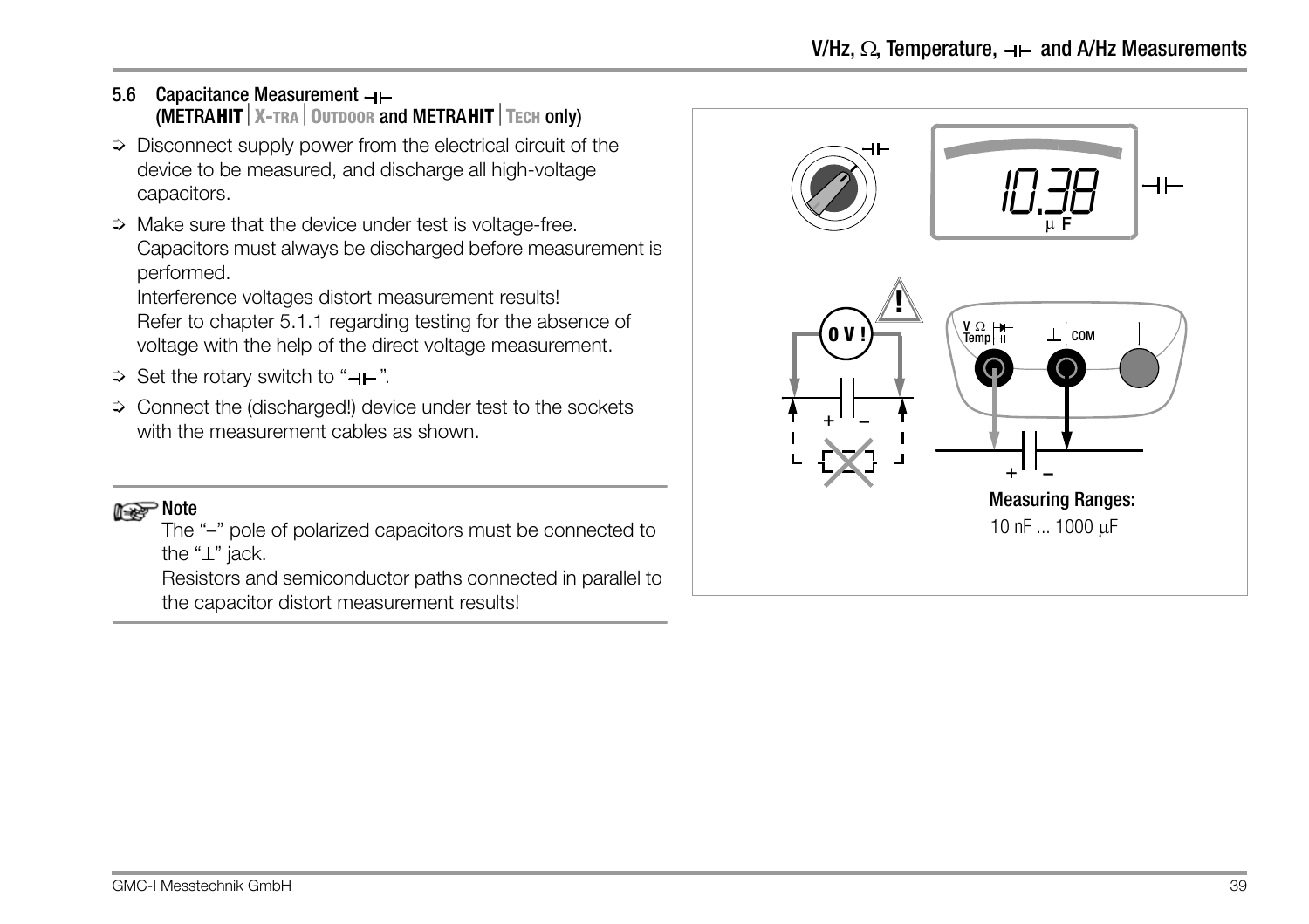#### <span id="page-38-1"></span><span id="page-38-0"></span>5.6 Capacitance Measurement -(METRA**HITX-TRAOUTDOOR** and METRA**HITTECH** only)

- $\Rightarrow$  Disconnect supply power from the electrical circuit of the device to be measured, and discharge all high-voltage capacitors.
- $\Rightarrow$  Make sure that the device under test is voltage-free. Capacitors must always be discharged before measurement is performed.

Interference voltages distort measurement results! Refer to [chapter 5.1.1](#page-26-0) regarding testing for the absence of voltage with the help of the direct voltage measurement.

- $\Rightarrow$  Set the rotary switch to " $\leftarrow$ ".
- $\heartsuit$  Connect the (discharged!) device under test to the sockets with the measurement cables as shown.

#### **Note** Note

The "–" pole of polarized capacitors must be connected to the " $\perp$ " jack.

Resistors and semiconductor paths connected in parallel to the capacitor distort measurement results!

![](_page_38_Figure_10.jpeg)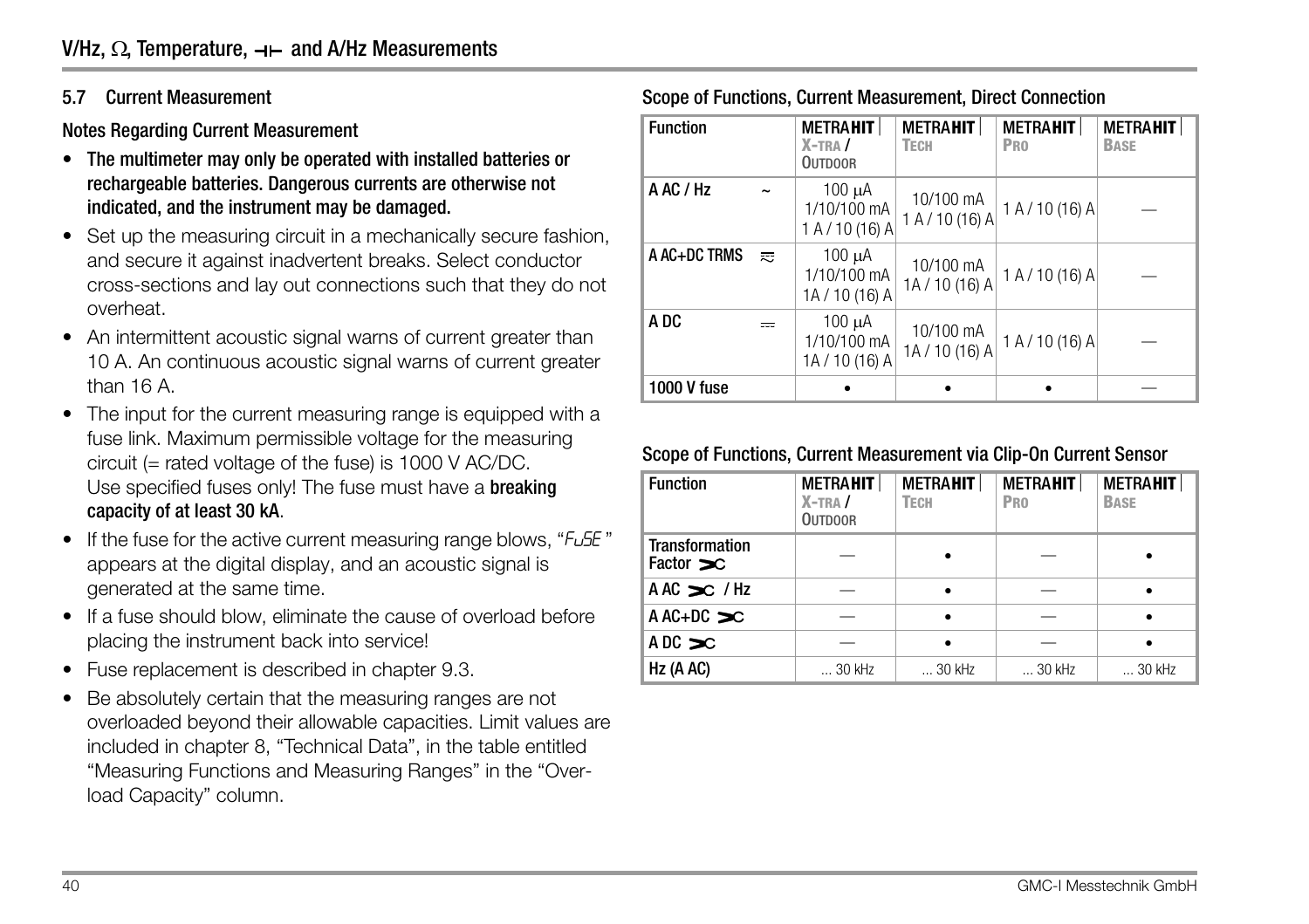#### <span id="page-39-0"></span>5.7 Current Measurement

<span id="page-39-1"></span>Notes Regarding Current Measurement

- The multimeter may only be operated with installed batteries or rechargeable batteries. Dangerous currents are otherwise not indicated, and the instrument may be damaged.
- Set up the measuring circuit in a mechanically secure fashion, and secure it against inadvertent breaks. Select conductor cross-sections and lay out connections such that they do not overheat.
- An intermittent acoustic signal warns of current greater than 10 A. An continuous acoustic signal warns of current greater than 16 A.
- The input for the current measuring range is equipped with a fuse link. Maximum permissible voltage for the measuring circuit (= rated voltage of the fuse) is 1000 V AC/DC. Use specified fuses only! The fuse must have a **breaking** capacity of at least 30 kA.
- If the fuse for the active current measuring range blows, "FuSE" appears at the digital display, and an acoustic signal is generated at the same time.
- If a fuse should blow, eliminate the cause of overload before placing the instrument back into service!
- Fuse replacement is described in [chapter 9.3](#page-62-1).
- Be absolutely certain that the measuring ranges are not overloaded beyond their allowable capacities. Limit values are included in [chapter 8, "Technical Data",](#page-53-1) in the table entitled "Measuring Functions and Measuring Ranges" in the "Overload Capacity" column.

#### <span id="page-39-2"></span>Scope of Functions, Current Measurement, Direct Connection

| <b>Function</b>    |                | <b>METRAHIT</b><br>$X$ -tra $\prime$<br><b>OUTDOOR</b> | <b>METRAHIT</b><br><b>TECH</b> | <b>METRAHIT</b><br>PRO | <b>METRAHIT</b><br><b>BASE</b> |
|--------------------|----------------|--------------------------------------------------------|--------------------------------|------------------------|--------------------------------|
| A AC / Hz          |                | 100 $\mu$ A<br>1/10/100 mA<br>1 A / 10 (16) A          | 10/100 mA<br>1 A / 10 (16) A   | 1 A / 10 (16) A        |                                |
| A AC+DC TRMS       | 定              | $100 \mu A$<br>1/10/100 mA<br>1A / 10 (16) A           | 10/100 mA<br>1A / 10 (16) A    | 1 A / 10 (16) A        |                                |
| A DC               | $\overline{1}$ | $100 \mu A$<br>1/10/100 mA<br>1A/10(16)A               | 10/100 mA<br>1A / 10 (16) A    | 1 A / 10 (16) A        |                                |
| <b>1000 V fuse</b> |                |                                                        |                                |                        |                                |

#### Scope of Functions, Current Measurement via Clip-On Current Sensor

| <b>Function</b>                          | <b>METRAHIT</b><br>$X$ -tra $\prime$<br><b>OUTDOOR</b> | <b>METRAHIT</b><br><b>TECH</b> | <b>METRAHIT</b><br>PRO | <b>METRAHIT</b><br><b>BASE</b> |
|------------------------------------------|--------------------------------------------------------|--------------------------------|------------------------|--------------------------------|
| <b>Transformation</b><br>Factor $\infty$ |                                                        |                                |                        |                                |
| $A AC \ge C / Hz$                        |                                                        |                                |                        |                                |
| $A AC+DC \geq C$                         |                                                        |                                |                        |                                |
| $ADC \geq c$                             |                                                        |                                |                        |                                |
| Hz(AAC)                                  | 30 kHz                                                 | 30 kHz                         | $\ldots$ 30 kHz        | 30 kHz                         |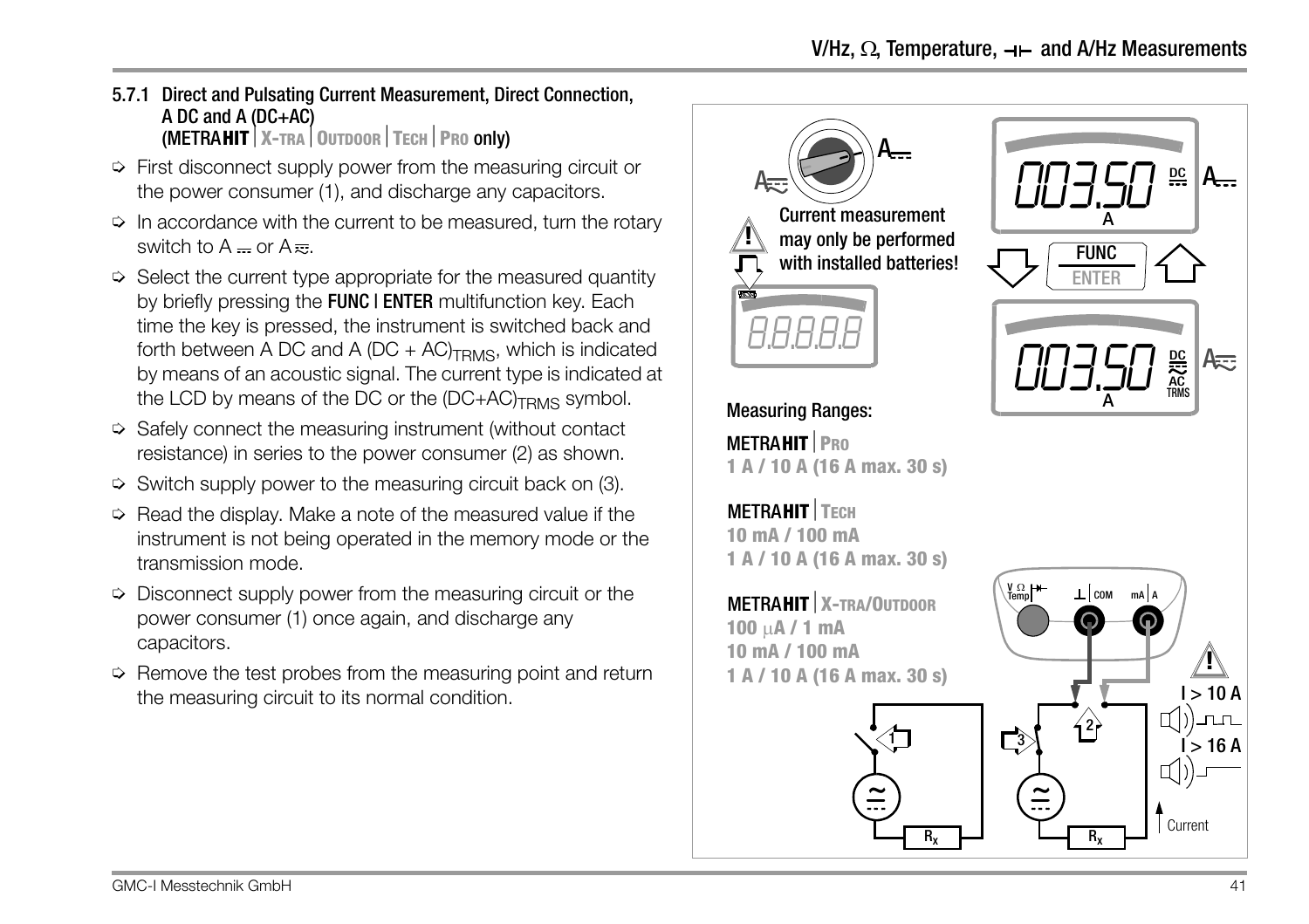- <span id="page-40-0"></span>5.7.1 Direct and Pulsating Current Measurement, Direct Connection, A DC and A (DC+AC) (METRA**HITX-TRAOUTDOORTECHPRO** only)
- $\Rightarrow$  First disconnect supply power from the measuring circuit or the power consumer (1), and discharge any capacitors.
- $\Rightarrow$  In accordance with the current to be measured, turn the rotary switch to  $A = or A \overline{z}$ .
- $\Diamond$  Select the current type appropriate for the measured quantity by briefly pressing the **FUNC | ENTER** multifunction key. Each time the key is pressed, the instrument is switched back and forth between A DC and A (DC + AC) $_{\text{TRMS}}$ , which is indicated by means of an acoustic signal. The current type is indicated at the LCD by means of the DC or the  $(DC+AC)_{TRMS}$  symbol.
- $\Diamond$  Safely connect the measuring instrument (without contact resistance) in series to the power consumer (2) as shown.
- $\Rightarrow$  Switch supply power to the measuring circuit back on (3).
- $\Rightarrow$  Read the display. Make a note of the measured value if the instrument is not being operated in the memory mode or the transmission mode.
- $\ddot{\triangleright}$  Disconnect supply power from the measuring circuit or the power consumer (1) once again, and discharge any capacitors.
- $\Rightarrow$  Remove the test probes from the measuring point and return the measuring circuit to its normal condition.

![](_page_40_Picture_10.jpeg)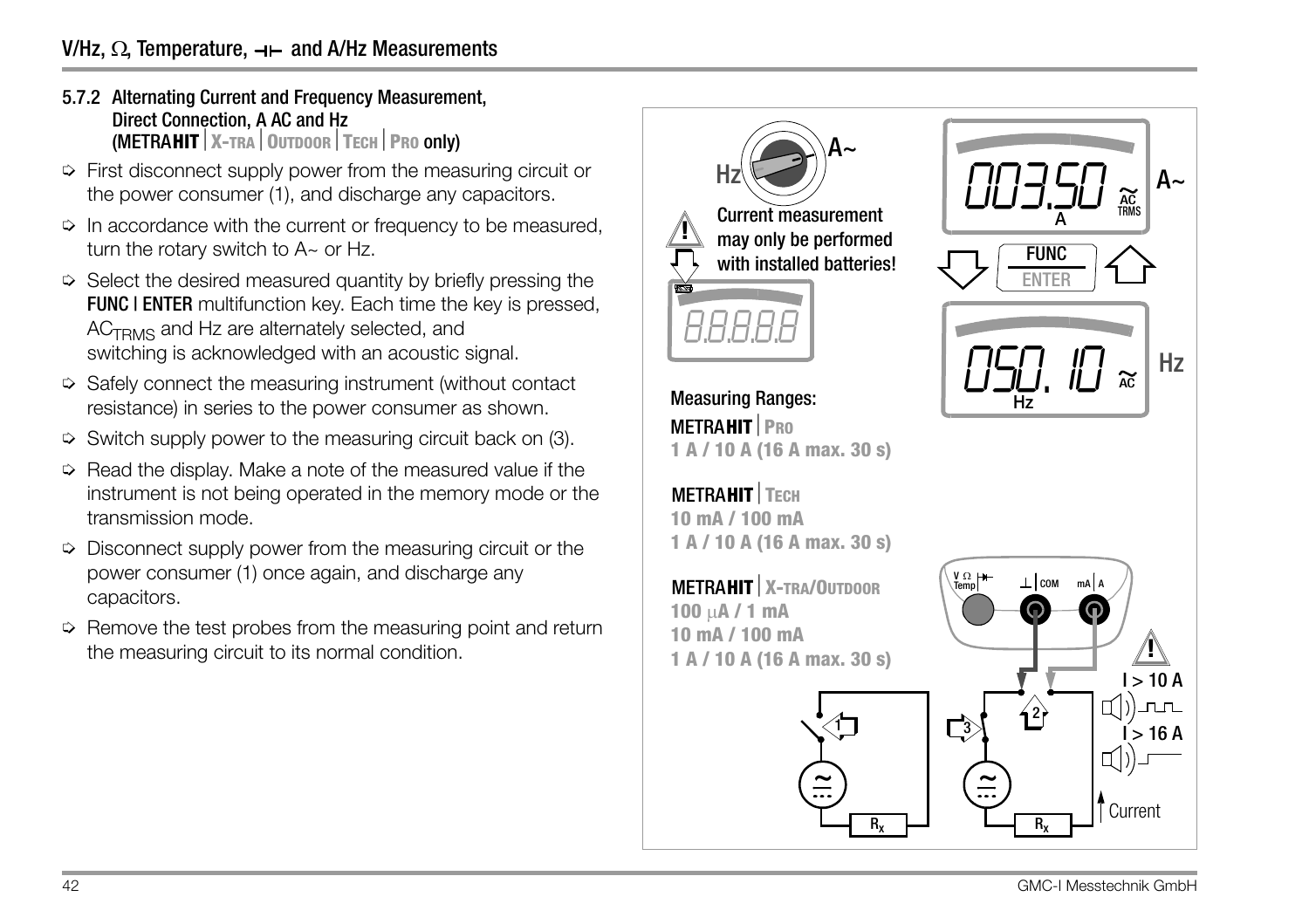- <span id="page-41-0"></span>5.7.2 Alternating Current and Frequency Measurement, Direct Connection, A AC and Hz (METRA**HITX-TRAOUTDOORTECHPRO** only)
- $\Rightarrow$  First disconnect supply power from the measuring circuit or the power consumer (1), and discharge any capacitors.
- $\Rightarrow$  In accordance with the current or frequency to be measured. turn the rotary switch to A~ or Hz.
- $\Diamond$  Select the desired measured quantity by briefly pressing the **FUNC | ENTER** multifunction key. Each time the key is pressed. AC<sub>TRMS</sub> and Hz are alternately selected, and switching is acknowledged with an acoustic signal.
- Ð Safely connect the measuring instrument (without contact resistance) in series to the power consumer as shown.
- $\Rightarrow$  Switch supply power to the measuring circuit back on (3).
- $\Rightarrow$  Read the display. Make a note of the measured value if the instrument is not being operated in the memory mode or the transmission mode.
- $\Rightarrow$  Disconnect supply power from the measuring circuit or the power consumer (1) once again, and discharge any capacitors.
- $\Rightarrow$  Remove the test probes from the measuring point and return the measuring circuit to its normal condition.

![](_page_41_Figure_10.jpeg)

 $\mathtt{R}_{\mathsf{x}}$ 

![](_page_41_Figure_11.jpeg)

**Current** 

 $\mathtt{R}_{\mathsf{x}}$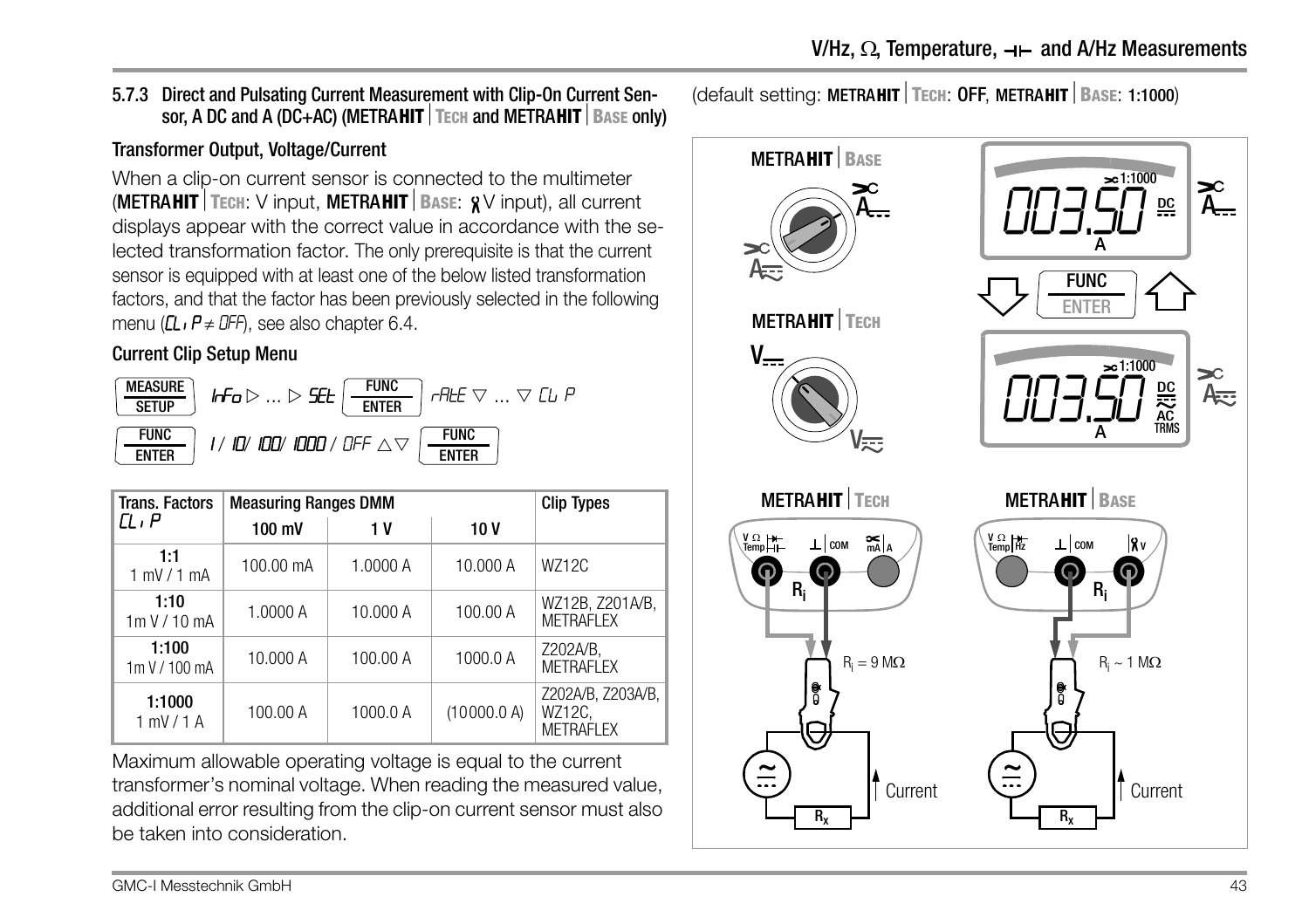#### <span id="page-42-1"></span><span id="page-42-0"></span>5.7.3 Direct and Pulsating Current Measurement with Clip-On Current Sensor, A DC and A (DC+AC) (METRA**HIT** TECH and METRAHIT | BASE only)

# Transformer Output, Voltage/Current

When a clip-on current sensor is connected to the multimeter (METRA**HITTECH**: V input, METRA**HITBASE**: V input), all current displays appear with the correct value in accordance with the selected transformation factor. The only prerequisite is that the current sensor is equipped with at least one of the below listed transformation factors, and that the factor has been previously selected in the following menu ( $\Omega$  i  $P \neq$  DFF), see also [chapter 6.4.](#page-47-3)

#### Current Clip Setup Menu

| MEASURE                     | $\frac{FUNC}{ENTER}$ rate $\nabla  \nabla CD$ P                               |
|-----------------------------|-------------------------------------------------------------------------------|
| <b>SFTUP</b>                | $h$ Fo $\triangleright  \triangleright$ SEE                                   |
| <b>FUNC</b><br><b>FNTFR</b> | <b>FUNC</b><br>$1/10/100/1000/0$ FF $\triangle \triangledown$<br><b>FNTFR</b> |

| <b>Trans. Factors</b>    | <b>Measuring Ranges DMM</b> | <b>Clip Types</b> |             |                                                 |
|--------------------------|-----------------------------|-------------------|-------------|-------------------------------------------------|
| CL ı P                   | 100 mV                      | 1 V               | 10 V        |                                                 |
| 1:1<br>$1$ mV $/1$ mA    | $100.00 \text{ mA}$         | 1.0000 A          | 10.000 A    | <b>WZ12C</b>                                    |
| 1:10<br>1mV/10mA         | 1.0000 A                    | 10.000 A          | 100.00 A    | WZ12B, Z201A/B,<br><b>METRAFLEX</b>             |
| 1:100<br>1m V / 100 mA   | 10.000 A                    | 100.00 A          | 1000.0A     | Z202A/B,<br><b>METRAFLEX</b>                    |
| 1:1000<br>$1$ mV / $1$ A | 100.00 A                    | 1000.0 A          | (10000.0 A) | Z202A/B, Z203A/B,<br>WZ12C,<br><b>METRAFLEX</b> |

Maximum allowable operating voltage is equal to the current transformer's nominal voltage. When reading the measured value, additional error resulting from the clip-on current sensor must also be taken into consideration.

<span id="page-42-2"></span>**(default setting: METRAHIT** TECH: OFF, METRAHIT | BASE: 1:1000)

![](_page_42_Figure_9.jpeg)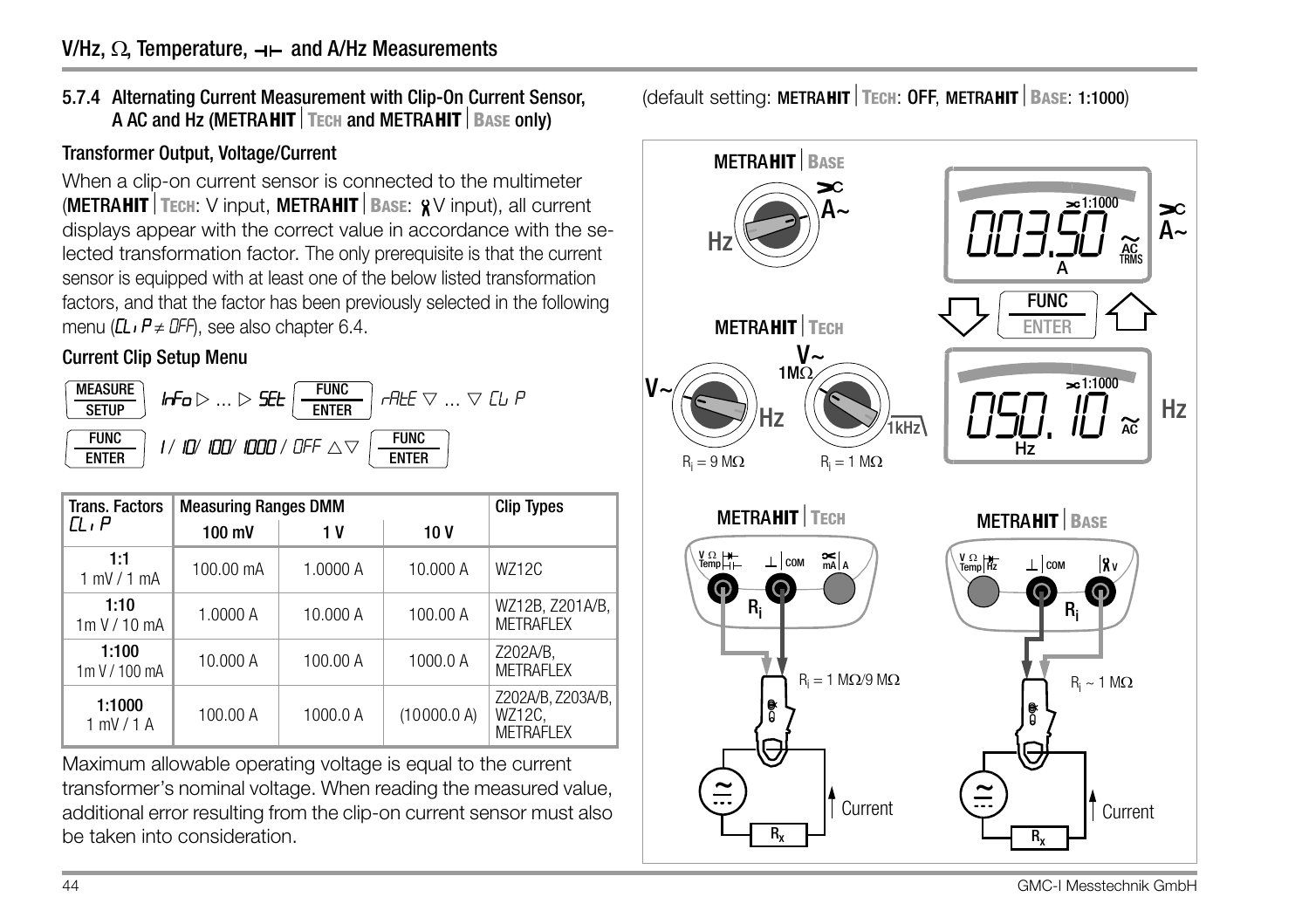<span id="page-43-0"></span>5.7.4 Alternating Current Measurement with Clip-On Current Sensor, A AC and Hz (METRA**HIT** TECH and METRAHIT **BASE** only)

# Transformer Output, Voltage/Current

When a clip-on current sensor is connected to the multimeter (METRA**HITTECH**: V input, METRA**HITBASE**: V input), all current displays appear with the correct value in accordance with the selected transformation factor. The only prerequisite is that the current sensor is equipped with at least one of the below listed transformation factors, and that the factor has been previously selected in the following menu ( $\Omega$  i  $P \neq$  DFF), see also [chapter 6.4](#page-47-3).

#### Current Clip Setup Menu

![](_page_43_Figure_5.jpeg)

| <b>Trans. Factors</b>    | <b>Measuring Ranges DMM</b> | <b>Clip Types</b> |             |                                                 |
|--------------------------|-----------------------------|-------------------|-------------|-------------------------------------------------|
| CL ı P                   | 100 mV                      | 1 V               | 10V         |                                                 |
| 1:1<br>$1$ mV $/1$ mA    | 100.00 mA                   | 1.0000 A          | 10.000 A    | <b>WZ12C</b>                                    |
| 1:10<br>1mV/10mA         | 1.0000A                     | 10.000 A          | 100.00 A    | WZ12B, Z201A/B,<br><b>METRAFLEX</b>             |
| 1:100<br>1m V / 100 mA   | 10.000 A                    | 100.00 A          | 1000.0 A    | Z202A/B,<br><b>METRAFLEX</b>                    |
| 1:1000<br>$1$ mV / $1$ A | 100.00 A                    | 1000.0 A          | (10000.0 A) | Z202A/B, Z203A/B,<br>WZ12C,<br><b>METRAFLEX</b> |

Maximum allowable operating voltage is equal to the current transformer's nominal voltage. When reading the measured value, additional error resulting from the clip-on current sensor must also be taken into consideration.

<span id="page-43-1"></span>(default setting: METRA**HITTECH**: OFF, METRA**HITBASE**: 1:1000)

![](_page_43_Figure_9.jpeg)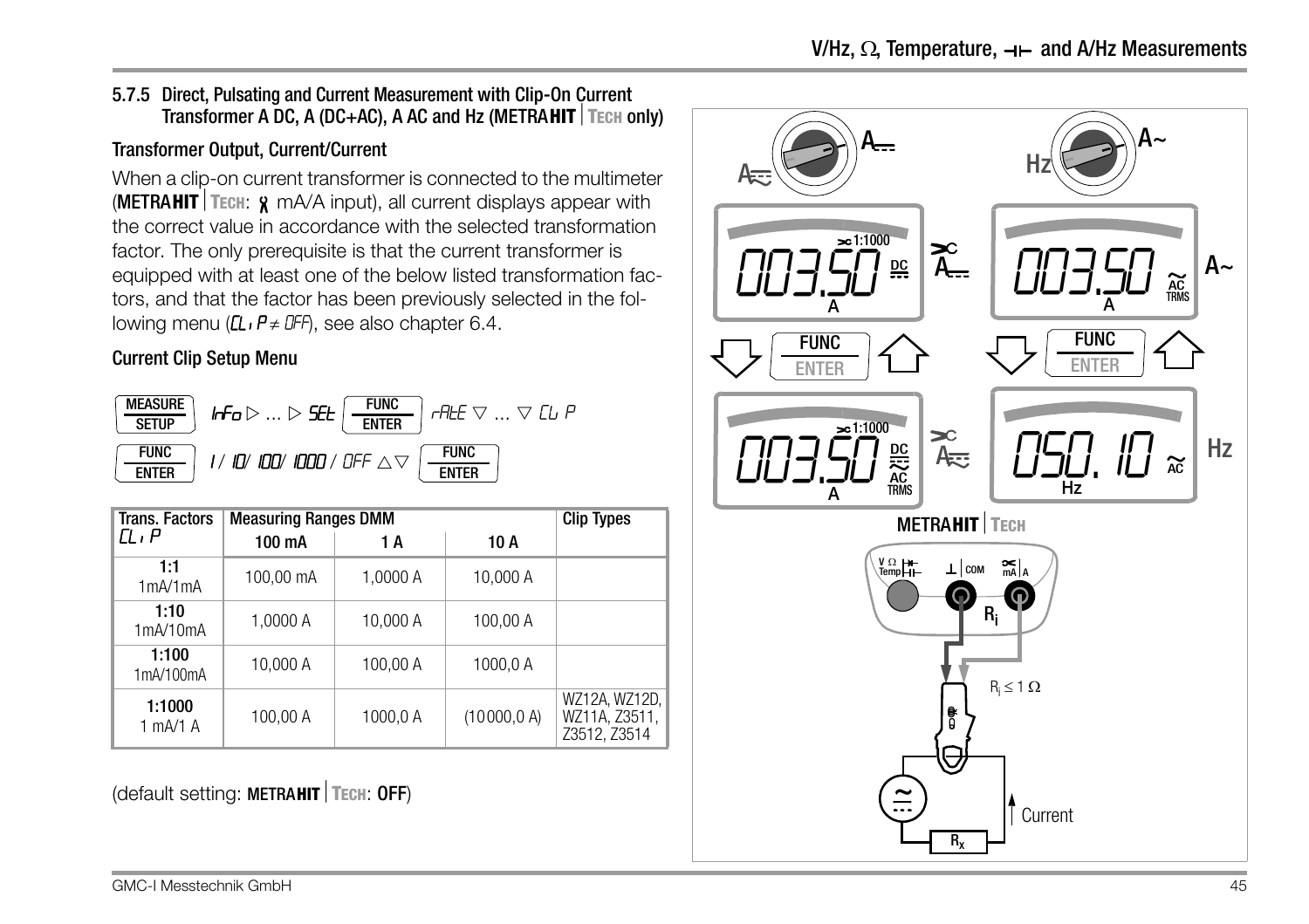#### <span id="page-44-0"></span>5.7.5 Direct, Pulsating and Current Measurement with Clip-On Current Transformer A DC, A (DC+AC), A AC and Hz (METRAHIT TECH only)

# Transformer Output, Current/Current

When a clip-on current transformer is connected to the multimeter (METRA**HITTECH**: mA/A input), all current displays appear with the correct value in accordance with the selected transformation factor. The only prerequisite is that the current transformer is equipped with at least one of the below listed transformation factors, and that the factor has been previously selected in the following menu ( $\Omega$ ,  $P \neq$  *DFF*), see also [chapter 6.4.](#page-47-3)

#### Current Clip Setup Menu

| <b>MEASURE</b><br><b>SFTUP</b> | <b>FUNC</b><br>ENTER<br>$\textit{lrfo} \triangleright  \triangleright \textit{55b}$<br>$'$ rALE $\triangledown$ $\triangledown$ CL P |
|--------------------------------|--------------------------------------------------------------------------------------------------------------------------------------|
| <b>FUNC</b><br><b>FNTFR</b>    | FUNC<br>$1/10/100/1000/0$ FF $\triangle \triangledown$<br><b>FNTFR</b>                                                               |

| <b>Trans. Factors</b> | <b>Measuring Ranges DMM</b> | <b>Clip Types</b> |              |                                                |
|-----------------------|-----------------------------|-------------------|--------------|------------------------------------------------|
| CL ı P                | 100 mA                      | 1 A               | 10 A         |                                                |
| 1:1<br>1mA/1mA        | 100,00 mA                   | 1,0000 A          | 10,000 A     |                                                |
| 1:10<br>1mA/10mA      | 1.0000 A                    | 10,000 A          | 100.00 A     |                                                |
| 1:100<br>1mA/100mA    | 10,000 A                    | 100,00 A          | 1000.0 A     |                                                |
| 1:1000<br>1 mA/1 A    | 100,00 A                    | 1000,0 A          | (10000, 0 A) | WZ12A, WZ12D,<br>WZ11A, Z3511,<br>Z3512, Z3514 |

(default setting: METRA**HITTECH**: OFF)

<span id="page-44-1"></span>![](_page_44_Figure_8.jpeg)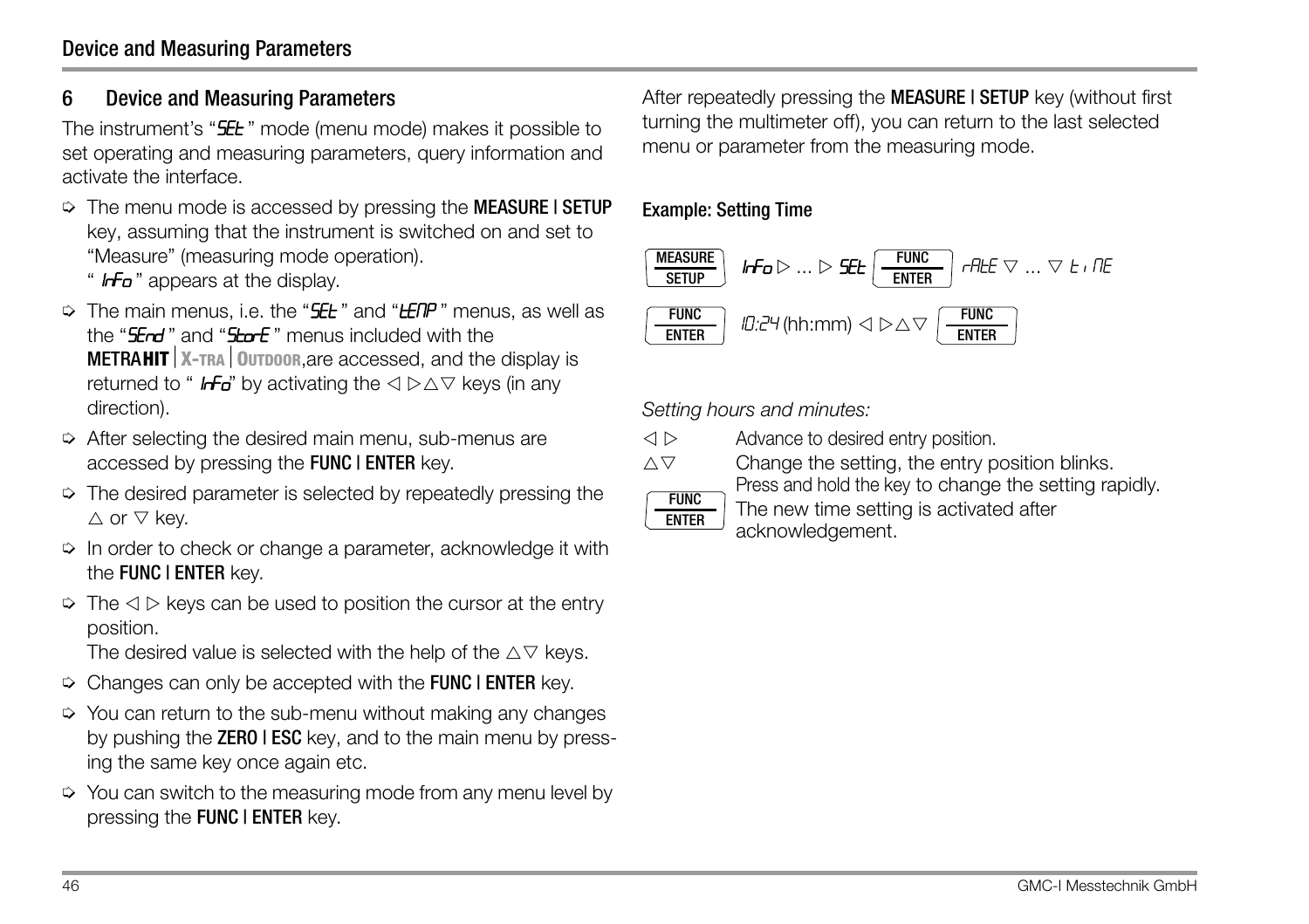# <span id="page-45-1"></span><span id="page-45-0"></span>6 Device and Measuring Parameters

The instrument's "**SEL**" mode (menu mode) makes it possible to set operating and measuring parameters, query information and activate the interface.

- $\Rightarrow$  The menu mode is accessed by pressing the **MEASURE | SETUP** key, assuming that the instrument is switched on and set to "Measure" (measuring mode operation).
	- "  $\mathsf{h}\mathsf{F}\mathsf{o}$ " appears at the display.
- $\Rightarrow$  The main menus, i.e. the "**SEE**" and "**LENP**" menus, as well as the " $5.7$ " and " $5.7$ " menus included with the METRA**HITX-TRAOUTDOOR**,are accessed, and the display is returned to "  $\mathbf{h}$ - $\mathbf{r}$ <sup>-</sup> by activating the  $\triangle$   $\triangleright$   $\triangle$   $\triangledown$  keys (in any direction).
- $\Rightarrow$  After selecting the desired main menu, sub-menus are accessed by pressing the FUNC | ENTER key.
- $\Diamond$  The desired parameter is selected by repeatedly pressing the  $\triangle$  or  $\nabla$  kev.
- $\Rightarrow$  In order to check or change a parameter, acknowledge it with the **FUNC I ENTER** key.
- $\Rightarrow$  The  $\triangle$   $\triangleright$  keys can be used to position the cursor at the entry position.

The desired value is selected with the help of the  $\Delta \nabla$  keys.

- $\Rightarrow$  Changes can only be accepted with the FUNC | ENTER key.
- $\Rightarrow$  You can return to the sub-menu without making any changes by pushing the **ZERO | ESC** key, and to the main menu by pressing the same key once again etc.
- $\Rightarrow$  You can switch to the measuring mode from any menu level by pressing the FUNC | ENTER key.

After repeatedly pressing the **MEASURE | SETUP** key (without first turning the multimeter off), you can return to the last selected menu or parameter from the measuring mode.

# Example: Setting Time

![](_page_45_Figure_16.jpeg)

Setting hours and minutes:

- $\triangle$   $\triangleright$  Advance to desired entry position.
- $\triangle \triangledown$  Change the setting, the entry position blinks.

![](_page_45_Picture_20.jpeg)

Press and hold the key to change the setting rapidly.

The new time setting is activated after acknowledgement.

![](_page_45_Picture_24.jpeg)

46 GMC-I Messtechnik GmbH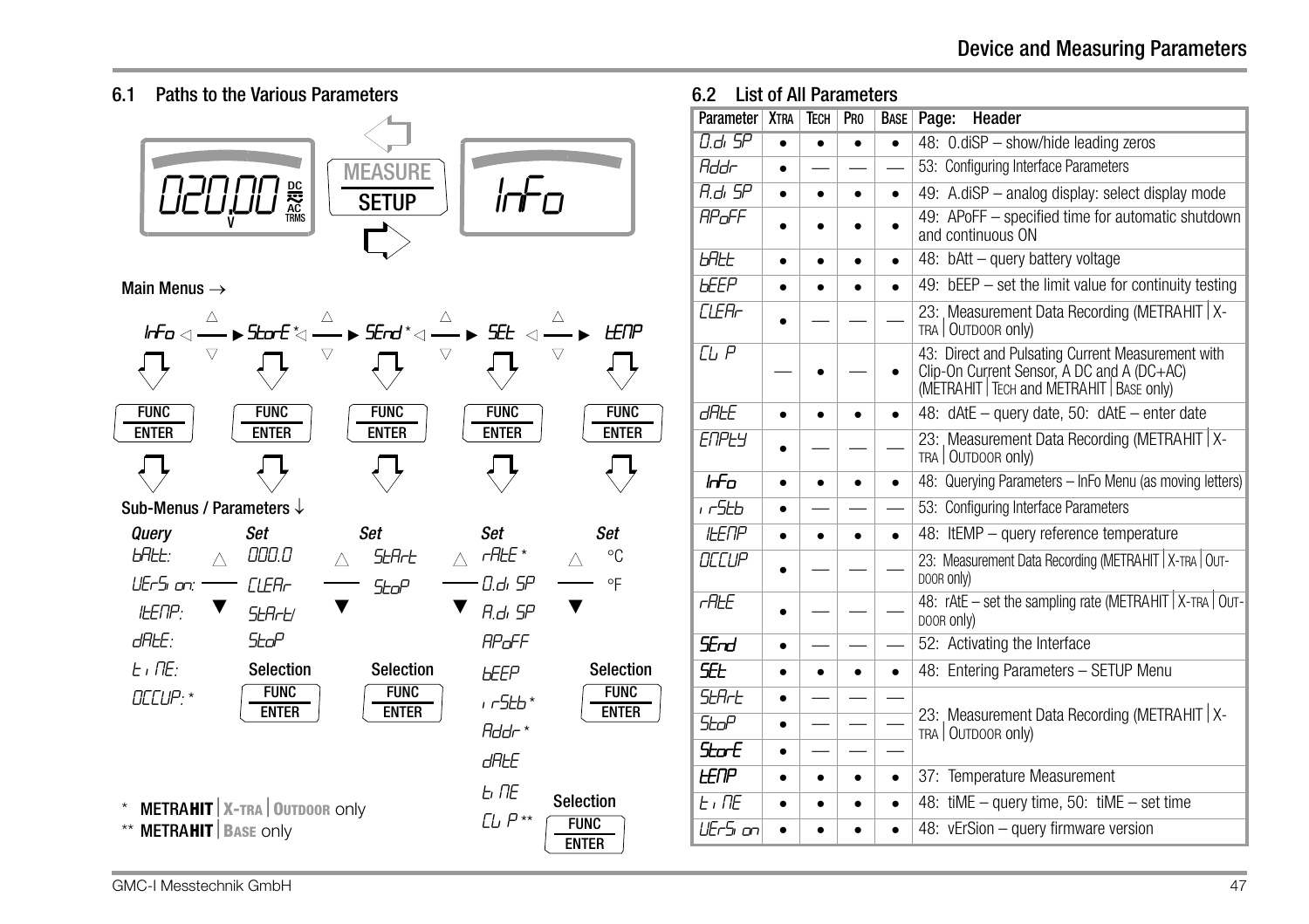### Device and Measuring Parameters

#### <span id="page-46-0"></span>6.1 Paths to the Various Parameters 6.2 List of All Parameters

![](_page_46_Picture_2.jpeg)

Main Menus  $\rightarrow$ 

![](_page_46_Figure_4.jpeg)

<span id="page-46-2"></span><span id="page-46-1"></span>

| <b>Parameter</b> | <b>XTRA</b> | TECH | P <sub>RO</sub> | <b>BASE</b> | Header<br>Page:                                                                                                                               |
|------------------|-------------|------|-----------------|-------------|-----------------------------------------------------------------------------------------------------------------------------------------------|
| 0.di 5P          |             |      |                 |             | 48: 0.diSP - show/hide leading zeros                                                                                                          |
| Addr             |             |      |                 |             | 53: Configuring Interface Parameters                                                                                                          |
| 8.di SP          |             |      |                 |             | 49: A.diSP - analog display: select display mode                                                                                              |
| <i>RPaFF</i>     |             |      |                 |             | 49: APoFF - specified time for automatic shutdown<br>and continuous ON                                                                        |
| <b>HAFF</b>      |             |      |                 | $\bullet$   | 48: bAtt - query battery voltage                                                                                                              |
| <b>HFFP</b>      |             |      |                 | $\bullet$   | 49: $bEEP - set$ the limit value for continuity testing                                                                                       |
| <b>FIFR-</b>     |             |      |                 |             | 23: Measurement Data Recording (METRAHIT X-<br>TRA   OUTDOOR ONIV)                                                                            |
| CL P             |             |      |                 |             | 43: Direct and Pulsating Current Measurement with<br>Clip-On Current Sensor, A DC and A (DC+AC)<br>(METRAHIT   TECH and METRAHIT   BASE only) |
| dREE             |             |      |                 | $\bullet$   | 48: dAtE - query date, 50: dAtE - enter date                                                                                                  |
| <i>FПР</i> НЧ    |             |      |                 |             | 23: Measurement Data Recording (METRAHIT   X-<br>TRA   OUTDOOR ONIV)                                                                          |
| InFn             |             |      |                 |             | 48: Querying Parameters - InFo Menu (as moving letters)                                                                                       |
| ı rSEb           |             |      |                 |             | 53: Configuring Interface Parameters                                                                                                          |
| I⊢F∏P            |             |      |                 | $\bullet$   | 48: ItEMP - query reference temperature                                                                                                       |
| <i>OCCUP</i>     |             |      |                 |             | 23: Measurement Data Recording (METRAHIT   X-TRA   OUT-<br>DOOR ONly)                                                                         |
| <b>AHF</b>       |             |      |                 |             | 48: rAtE - set the sampling rate (METRAHIT   X-TRA   OUT-<br>DOOR ONly)                                                                       |
| strd             |             |      |                 |             | 52: Activating the Interface                                                                                                                  |
| £⊬               |             |      |                 | $\bullet$   | 48: Entering Parameters - SETUP Menu                                                                                                          |
| <i>SHArt</i>     |             |      |                 |             |                                                                                                                                               |
| StaP             |             |      |                 |             | 23: Measurement Data Recording (METRAHIT   X-<br>TRA   OUTDOOR ONly)                                                                          |
| ᠲᡴᡏ              |             |      |                 |             |                                                                                                                                               |
| ι£ПР             |             |      |                 | $\bullet$   | 37: Temperature Measurement                                                                                                                   |
| H I NF           |             |      |                 | $\bullet$   | 48: $\text{tiME} - \text{query time}$ , 50: $\text{tiME} - \text{set time}$                                                                   |
| UEr5ı on         |             |      |                 | $\bullet$   | 48: vErSion - query firmware version                                                                                                          |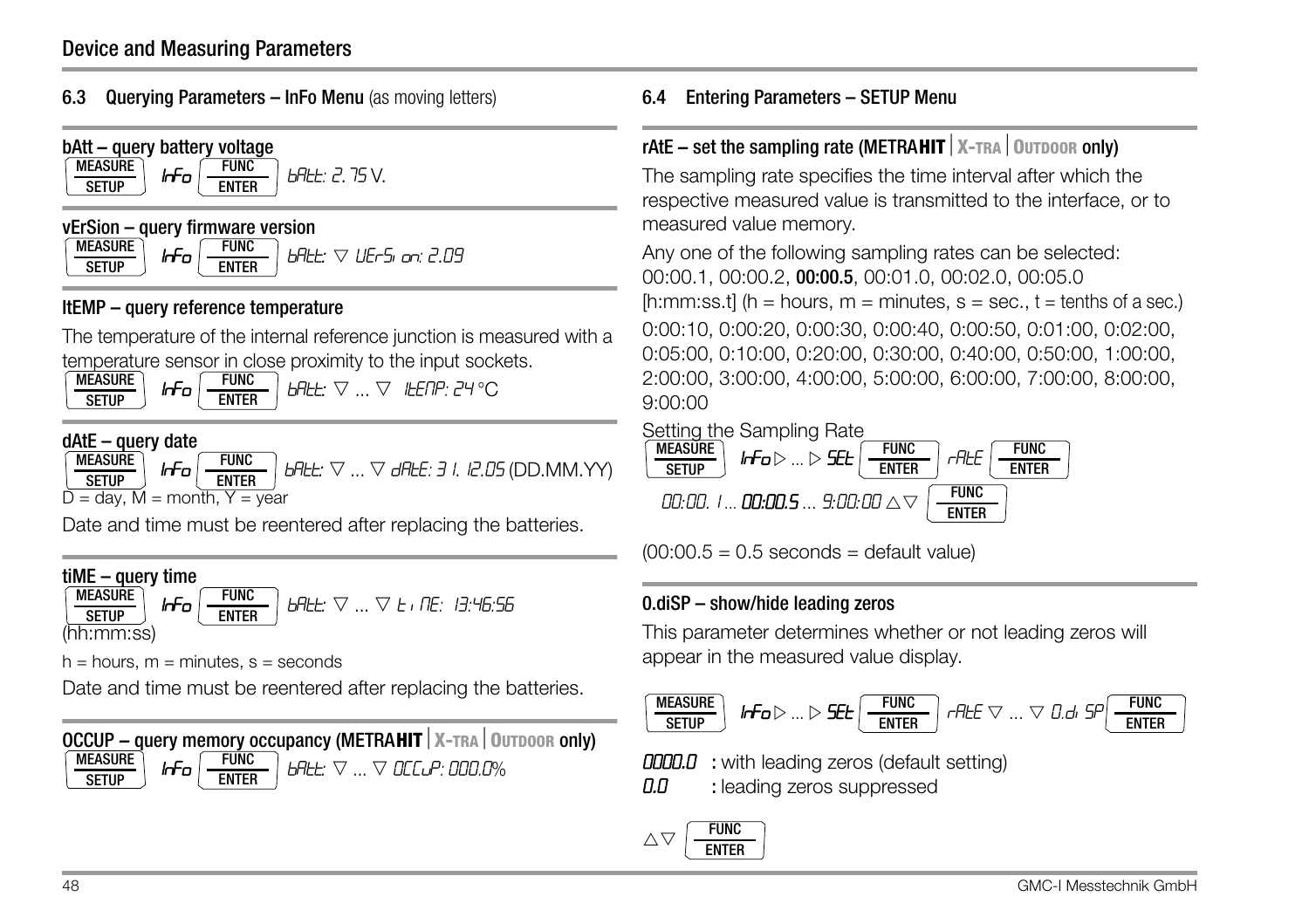#### Device and Measuring Parameters

#### <span id="page-47-2"></span><span id="page-47-0"></span>6.3 Querying Parameters – InFo Menu (as moving letters)

<span id="page-47-13"></span><span id="page-47-6"></span>![](_page_47_Figure_2.jpeg)

#### <span id="page-47-19"></span><span id="page-47-11"></span>vErSion – query firmware version

| <b>MEASURE</b> | FUNC         | $TLL$ .<br>. 11Fr5, oo: 2 N9<br>\/ |
|----------------|--------------|------------------------------------|
| SETHP          | <b>FNTFR</b> |                                    |

#### <span id="page-47-15"></span><span id="page-47-8"></span>ItEMP – query reference temperature

The temperature of the internal reference junction is measured with a temperature sensor in close proximity to the input sockets.

 $|nF_0|$   $\frac{FUNC}{HHL}\nabla_{\cdots}\nabla_{\cdots}$  if  $FIP:$  24 °C MEASURE **SFTUP** FUNC **FNTFR** 

#### <span id="page-47-14"></span><span id="page-47-7"></span>dAtE – query date

 $hr$ o  $\left| \frac{\text{runc}}{\text{numc}} \right|$  bALL:  $\nabla ... \nabla$  dALE: 31.12.05 (DD.MM.YY)  $D = day$ ,  $\overline{M} =$  month,  $Y = \overline{year}$ MEASURE SETUP **FUNC** ENTER

Date and time must be reentered after replacing the batteries.

<span id="page-47-18"></span><span id="page-47-10"></span>![](_page_47_Figure_11.jpeg)

 $h =$  hours,  $m =$  minutes,  $s =$  seconds

Date and time must be reentered after replacing the batteries.

<span id="page-47-16"></span>

|              |              | OCCUP – query memory occupancy (METRAHIT $X$ -TRA OUTDOOR only)                                                                                                                                                                                                                                                                                                                                                                        |
|--------------|--------------|----------------------------------------------------------------------------------------------------------------------------------------------------------------------------------------------------------------------------------------------------------------------------------------------------------------------------------------------------------------------------------------------------------------------------------------|
|              |              | $\boxed{\text{MEASURE}}$ $\boxed{\text{H}$ $\boxed{\text{FUNC}}$ $\boxed{\text{H}$ $\boxed{\text{H}$ $\boxed{\text{H}$ $\boxed{\text{H}$ $\boxed{\text{H}}}$ $\boxed{\text{H}}$ $\boxed{\text{H}}$ $\boxed{\text{H}}$ $\boxed{\text{H}}$ $\boxed{\text{H}}$ $\boxed{\text{H}}$ $\boxed{\text{H}}$ $\boxed{\text{H}}$ $\boxed{\text{H}}$ $\boxed{\text{H}}$ $\boxed{\text{H}}$ $\boxed{\text{H}}$ $\boxed{\text{H}}$ $\boxed{\text{H}}$ |
| <b>SETUP</b> | <b>ENTER</b> |                                                                                                                                                                                                                                                                                                                                                                                                                                        |

#### <span id="page-47-3"></span><span id="page-47-1"></span>6.4 Entering Parameters – SETUP Menu

#### <span id="page-47-17"></span><span id="page-47-9"></span><span id="page-47-4"></span>rAtE – set the sampling rate (METRA**HITX-TRAOUTDOOR** only)

The sampling rate specifies the time interval after which the respective measured value is transmitted to the interface, or to measured value memory.

Any one of the following sampling rates can be selected: 00:00.1, 00:00.2, 00:00.5, 00:01.0, 00:02.0, 00:05.0 [h:mm:ss.t] (h = hours, m = minutes, s = sec., t = tenths of a sec.) 0:00:10, 0:00:20, 0:00:30, 0:00:40, 0:00:50, 0:01:00, 0:02:00, 0:05:00, 0:10:00, 0:20:00, 0:30:00, 0:40:00, 0:50:00, 1:00:00, 2:00:00, 3:00:00, 4:00:00, 5:00:00, 6:00:00, 7:00:00, 8:00:00, 9:00:00

#### Setting the Sampling Rate

| MEASURE      | Irfo $\rhd$ $\rhd$ SEE               | <b>FUNC</b>  |              | <b>FUNC</b>  |
|--------------|--------------------------------------|--------------|--------------|--------------|
| <b>SETUP</b> |                                      | <b>FNTFR</b> |              | <b>FNTFR</b> |
|              | $n$ ה $n$ ה ה-An $n$ ה - An $n$ ה ו- |              | <b>FUNC</b>  |              |
|              |                                      |              | <b>ENTER</b> |              |

 $(00:00.5 = 0.5$  seconds = default value)

#### <span id="page-47-12"></span><span id="page-47-5"></span>0.diSP – show/hide leading zeros

This parameter determines whether or not leading zeros will appear in the measured value display.

$$
\begin{array}{|l|} \hline \text{MEASURE} \\ \hline \text{SETUP} \end{array} \textit{If} \textit{FoD} \ldots \textit{D} \textit{S\!E\!E} \begin{bmatrix} \hline \textit{FUNC} \\ \hline \textit{ENTER} \end{bmatrix} \textit{rHLE} \; \triangledown \; \ldots \; \triangledown \; \textit{0.d.} \; \textit{SP} \begin{bmatrix} \textit{FUNC} \\ \hline \textit{ENTER} \end{bmatrix}
$$

**DDDD.0** : with leading zeros (default setting)

**0.0** : leading zeros suppressed

![](_page_47_Picture_27.jpeg)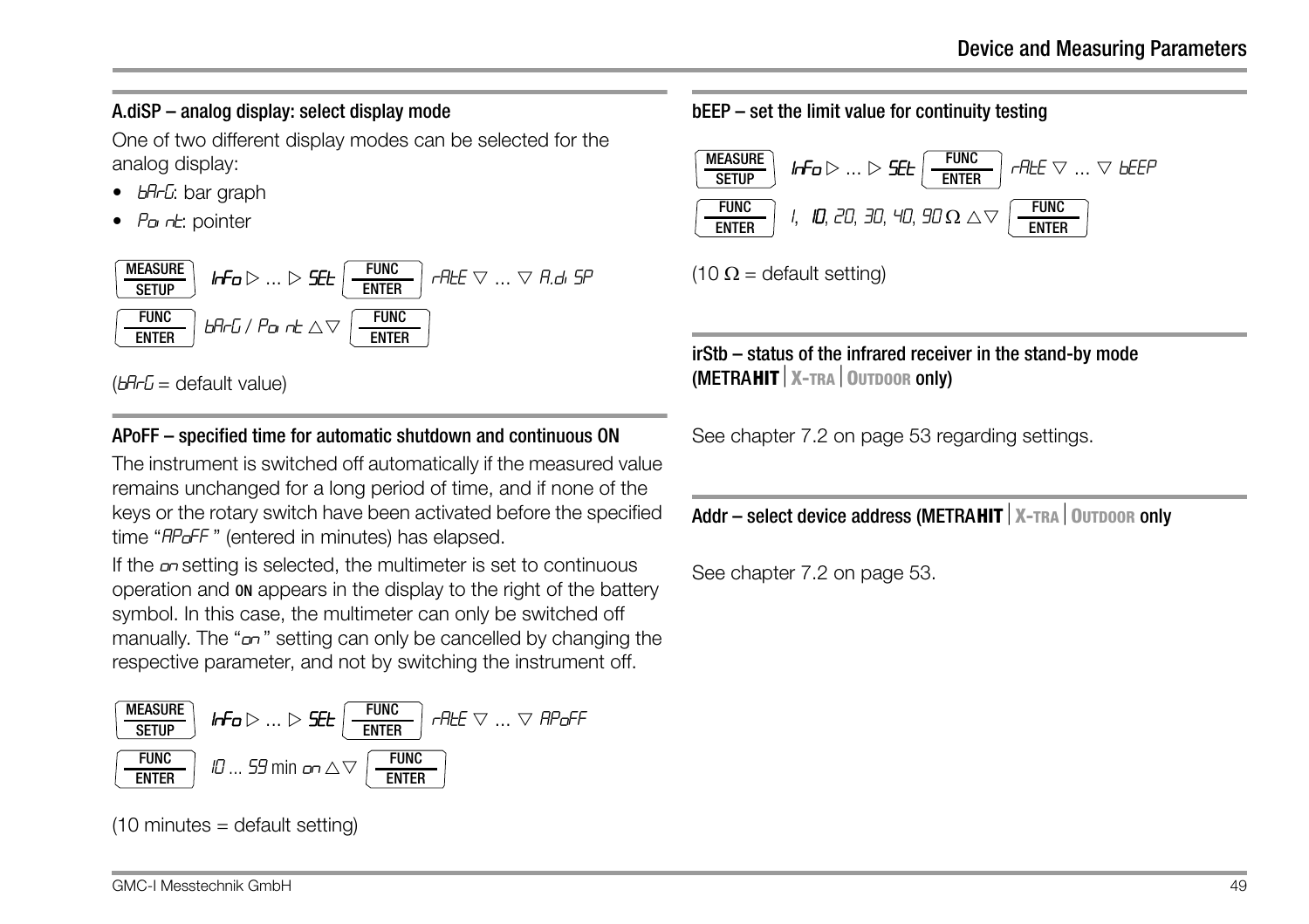# <span id="page-48-4"></span><span id="page-48-1"></span>A.diSP – analog display: select display mode

One of two different display modes can be selected for the analog display:

- b<sub>Hr</sub>G: bar graph
- $Pa \nightharpoonup$  pointer

![](_page_48_Figure_5.jpeg)

 $(bH - L =$  default value)

# <span id="page-48-5"></span><span id="page-48-2"></span><span id="page-48-0"></span>APoFF – specified time for automatic shutdown and continuous ON

The instrument is switched off automatically if the measured value remains unchanged for a long period of time, and if none of the keys or the rotary switch have been activated before the specified time "APoFF " (entered in minutes) has elapsed.

If the  $\sigma$  setting is selected, the multimeter is set to continuous operation and ON appears in the display to the right of the battery symbol. In this case, the multimeter can only be switched off manually. The "on" setting can only be cancelled by changing the respective parameter, and not by switching the instrument off.

![](_page_48_Figure_10.jpeg)

![](_page_48_Figure_11.jpeg)

# <span id="page-48-6"></span><span id="page-48-3"></span>bEEP – set the limit value for continuity testing

![](_page_48_Figure_13.jpeg)

(10  $\Omega$  = default setting)

irStb – status of the infrared receiver in the stand-by mode (METRA**HITX-TRAOUTDOOR** only)

See [chapter 7.2 on page 53](#page-52-1) regarding settings.

**Addr – select device address (METRAHIT** | X-TRA | OUTDOOR only

See [chapter 7.2 on page 53](#page-52-1).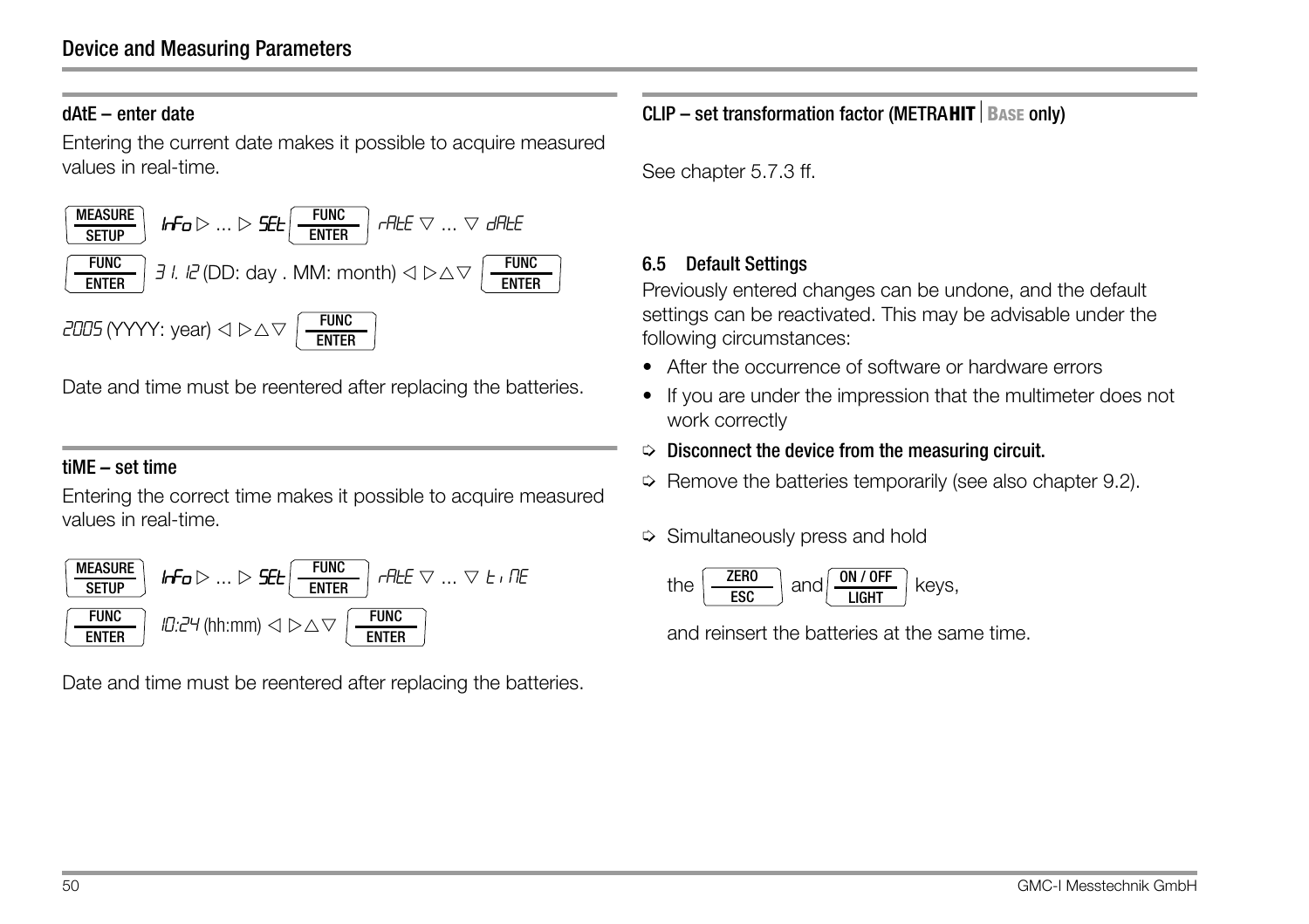#### <span id="page-49-3"></span><span id="page-49-1"></span>dAtE – enter date

Entering the current date makes it possible to acquire measured values in real-time.

![](_page_49_Figure_3.jpeg)

Date and time must be reentered after replacing the batteries.

### <span id="page-49-5"></span><span id="page-49-2"></span>tiME – set time

Entering the correct time makes it possible to acquire measured values in real-time.

![](_page_49_Figure_7.jpeg)

Date and time must be reentered after replacing the batteries.

#### CLIP – set transformation factor (METRAHIT | BASE only)

See [chapter 5.7.3](#page-42-1) ff.

#### <span id="page-49-4"></span><span id="page-49-0"></span>6.5 Default Settings

Previously entered changes can be undone, and the default settings can be reactivated. This may be advisable under the following circumstances:

- After the occurrence of software or hardware errors
- If you are under the impression that the multimeter does not work correctly
- $\Rightarrow$  Disconnect the device from the measuring circuit.
- $\Rightarrow$  Remove the batteries temporarily (see also [chapter 9.2\)](#page-61-3).
- $\Diamond$  Simultaneously press and hold

$$
\text{the } \boxed{\frac{\text{ZERO}}{\text{ESC}}} \text{ and } \boxed{\frac{\text{ON}/\text{OFF}}{\text{LIGHT}}} \text{ keys,}
$$

and reinsert the batteries at the same time.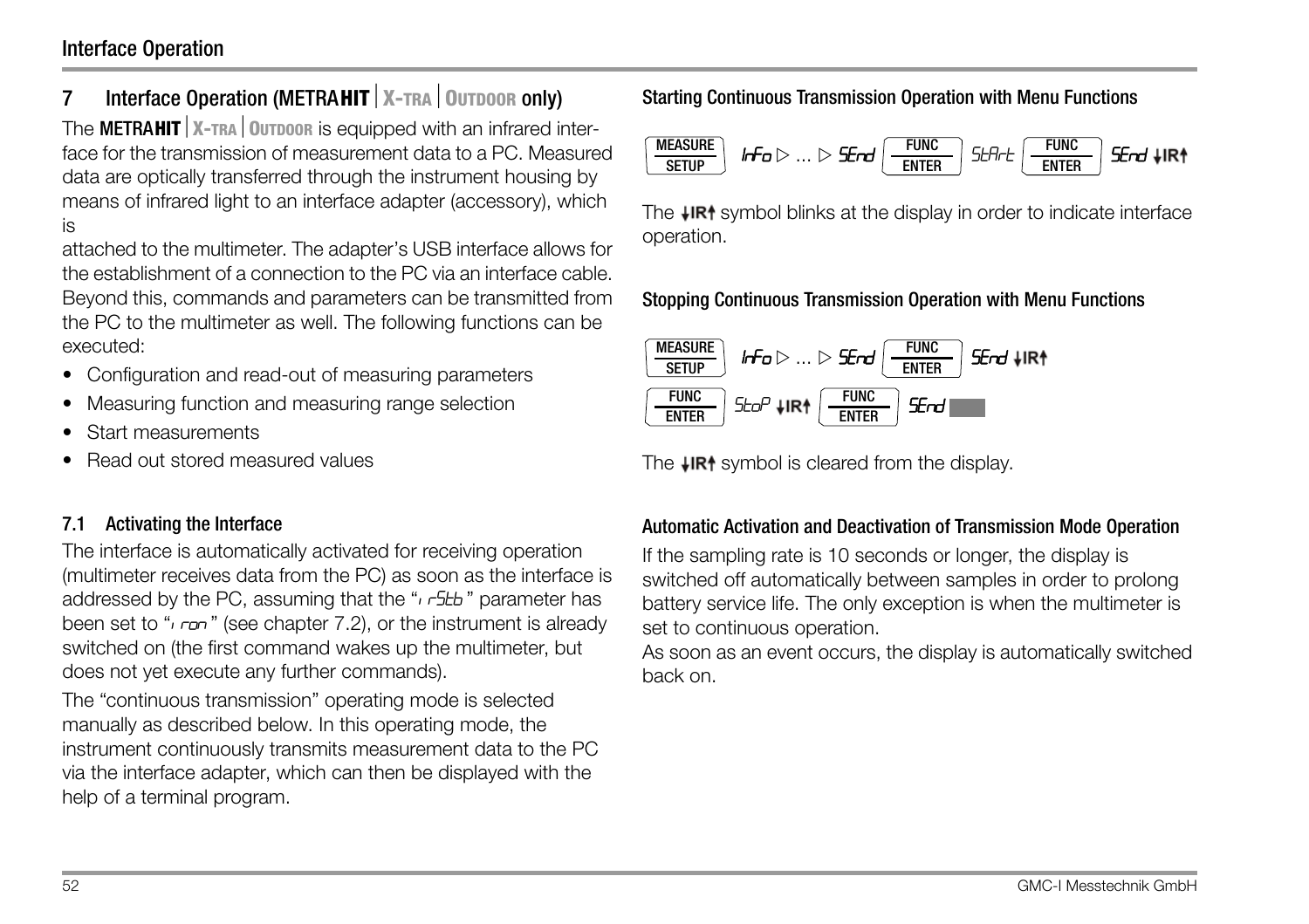#### Interface Operation

# <span id="page-51-2"></span><span id="page-51-0"></span>7 **Interface Operation (METRAHIT** | X-TRA | OUTDOOR ONly)

The METRA**HITX-TRAOUTDOOR** is equipped with an infrared interface for the transmission of measurement data to a PC. Measured data are optically transferred through the instrument housing by means of infrared light to an interface adapter (accessory), which is

attached to the multimeter. The adapter's USB interface allows for the establishment of a connection to the PC via an interface cable. Beyond this, commands and parameters can be transmitted from the PC to the multimeter as well. The following functions can be executed:

- Configuration and read-out of measuring parameters
- Measuring function and measuring range selection
- Start measurements
- Read out stored measured values

#### <span id="page-51-3"></span><span id="page-51-1"></span>7.1 Activating the Interface

The interface is automatically activated for receiving operation (multimeter receives data from the PC) as soon as the interface is addressed by the PC, assuming that the "i r5tb" parameter has been set to " $\sqrt{r}$  on" (see [chapter 7.2](#page-52-0)), or the instrument is already switched on (the first command wakes up the multimeter, but does not yet execute any further commands).

The "continuous transmission" operating mode is selected manually as described below. In this operating mode, the instrument continuously transmits measurement data to the PC via the interface adapter, which can then be displayed with the help of a terminal program.

#### Starting Continuous Transmission Operation with Menu Functions

![](_page_51_Figure_12.jpeg)

The  $\downarrow\!\!\mathsf{IR}$  symbol blinks at the display in order to indicate interface operation.

#### Stopping Continuous Transmission Operation with Menu Functions

![](_page_51_Figure_15.jpeg)

The  $\downarrow$ IR<sup> $\dagger$ </sup> symbol is cleared from the display.

#### Automatic Activation and Deactivation of Transmission Mode Operation

If the sampling rate is 10 seconds or longer, the display is switched off automatically between samples in order to prolong battery service life. The only exception is when the multimeter is set to continuous operation.

As soon as an event occurs, the display is automatically switched back on.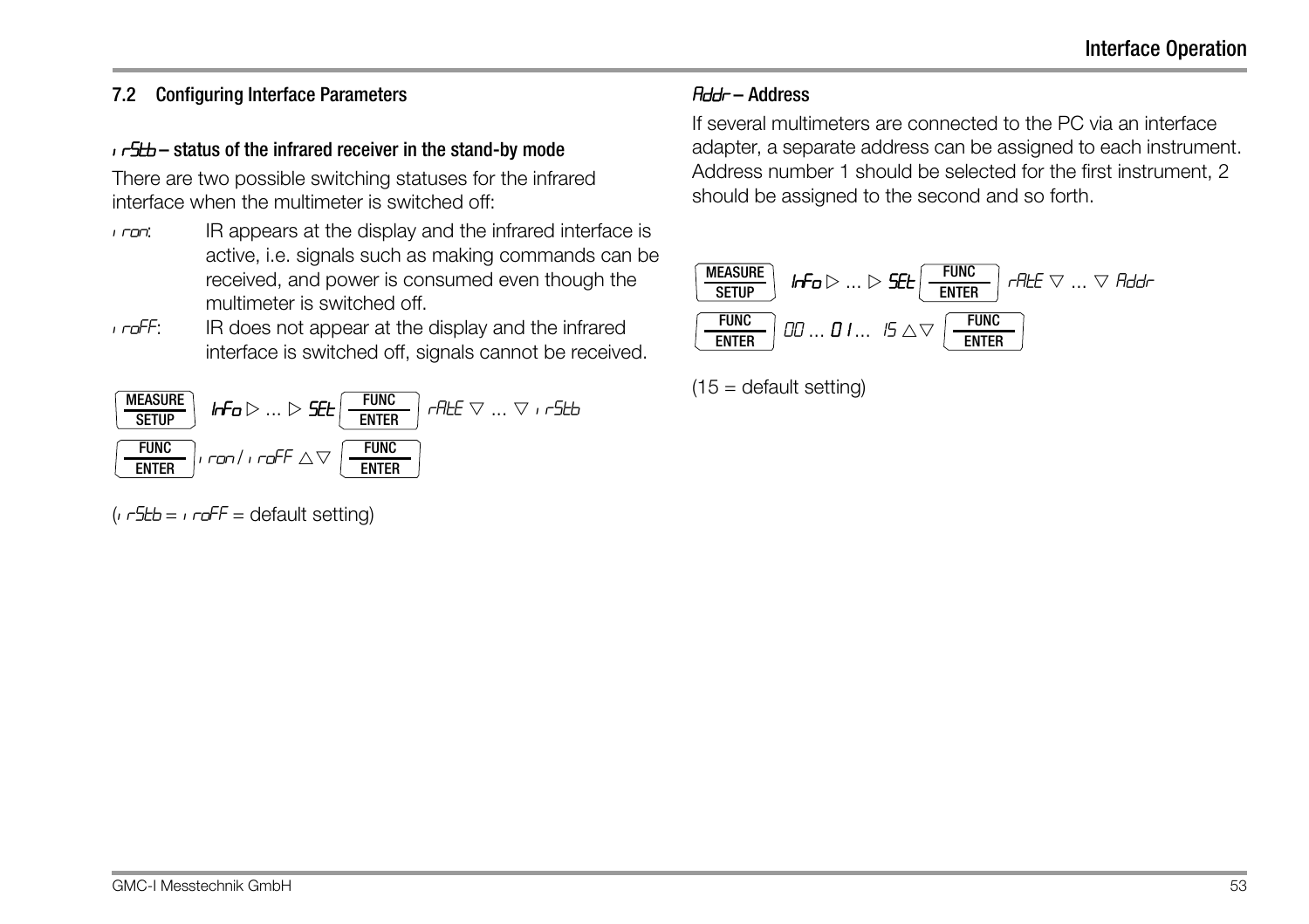#### <span id="page-52-1"></span><span id="page-52-0"></span>7.2 Configuring Interface Parameters

#### <span id="page-52-3"></span> $\sqrt{5}$ tb – status of the infrared receiver in the stand-by mode

There are two possible switching statuses for the infrared interface when the multimeter is switched off:

- i ran: IR appears at the display and the infrared interface is active, i.e. signals such as making commands can be received, and power is consumed even though the multimeter is switched off.
- i raff: IR does not appear at the display and the infrared interface is switched off, signals cannot be received.

![](_page_52_Figure_6.jpeg)

 $(i \rightharpoondown 5tb = i \rightharpoondown 5F =$  default setting)

### <span id="page-52-2"></span>Addr – Address

If several multimeters are connected to the PC via an interface adapter, a separate address can be assigned to each instrument. Address number 1 should be selected for the first instrument, 2 should be assigned to the second and so forth.

![](_page_52_Figure_10.jpeg)

![](_page_52_Figure_11.jpeg)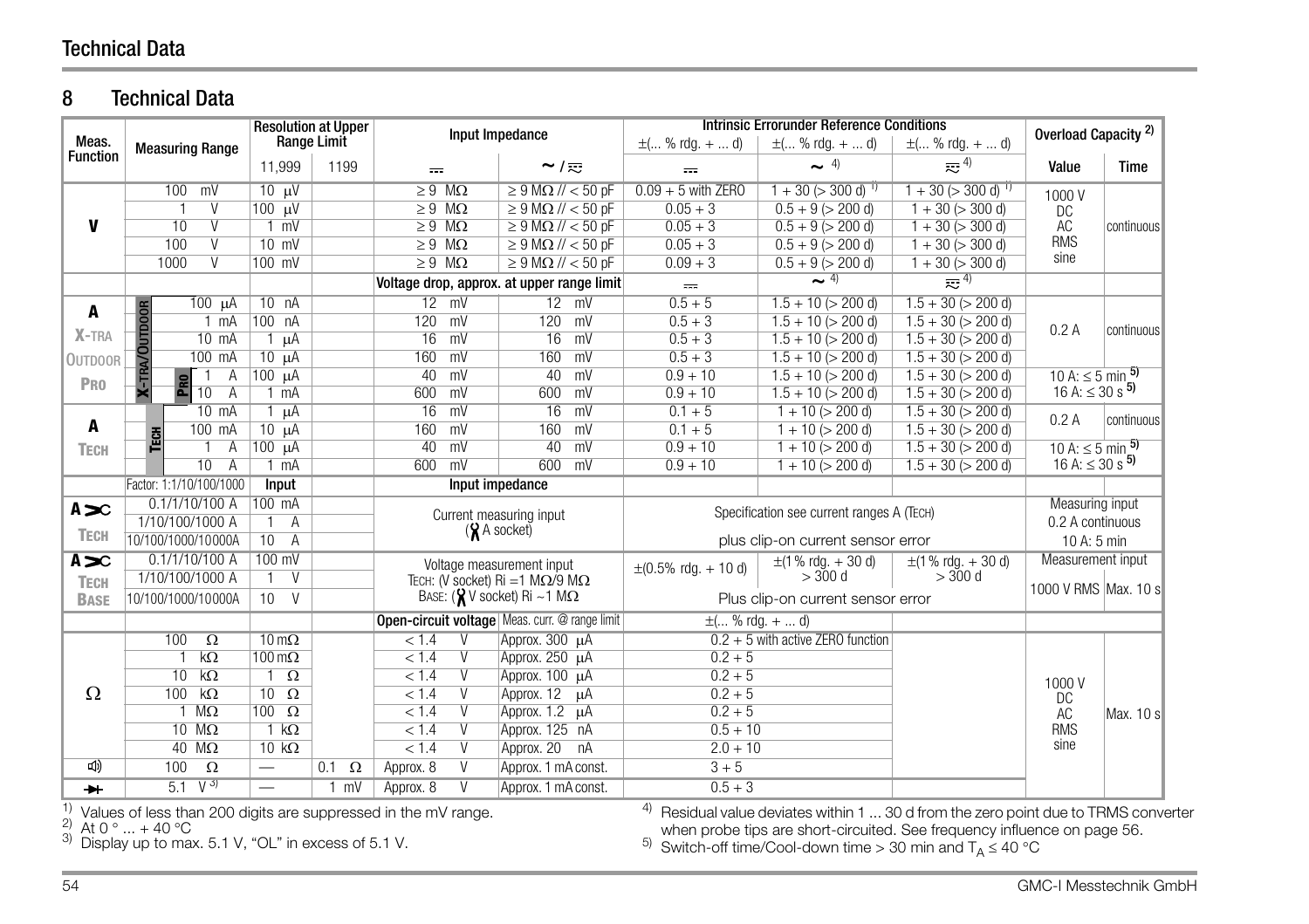# Technical Data

# <span id="page-53-1"></span><span id="page-53-0"></span>8 Technical Data

|                 |                                           |                                  | <b>Resolution at Upper</b> |                                      |                                                |                                           | <b>Intrinsic Errorunder Reference Conditions</b> |                               | Overload Capacity <sup>2)</sup>                                                                |             |
|-----------------|-------------------------------------------|----------------------------------|----------------------------|--------------------------------------|------------------------------------------------|-------------------------------------------|--------------------------------------------------|-------------------------------|------------------------------------------------------------------------------------------------|-------------|
| Meas.           | <b>Measuring Range</b>                    |                                  | Range Limit                |                                      | Input Impedance                                |                                           | $\pm$ ( % rdg. +  d)                             | $\pm$ ( % rdq. +  d)          |                                                                                                |             |
| <b>Function</b> |                                           | 11,999                           | 1199                       | $\overline{ }$                       | $\sim$ / $\approx$                             | $\overline{1}$                            | $\sim$ 4)                                        | $\sim$ 4)                     | Value                                                                                          | <b>Time</b> |
|                 | 100<br>mV                                 | $10 \text{ W}$                   |                            | $\geq 9$ M $\Omega$                  | $\geq 9$ M $\Omega$ // < 50 pF                 | $0.09 + 5$ with ZERO                      | $1 + 30$ ( $>$ 300 d) <sup>1</sup>               | $1 + 30$ ( $>$ 300 d) $^{11}$ | 1000V                                                                                          |             |
|                 | $\overline{\mathsf{V}}$<br>$\overline{1}$ | $100 \text{ \mu V}$              |                            | $\geq 9$ M $\Omega$                  | $\geq 9$ M $\Omega$ // < 50 pF                 | $0.05 + 3$                                | $0.5 + 9$ ( $> 200$ d)                           | $1 + 30$ ( $>$ 300 d)         | DC                                                                                             |             |
| v               | 10<br>$\overline{\mathsf{v}}$             | $1$ mV                           |                            | $\geq 9$ M $\Omega$                  | $\geq 9$ M $\Omega$ // < 50 pF                 | $0.05 + 3$                                | $0.5 + 9$ ( $> 200$ d)                           | $1 + 30$ ( $>$ 300 d)         | AC                                                                                             | continuous  |
|                 | 100<br>$\overline{\mathsf{V}}$            | $10$ mV                          |                            | $\geq 9$ M $\Omega$                  | $\geq 9$ M $\Omega$ // < 50 pF                 | $0.05 + 3$                                | $0.5 + 9$ ( $> 200$ d)                           | $1 + 30$ ( $>$ 300 d)         | <b>RMS</b>                                                                                     |             |
|                 | 1000<br>$\overline{\mathsf{V}}$           | 100 mV                           |                            | $\geq 9$ M $\Omega$                  | $\geq 9$ M $\Omega$ // < 50 pF                 | $0.09 + 3$                                | $0.5 + 9$ ( $> 200$ d)                           | $1 + 30$ ( $>$ 300 d)         | sine                                                                                           |             |
|                 |                                           |                                  |                            |                                      | Voltage drop, approx. at upper range limit     | $\equiv$                                  | $\sim$ 4)                                        | $\frac{1}{2}$ 4)              |                                                                                                |             |
| A               | $100 \mu A$                               | 10 nA                            |                            | $12$ mV                              | $12$ mV                                        | $0.5 + 5$                                 | $1.5 + 10$ ( $> 200$ d)                          | $1.5 + 30 (> 200 d)$          |                                                                                                |             |
|                 | $1 \text{ mA}$                            | 100 nA                           |                            | mV<br>120                            | 120<br>mV                                      | $0.5 + 3$                                 | $1.5 + 10$ ( $> 200$ d)                          | $1.5 + 30 (> 200 d)$          | 0.2A                                                                                           | continuous  |
| $X-TRA$         | $10 \text{ mA}$                           | μA<br>$\mathbf{1}$               |                            | 16<br>mV                             | mV<br>16                                       | $0.5 + 3$                                 | $1.5 + 10$ ( $> 200$ d)                          | $1.5 + 30$ ( $> 200$ d)       |                                                                                                |             |
| <b>OUTDOOR</b>  | <b>X-TRA/OUTDOOR</b><br>100 mA            | $10 \mu A$                       |                            | mV<br>160                            | mV<br>160                                      | $0.5 + 3$                                 | $1.5 + 10$ ( $> 200$ d)                          | $1.5 + 30 (> 200 d)$          |                                                                                                |             |
| P <sub>R0</sub> | Α                                         | $100 \mu A$                      |                            | mV<br>40                             | mV<br>40                                       | $0.9 + 10$                                | $1.5 + 10$ ( $> 200$ d)                          | $1.5 + 30$ ( $> 200$ d)       | 10 A: $\leq 5$ min <sup>5</sup>                                                                |             |
|                 | $\overline{A}$<br>10                      | $1 \text{ mA}$                   |                            | mV<br>600                            | 600<br>mV                                      | $0.9 + 10$                                | $1.5 + 10$ ( $> 200$ d)                          | $1.5 + 30 (> 200$ d)          | $16 A: \leq 30 s^{5}$                                                                          |             |
|                 | $10 \text{ mA}$                           | u <sub>A</sub><br>$\hat{1}$      |                            | $\overline{mV}$<br>$\overline{16}$   | $\overline{mv}$<br>16                          | $0.1 + 5$                                 | $1 + 10 (> 200$ d)                               | $1.5 + 30$ ( $> 200$ d)       | 0.2A                                                                                           | continuous  |
| A               | 100<br>mA<br>TECH                         | $10 \mu A$                       |                            | 160<br>mV                            | 160<br>mV                                      | $0.1 + 5$                                 | $1 + 10$ ( $> 200$ d)                            | $1.5 + 30 (> 200 d)$          |                                                                                                |             |
| <b>TECH</b>     | Α                                         | 100 µA                           |                            | mV<br>40                             | 40<br>mV                                       | $0.9 + 10$                                | $1 + 10$ ( $> 200$ d)                            | $1.5 + 30$ ( $> 200$ d)       | $10 \text{ A: } \leq 5 \text{ min }$ <sup>5)</sup><br>16 A: $\leq 30 \text{ s }$ <sup>5)</sup> |             |
|                 | 10<br>$\overline{A}$                      | $1 \text{ mA}$                   |                            | mV<br>600                            | 600<br>mV                                      | $0.9 + 10$                                | $1 + 10$ ( $> 200$ d)                            | $1.5 + 30 (> 200$ d)          |                                                                                                |             |
|                 | Factor: 1:1/10/100/1000                   | <b>Input</b>                     |                            | Input impedance                      |                                                |                                           |                                                  |                               |                                                                                                |             |
| $A \infty$      | $0.1/1/10/100$ A                          | 100 mA                           |                            |                                      | Current measuring input                        |                                           | Specification see current ranges A (TECH)        |                               | <b>Measuring input</b>                                                                         |             |
|                 | 1/10/100/1000 A                           | 1<br>A                           |                            | $(X A \text{ socket})$               |                                                |                                           |                                                  |                               | 0.2 A continuous                                                                               |             |
| <b>TECH</b>     | 10/100/1000/10000A                        | 10<br>$\overline{A}$             |                            |                                      |                                                |                                           | plus clip-on current sensor error                |                               | 10 A: 5 min                                                                                    |             |
| $A \infty$      | $0.1/1/10/100$ A                          | $100$ mV                         |                            |                                      | Voltage measurement input                      | $\pm (0.5\% \text{ rdq.} + 10 \text{ d})$ | $\pm$ (1% rdg. + 30 d)                           | $\pm$ (1 % rdg. + 30 d)       | Measurement input                                                                              |             |
| <b>TECH</b>     | 1/10/100/1000 A                           | $\overline{1}$<br>$\overline{V}$ |                            |                                      | TECH: (V socket) Ri = 1 $M\Omega/9$ $M\Omega$  |                                           | $>300$ d                                         | $>$ 300 d                     | 1000 V RMS Max, 10 s                                                                           |             |
| <b>BASE</b>     | 10/100/1000/10000A                        | $\vee$<br>10 <sup>1</sup>        |                            |                                      | BASE: ( $\bigvee$ V socket) Ri ~1 M $\Omega$   |                                           | Plus clip-on current sensor error                |                               |                                                                                                |             |
|                 |                                           |                                  |                            |                                      | Open-circuit voltage Meas. curr. @ range limit |                                           | $\pm$ ( % rdg. +  d)                             |                               |                                                                                                |             |
|                 | 100<br>$\overline{\Omega}$                | $10 \,\mathrm{m}\Omega$          |                            | $\overline{V}$<br>< 1.4              | Approx. 300 µA                                 |                                           | $0.2 + 5$ with active ZERO function              |                               |                                                                                                |             |
|                 | $k\Omega$<br>$\mathbf{1}$                 | $100 \,\mathrm{m}\Omega$         |                            | $\overline{V}$<br>< 1.4              | Approx. 250 µA                                 | $0.2 + 5$                                 |                                                  |                               |                                                                                                |             |
|                 | $k\Omega$<br>10                           | $\Omega$<br>$\mathbf{1}$         |                            | $\overline{V}$<br>< 1.4              | Approx. 100 µA                                 | $0.2 + 5$                                 |                                                  |                               | 1000V                                                                                          |             |
| Ω               | $100 \text{ k}\Omega$                     | $10 \Omega$                      |                            | $\overline{V}$<br>< 1.4              | Approx. 12<br>u <sub>A</sub>                   | $0.2 + 5$                                 |                                                  |                               | DC                                                                                             |             |
|                 | $1$ M $\Omega$                            | $100 \Omega$                     |                            | $\overline{V}$<br>< 1.4              | Approx. 1.2 µA                                 | $0.2 + 5$                                 |                                                  |                               | AC                                                                                             | Max. 10 sl  |
|                 | $10 M\Omega$                              | $1 k\Omega$                      |                            | $\overline{V}$<br>< 1.4              | Approx. 125 nA                                 | $0.5 + 10$                                |                                                  |                               | <b>RMS</b>                                                                                     |             |
|                 | $40 \text{ M}\Omega$                      | $10 k\Omega$                     |                            | $\overline{V}$<br>< 1.4              | Approx. 20<br>nA                               | $2.0 + 10$                                |                                                  |                               | sine                                                                                           |             |
| [10]            | $\Omega$<br>100                           | $\overline{\phantom{0}}$         | 0.1<br>$\Omega$            | $\overline{V}$<br>Approx. 8          | Approx. 1 mA const.                            | $3 + 5$                                   |                                                  |                               |                                                                                                |             |
| $\bullet$       | $5.1 \text{ V}^{3)}$                      | $\overline{\phantom{0}}$         | 1 mV                       | $\overline{\mathsf{v}}$<br>Approx. 8 | Approx. 1 mA const.                            | $0.5 + 3$                                 |                                                  |                               |                                                                                                |             |

<sup>1)</sup> Values of less than 200 digits are suppressed in the mV range.<br><sup>2)</sup> At 0  $^{\circ}$  ... + 40 °C<br><sup>3)</sup> Display up to max. 5.1 V, "OL" in excess of 5.1 V.

 $^{4)}$  Residual value deviates within 1  $\dots$  30 d from the zero point due to TRMS converter

when probe tips are short-circuited. See frequency influence on page 56.<br><sup>5)</sup> Switch-off time/Cool-down time > 30 min and T<sub>A</sub> ≤ 40 °C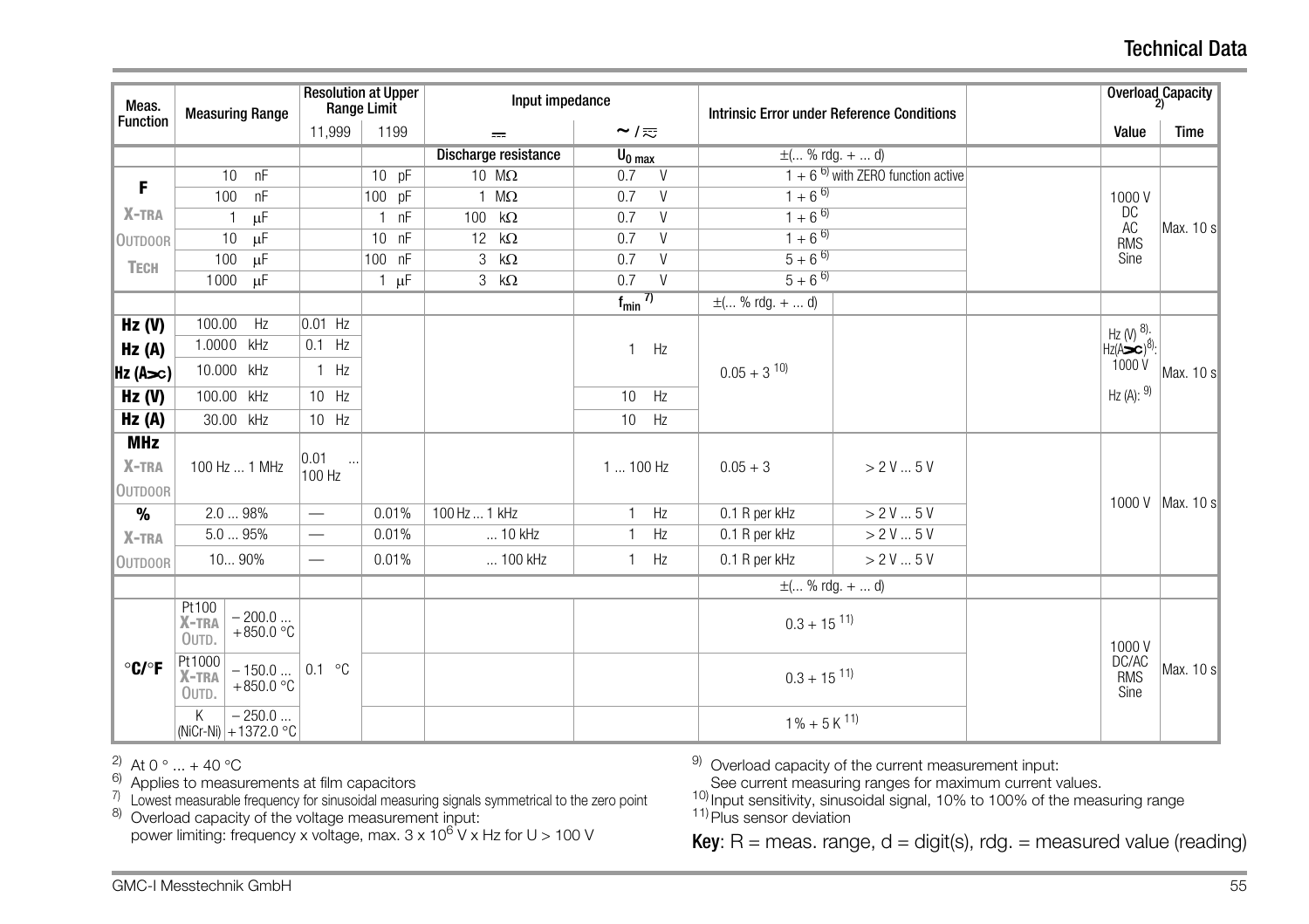#### Technical Data

| Meas.                      | <b>Measuring Range</b>                              |                          | <b>Resolution at Upper</b><br>Range Limit | Input impedance      |                         | <b>Intrinsic Error under Reference Conditions</b> |                                                 |                                                                 | Overload Capacity |
|----------------------------|-----------------------------------------------------|--------------------------|-------------------------------------------|----------------------|-------------------------|---------------------------------------------------|-------------------------------------------------|-----------------------------------------------------------------|-------------------|
| <b>Function</b>            |                                                     | 11.999                   | 1199                                      | $\overline{ }$       | $\sim$ / $\approx$      |                                                   |                                                 | Value                                                           | <b>Time</b>       |
|                            |                                                     |                          |                                           | Discharge resistance | $U_0$ <sub>max</sub>    | $\pm$ ( % rdg. +  d)                              |                                                 |                                                                 |                   |
|                            | 10<br>nF                                            |                          | $10$ pF                                   | $10 M\Omega$         | $\overline{V}$<br>0.7   |                                                   | $1 + 6$ <sup>6)</sup> with ZERO function active |                                                                 |                   |
| F                          | 100<br>nF                                           |                          | 100 pF                                    | $1$ M $\Omega$       | $\vee$<br>0.7           | $1+6^{6}$                                         |                                                 | 1000V                                                           |                   |
| X-TRA                      | μF<br>$\mathbf{1}$                                  |                          | 1 nF                                      | 100 $k\Omega$        | V<br>0.7                | $1 + 6^{6}$                                       |                                                 | DC<br>AC                                                        | Max. 10 s         |
| <b>OUTDOOR</b>             | μF<br>10 <sup>1</sup>                               |                          | 10 nF                                     | 12 $k\Omega$         | $\vee$<br>0.7           | $1+6^{6}$                                         |                                                 | <b>RMS</b>                                                      |                   |
| <b>TECH</b>                | 100<br>μF                                           |                          | 100 nF                                    | $3 k\Omega$          | $\vee$<br>0.7           | $5 + 6^{6}$                                       |                                                 | Sine                                                            |                   |
|                            | 1000 µF                                             |                          | $1 \mu F$                                 | $3 k\Omega$          | $\vee$<br>0.7           | $5+6^{6}$                                         |                                                 |                                                                 |                   |
|                            |                                                     |                          |                                           |                      | $f_{min}$ <sup>7)</sup> | $\pm$ ( % rdg. +  d)                              |                                                 |                                                                 |                   |
| Hz <sub>(V)</sub>          | 100.00<br>Hz                                        | $0.01$ Hz                |                                           |                      |                         |                                                   |                                                 |                                                                 |                   |
| Hz(A)                      | 1.0000 kHz                                          | $0.1$ Hz                 |                                           |                      | Hz<br>$\mathbf{1}$      |                                                   |                                                 | $Hz (N)$ <sup>8)</sup> :<br>$Hz(A=0)$ <sup>8)</sup> :<br>1000 V |                   |
| $Hz (A \rightarrow c)$     | 10.000 kHz                                          | $1$ Hz                   |                                           |                      |                         | $0.05 + 3^{10}$                                   |                                                 |                                                                 | Max. 10 s         |
| Hz <sub>(V)</sub>          | 100.00 kHz                                          | 10 Hz                    |                                           |                      | 10 Hz                   |                                                   |                                                 | Hz (A): $9$                                                     |                   |
| Hz (A)                     | 30.00 kHz                                           | 10 Hz                    |                                           |                      | 10 Hz                   |                                                   |                                                 |                                                                 |                   |
| <b>MHz</b>                 |                                                     |                          |                                           |                      |                         |                                                   |                                                 |                                                                 |                   |
| X-TRA                      | 100 Hz  1 MHz                                       | 0.01<br>$\sim$<br>100 Hz |                                           |                      | 1  100 Hz               | $0.05 + 3$                                        | > 2V5V                                          |                                                                 |                   |
| OUTDOOR                    |                                                     |                          |                                           |                      |                         |                                                   |                                                 |                                                                 | 1000 V Max, 10 s  |
| %                          | 2.0  98%                                            | $\overline{\phantom{m}}$ | 0.01%                                     | 100 Hz  1 kHz        | $1$ Hz                  | 0.1 R per kHz                                     | > 2V5V                                          |                                                                 |                   |
| X-TRA                      | 5.095%                                              | $\overline{\phantom{0}}$ | 0.01%                                     | 10 kHz               | Hz<br>$\mathbf{1}$      | 0.1 R per kHz                                     | > 2 V  5 V                                      |                                                                 |                   |
| <b>OUTDOOR</b>             | 10 90%                                              | $\overline{\phantom{m}}$ | 0.01%                                     | 100 kHz              | Hz<br>$\mathbf{1}$      | 0.1 R per kHz                                     | > 2V5V                                          |                                                                 |                   |
|                            |                                                     |                          |                                           |                      |                         | $\pm$ ( % rdg. +  d)                              |                                                 |                                                                 |                   |
|                            | Pt100<br>$-200.0$<br>X-TRA<br>$+850.0 °C$<br>OUTD.  |                          |                                           |                      |                         | $0.3 + 15^{11}$                                   |                                                 | 1000V                                                           |                   |
| $^{\circ}$ C/ $^{\circ}$ F | Pt1000<br>$-150.0$<br>X-TRA<br>$+850.0 °C$<br>OUTD. | 0.1 °C                   |                                           |                      |                         | $0.3 + 15^{11}$                                   |                                                 | DC/AC<br><b>RMS</b><br>Sine                                     | Max. 10 s         |
|                            | $-250.0$<br>Κ<br>(NiCr-Ni) $+1372.0$ °C             |                          |                                           |                      |                         | $1\% + 5 K^{11}$                                  |                                                 |                                                                 |                   |

2) At 0  $^{\circ}$  ... + 40  $^{\circ}$ C

6) Applies to measurements at film capacitors<br>  $\frac{1}{\sqrt{2}}$  Lowest measurable frequency for sinusoidal measuring signals symmetrical to the zero point

by continuous in the voltage measurement input:<br>
power limiting: frequency x voltage, max.  $3 \times 10^6$  V x Hz for U > 100 V<br>
power limiting: frequency x voltage, max.  $3 \times 10^6$  V x Hz for U > 100 V

9) Overload capacity of the current measurement input:<br>See current measuring ranges for maximum current values.

10) Input sensitivity, sinusoidal signal, 10% to 100% of the measuring range<br>11) Plus sensor deviation

**Key:**  $R =$  meas. range,  $d =$  digit(s),  $r dg =$  measured value (reading)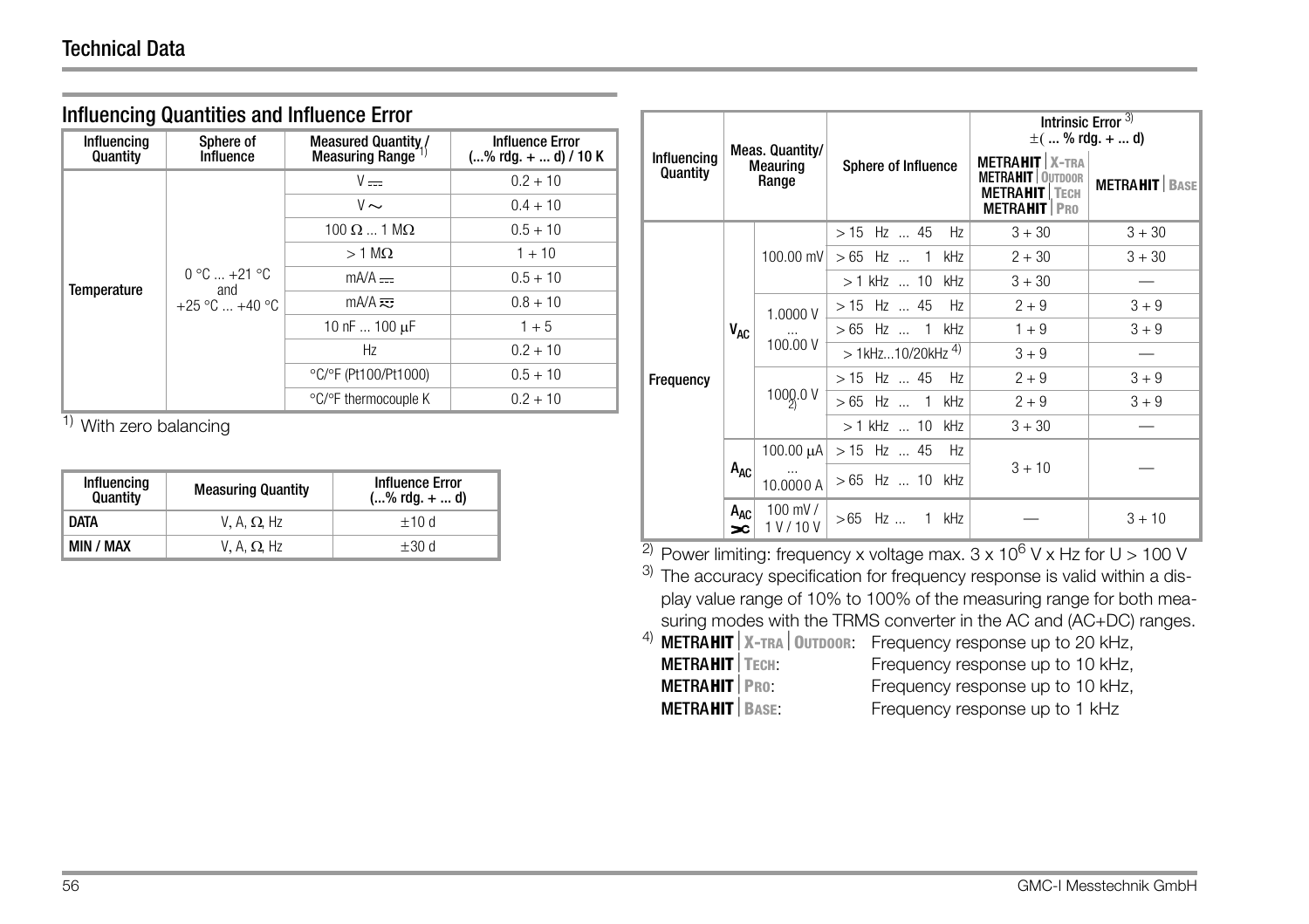Influencing Quantities and Influence Error

| minuchchiq Quantities and minuched Lifer |                                            |                                                      |                                                   |  |  |  |
|------------------------------------------|--------------------------------------------|------------------------------------------------------|---------------------------------------------------|--|--|--|
| Influencing<br>Quantity                  | Sphere of<br>Influence                     | <b>Measured Quantity /</b><br><b>Measuring Range</b> | <b>Influence Error</b><br>$(\%$ rdg. +  d) / 10 K |  |  |  |
|                                          |                                            | $V = -$                                              | $0.2 + 10$                                        |  |  |  |
|                                          | $0 °C  +21 °C$<br>and<br>$+25$ °C $+40$ °C | $V \sim$                                             | $0.4 + 10$                                        |  |  |  |
|                                          |                                            | $100 \Omega$ 1 M $\Omega$                            | $0.5 + 10$                                        |  |  |  |
|                                          |                                            | $>1$ M $\Omega$                                      | $1 + 10$                                          |  |  |  |
| <b>Temperature</b>                       |                                            | $mA/A$ =                                             | $0.5 + 10$                                        |  |  |  |
|                                          |                                            | $mA/A \approx$                                       | $0.8 + 10$                                        |  |  |  |
|                                          |                                            | 10 nF  100 µF                                        | $1 + 5$                                           |  |  |  |
|                                          |                                            | Hz                                                   | $0.2 + 10$                                        |  |  |  |
|                                          |                                            | °C/°F (Pt100/Pt1000)                                 | $0.5 + 10$                                        |  |  |  |
|                                          |                                            | °C/°F thermocouple K                                 | $0.2 + 10$                                        |  |  |  |

 $\frac{1}{1}$  With zero balancing

| Influencing<br>Quantity | <b>Measuring Quantity</b> | <b>Influence Error</b><br>$(\%$ rdg. $+$ d) |
|-------------------------|---------------------------|---------------------------------------------|
| DATA                    | V. A. $\Omega$ . Hz       | $+10d$                                      |
| MIN / MAX               | V. A. $\Omega$ . Hz       | $+30d$                                      |

|                         |                                 |                          | Meas. Quantity/                |                | Intrinsic Error <sup>3)</sup><br>$\pm$ (  % rdg. +  d)                                              |                        |
|-------------------------|---------------------------------|--------------------------|--------------------------------|----------------|-----------------------------------------------------------------------------------------------------|------------------------|
| Influencing<br>Quantity |                                 | <b>Meauring</b><br>Range | <b>Sphere of Influence</b>     |                | <b>METRAHIT X-TRA</b><br><b>METRAHIT   OUTDOOR</b><br><b>METRAHIT TECH</b><br><b>METRAHIT</b>   PRO | <b>METRAHIT   BASE</b> |
|                         |                                 |                          | $>15$ Hz $\ldots$ 45           | Hz             | $3 + 30$                                                                                            | $3 + 30$               |
|                         |                                 | 100.00 mV                | $>65$ Hz  1                    | kHz            | $2 + 30$                                                                                            | $3 + 30$               |
|                         |                                 |                          | > 1 kHz  10                    | kHz            | $3 + 30$                                                                                            |                        |
|                         |                                 | 1.0000 V                 | > 15 Hz  45                    | Hz             | $2 + 9$                                                                                             | $3 + 9$                |
|                         | V <sub>AC</sub>                 | 100.00 V                 | $>65$ Hz  1 kHz                |                | $1 + 9$                                                                                             | $3 + 9$                |
|                         |                                 |                          | $>1$ kHz10/20kHz <sup>4)</sup> |                | $3 + 9$                                                                                             |                        |
| Frequency               |                                 |                          | $>15$ Hz  45                   | Hz             | $2 + 9$                                                                                             | $3 + 9$                |
|                         |                                 | 1000.0 V                 | $>65$ Hz  1 kHz                |                | $2 + 9$                                                                                             | $3 + 9$                |
|                         |                                 |                          | $> 1$ kHz $\ldots$ 10 kHz      |                | $3 + 30$                                                                                            |                        |
|                         | $A_{AC}$                        | 100.00 $\mu$ A           | $>15$ Hz  45                   | H <sub>7</sub> |                                                                                                     |                        |
|                         |                                 | 10.0000 A                | $>65$ Hz $\ldots$ 10 kHz       |                | $3 + 10$                                                                                            |                        |
|                         | A <sub>AC</sub><br>$\mathbf{R}$ | $100$ mV $/$<br>1 V/10 V | $>65$ Hz<br>1.                 | kHz            |                                                                                                     | $3 + 10$               |

<sup>2)</sup> Power limiting: frequency x voltage max.  $3 \times 10^6$  V x Hz for U > 100 V

<sup>3)</sup> The accuracy specification for frequency response is valid within a display value range of 10% to 100% of the measuring range for both measuring modes with the TRMS converter in the AC and (AC+DC) ranges.

|                         | <sup>4)</sup> METRAHIT   X-TRA   OUTDOOR: Frequency response up to 20 kHz, |
|-------------------------|----------------------------------------------------------------------------|
| <b>METRAHIT</b>   TECH: | Frequency response up to 10 kHz,                                           |
| METRAHIT PRO:           | Frequency response up to 10 kHz,                                           |
| <b>METRAHIT</b> BASE:   | Frequency response up to 1 kHz                                             |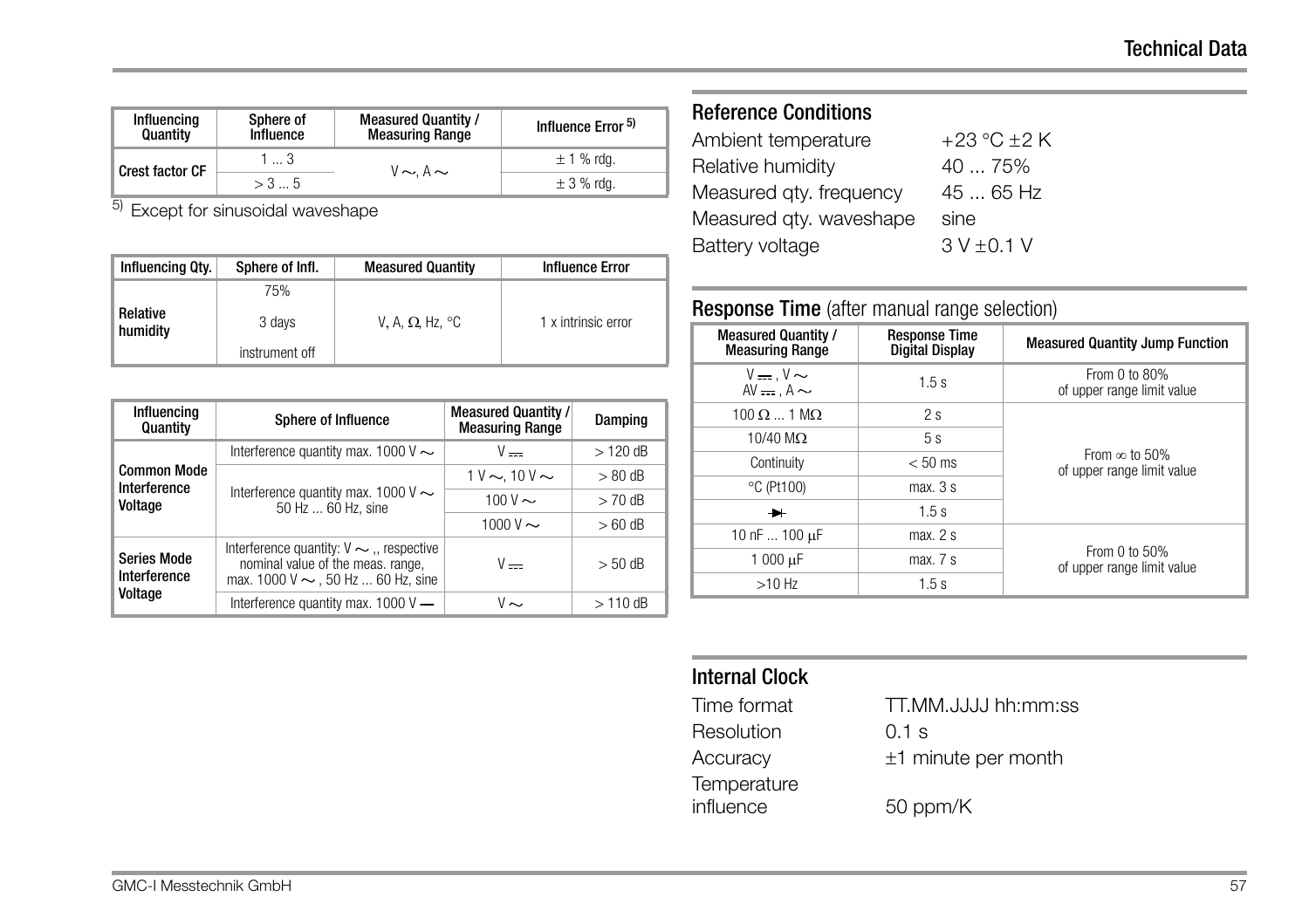| Influencing<br>Quantity | Sphere of<br>Influence  | <b>Measured Quantity /</b><br><b>Measuring Range</b> | Influence Error <sup>5)</sup> |
|-------------------------|-------------------------|------------------------------------------------------|-------------------------------|
| <b>Crest factor CF</b>  | 1  3                    |                                                      | $\pm$ 1 % rdq.                |
|                         | $V \sim A \sim$<br>> 35 | $\pm$ 3 % rdq.                                       |                               |

<sup>5)</sup> Except for sinusoidal waveshape

| Influencing Qty.     | Sphere of Infl. | <b>Measured Quantity</b> | <b>Influence Error</b> |
|----------------------|-----------------|--------------------------|------------------------|
|                      | 75%             |                          |                        |
| Relative<br>humidity | 3 days          | V, A, $\Omega$ , Hz, °C  | 1 x intrinsic error    |
|                      | instrument off  |                          |                        |

| Influencing<br>Quantity            | Sphere of Influence                                                                                                          | <b>Measured Quantity /</b><br><b>Measuring Range</b> | Damping   |
|------------------------------------|------------------------------------------------------------------------------------------------------------------------------|------------------------------------------------------|-----------|
|                                    | Interference quantity max. 1000 V $\sim$                                                                                     | $V -$                                                | $>120$ dB |
| <b>Common Mode</b><br>Interference |                                                                                                                              | $1 V \sim 10 V \sim$                                 | $> 80$ dB |
| Voltage                            | Interference quantity max. 1000 V $\sim$<br>50 Hz  60 Hz, sine                                                               | 100 V $\sim$                                         | $>70$ dB  |
|                                    |                                                                                                                              | 1000 V $\sim$                                        | $>60$ dB  |
| <b>Series Mode</b><br>Interference | Interference quantity: $V \sim$ , respective<br>nominal value of the meas. range,<br>max. 1000 V $\sim$ , 50 Hz  60 Hz, sine | $V -$                                                | $> 50$ dB |
| Voltage                            | Interference quantity max. 1000 V -                                                                                          | V~                                                   | $>110$ dB |

# Reference Conditions

| Ambient temperature     | $+23 °C + 2 K$ |
|-------------------------|----------------|
| Relative humidity       | 40  75%        |
| Measured qty. frequency | 45  65 Hz      |
| Measured gty. waveshape | sine           |
| Battery voltage         | $3 V + 0.1 V$  |
|                         |                |

| <b>Measured Quantity /</b><br><b>Measuring Range</b> | <b>Response Time</b><br><b>Digital Display</b> | <b>Measured Quantity Jump Function</b>             |  |
|------------------------------------------------------|------------------------------------------------|----------------------------------------------------|--|
| $V = V \sim$<br>$AV = A \sim$                        | 1.5s                                           | From 0 to 80%<br>of upper range limit value        |  |
| $100 \Omega$ $\ldots$ 1 M $\Omega$                   | 2s                                             |                                                    |  |
| $10/40$ M $\Omega$                                   | 5s                                             |                                                    |  |
| Continuity                                           | $< 50$ ms                                      | From $\infty$ to 50%<br>of upper range limit value |  |
| °C (Pt100)                                           | max. 3s                                        |                                                    |  |
| ₩.                                                   | 1.5s                                           |                                                    |  |
| 10 nF  100 µF                                        | max. 2s                                        |                                                    |  |
| 1 000 µF                                             | max. 7s                                        | From 0 to 50%<br>of upper range limit value        |  |
| $>10$ Hz                                             | 1.5s                                           |                                                    |  |

# Response Time (after manual range selection)

# Internal Clock

| Time format | TT.MM.JJJJJ hh:mm:ss     |
|-------------|--------------------------|
| Resolution  | $0.1$ s                  |
| Accuracy    | $\pm 1$ minute per month |
| Temperature |                          |
| influence   | 50 ppm/K                 |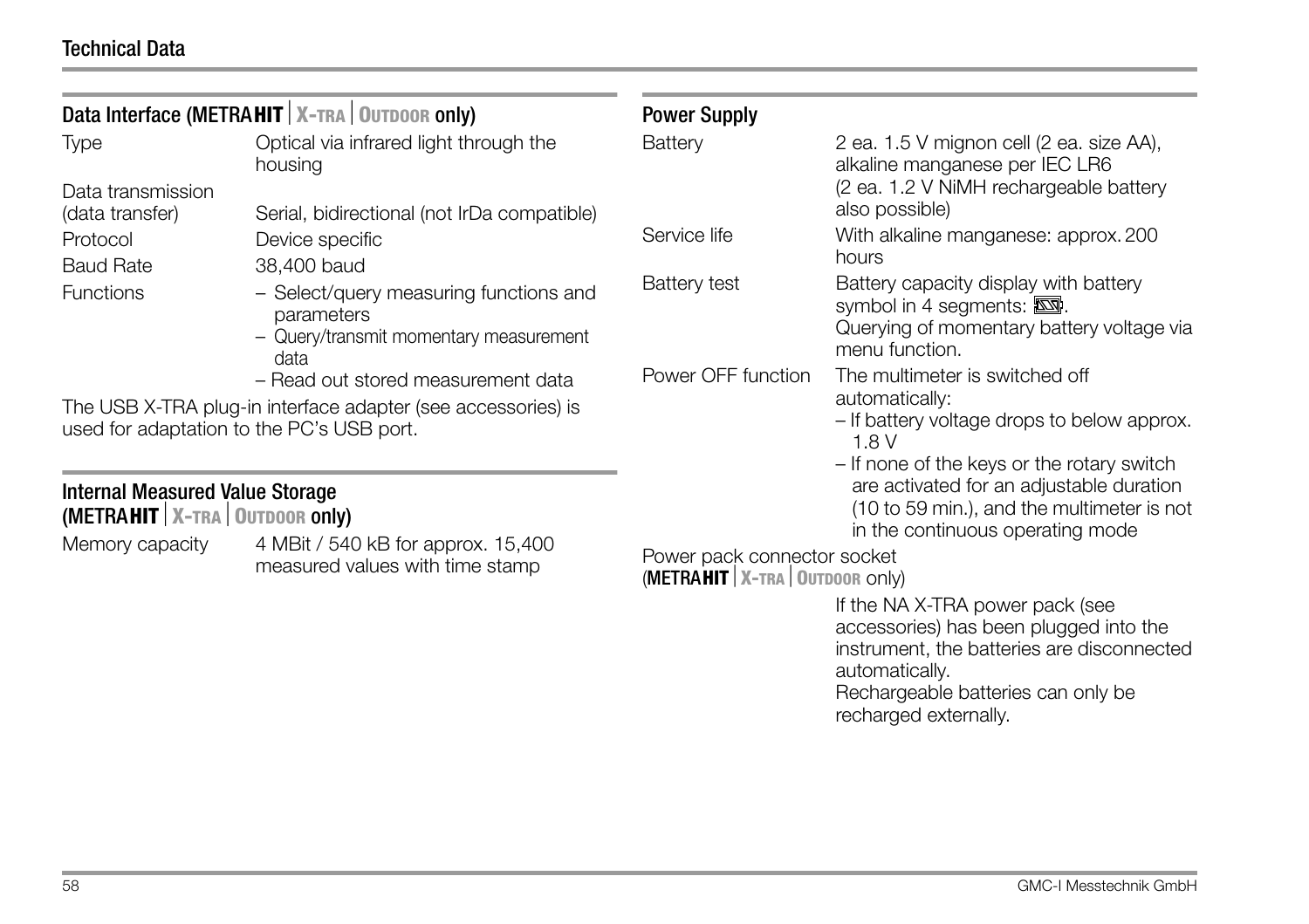# Technical Data

|                                                                             | Data Interface (METRAHIT   X-TRA   OUTDOOR ONly)                                                          | <b>Power Supply</b>                                              |                                                                                                                                                                                                          |
|-----------------------------------------------------------------------------|-----------------------------------------------------------------------------------------------------------|------------------------------------------------------------------|----------------------------------------------------------------------------------------------------------------------------------------------------------------------------------------------------------|
| <b>Type</b><br>Data transmission                                            | Optical via infrared light through the<br>housing                                                         | Battery                                                          | 2 ea. 1.5 V mignon cell (2 ea. size AA),<br>alkaline manganese per IEC LR6<br>(2 ea. 1.2 V NiMH rechargeable battery                                                                                     |
| (data transfer)                                                             | Serial, bidirectional (not IrDa compatible)                                                               |                                                                  | also possible)                                                                                                                                                                                           |
| Protocol                                                                    | Device specific                                                                                           | Service life                                                     | With alkaline manganese: approx. 200                                                                                                                                                                     |
| <b>Baud Rate</b>                                                            | 38,400 baud                                                                                               |                                                                  | hours                                                                                                                                                                                                    |
| <b>Functions</b>                                                            | - Select/query measuring functions and<br>parameters<br>- Query/transmit momentary measurement<br>data    | <b>Battery test</b>                                              | Battery capacity display with battery<br>symbol in 4 segments: NOT.<br>Querying of momentary battery voltage via<br>menu function.                                                                       |
|                                                                             | - Read out stored measurement data                                                                        | Power OFF function                                               | The multimeter is switched off                                                                                                                                                                           |
|                                                                             | The USB X-TRA plug-in interface adapter (see accessories) is<br>used for adaptation to the PC's USB port. |                                                                  | automatically:<br>- If battery voltage drops to below approx.<br>1.8 V                                                                                                                                   |
| <b>Internal Measured Value Storage</b><br>(METRAHIT   X-TRA   OUTDOOR ONly) |                                                                                                           |                                                                  | - If none of the keys or the rotary switch<br>are activated for an adjustable duration<br>(10 to 59 min.), and the multimeter is not<br>in the continuous operating mode                                 |
| Memory capacity                                                             | 4 MBit / 540 kB for approx. 15,400<br>measured values with time stamp                                     | Power pack connector socket<br>(METRAHIT   X-TRA   OUTDOOR ONLY) |                                                                                                                                                                                                          |
|                                                                             |                                                                                                           |                                                                  | If the NA X-TRA power pack (see<br>accessories) has been plugged into the<br>instrument, the batteries are disconnected<br>automatically.<br>Rechargeable batteries can only be<br>recharged externally. |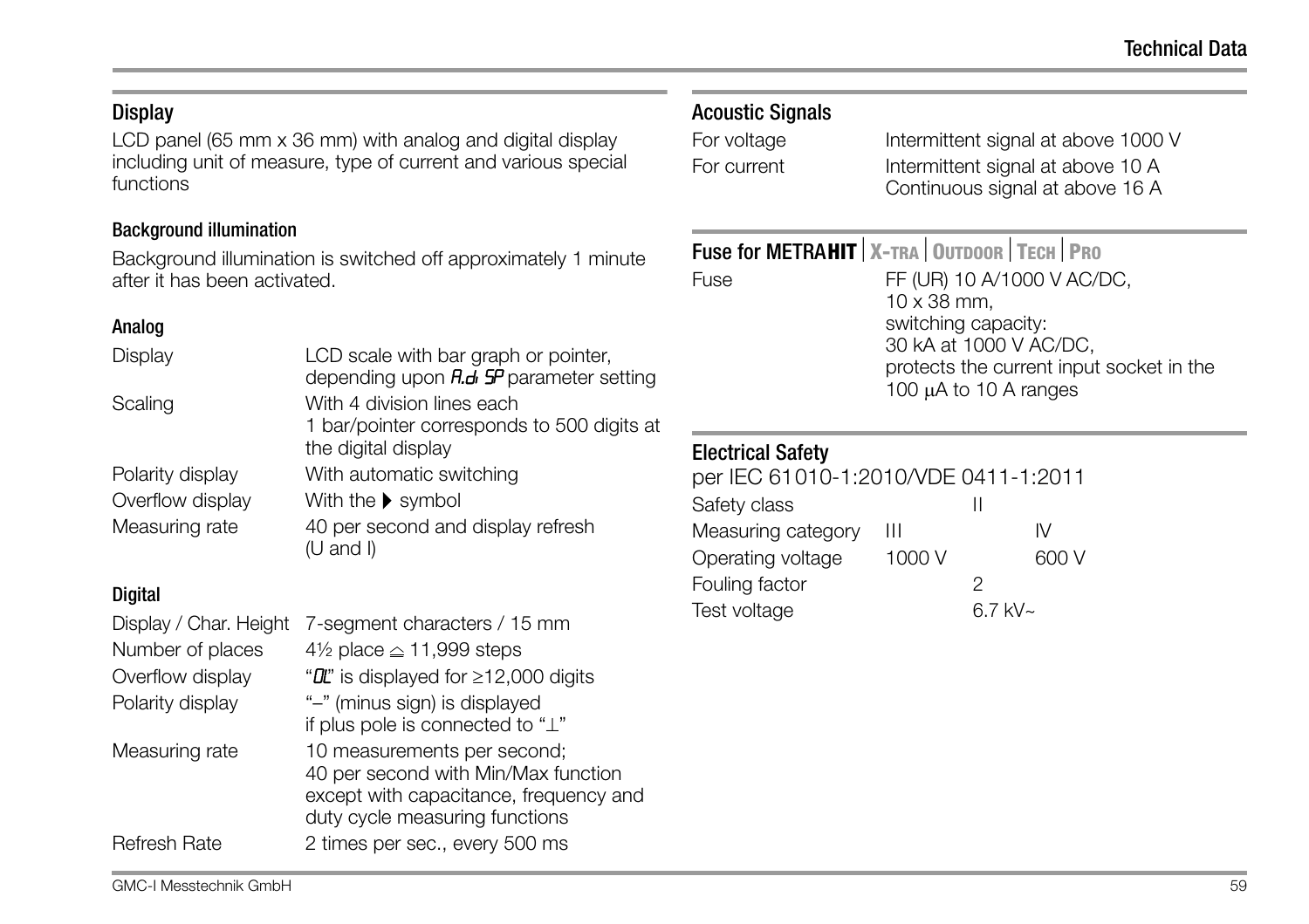## **Display**

LCD panel (65 mm x 36 mm) with analog and digital display including unit of measure, type of current and various special functions

#### Background illumination

Background illumination is switched off approximately 1 minute after it has been activated.

#### Analog

| Display                              | LCD scale with bar graph or pointer,<br>depending upon <i>R.d.</i> 5P parameter setting         |  |
|--------------------------------------|-------------------------------------------------------------------------------------------------|--|
| Scaling                              | With 4 division lines each<br>1 bar/pointer corresponds to 500 digits at<br>the digital display |  |
| Polarity display<br>Overflow display | With automatic switching<br>With the $\blacktriangleright$ symbol                               |  |
| Measuring rate                       | 40 per second and display refresh<br>$(U \text{ and } I)$                                       |  |
|                                      |                                                                                                 |  |

#### **Digital**

| Display / Char. Height<br>Number of places<br>Overflow display | 7-segment characters / 15 mm<br>4½ place $\geq$ 11,999 steps<br>" $\mathbf{I}$ " is displayed for $\geq$ 12,000 digits                         |
|----------------------------------------------------------------|------------------------------------------------------------------------------------------------------------------------------------------------|
| Polarity display                                               | "-" (minus sign) is displayed<br>if plus pole is connected to "L"                                                                              |
| Measuring rate                                                 | 10 measurements per second;<br>40 per second with Min/Max function<br>except with capacitance, frequency and<br>duty cycle measuring functions |
| <b>Refresh Rate</b>                                            | 2 times per sec., every 500 ms                                                                                                                 |

# Acoustic Signals

| For voltage | Intermittent signal at above 1000 V                                  |
|-------------|----------------------------------------------------------------------|
| For current | Intermittent signal at above 10 A<br>Continuous signal at above 16 A |

<span id="page-58-2"></span><span id="page-58-0"></span>

FUSE FF (UR) 10 A/1000 V AC/DC, 10 x 38 mm, switching capacity: 30 kA at 1000 V AC/DC, protects the current input socket in the 100  $\mu$ A to 10 A ranges

#### <span id="page-58-1"></span>Electrical Safety

<span id="page-58-3"></span>

| per IEC 61010-1:2010/VDE 0411-1:2011 |        |               |       |
|--------------------------------------|--------|---------------|-------|
| Safety class                         |        |               |       |
| Measuring category                   | Ш      |               | IV.   |
| Operating voltage                    | 1000 V |               | 600 V |
| Fouling factor                       |        | 2             |       |
| Test voltage                         |        | 6.7 kV $\sim$ |       |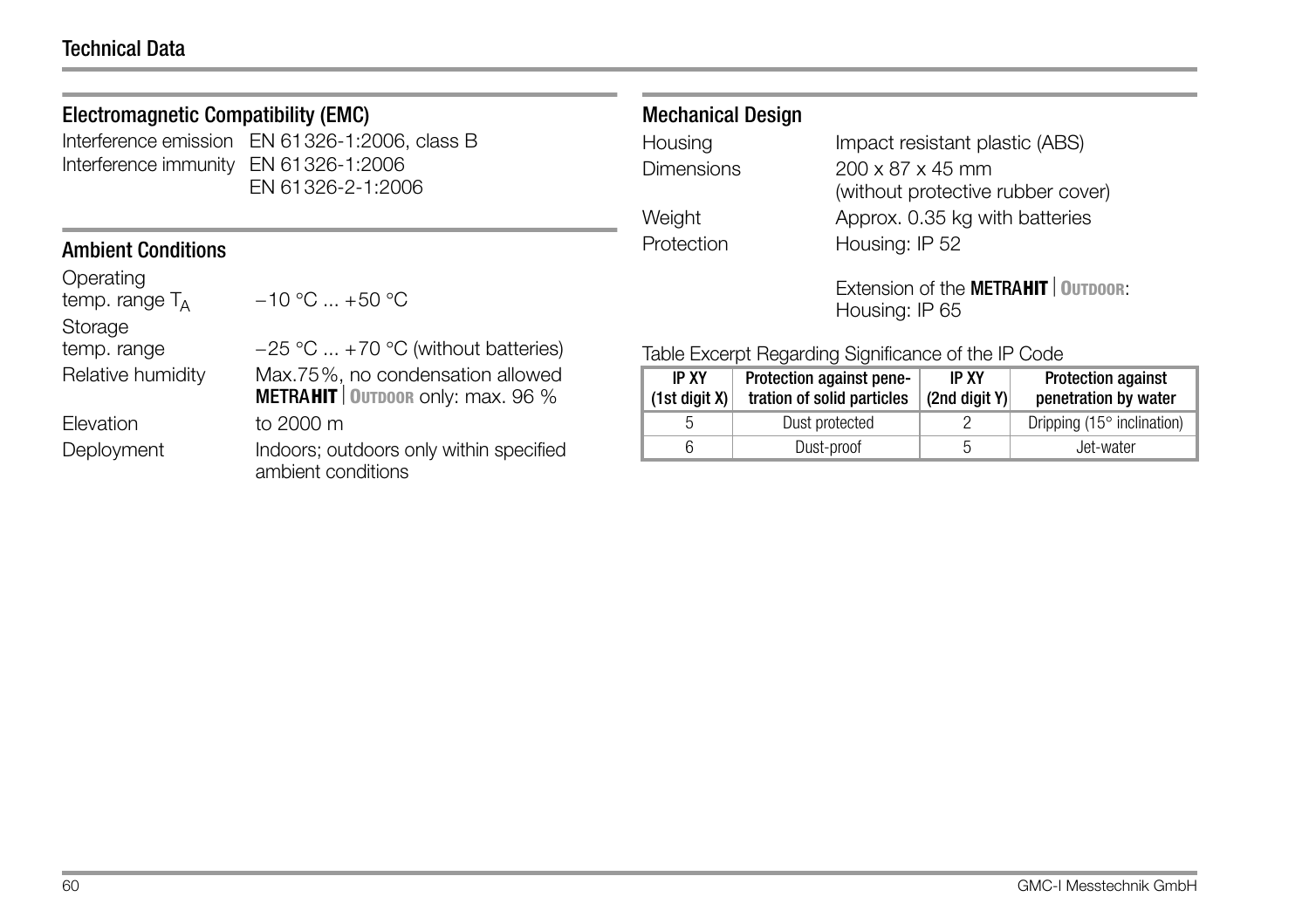<span id="page-59-0"></span>

| <b>Electromagnetic Compatibility (EMC)</b> |                                                                        | <b>Mechanical Design</b>   |                                                        |                                      |                    |
|--------------------------------------------|------------------------------------------------------------------------|----------------------------|--------------------------------------------------------|--------------------------------------|--------------------|
|                                            | Interference emission EN 61326-1:2006, class B                         | Housing                    |                                                        | Impact resistant plastic (AB         |                    |
|                                            | Interference immunity EN 61326-1:2006<br>EN 61326-2-1:2006             | <b>Dimensions</b>          | $200 \times 87 \times 45$ mm                           | (without protective rubber c         |                    |
|                                            |                                                                        | Weight                     |                                                        | Approx. 0.35 kg with batter          |                    |
| <b>Ambient Conditions</b>                  |                                                                        | Protection                 | Housing: IP 52                                         |                                      |                    |
| Operating<br>temp. range $T_A$<br>Storage  | $-10$ °C $ +50$ °C                                                     |                            | Housing: IP 65                                         | Extension of the <b>METRAHIT</b>   0 |                    |
| temp. range                                | $-25$ °C  +70 °C (without batteries)                                   |                            | Table Excerpt Regarding Significance of the IP Code    |                                      |                    |
| Relative humidity                          | Max.75%, no condensation allowed<br>METRAHIT   OUTDOOR ONly: max. 96 % | IP XY<br>$(1st$ digit $X)$ | Protection against pene-<br>tration of solid particles | <b>IP XY</b><br>$(2nd$ digit Y)      | <b>Pro</b><br>pene |
| Elevation                                  | to 2000 m                                                              | 5                          | Dust protected                                         | 2                                    | Drippi             |
| Deployment                                 | Indoors; outdoors only within specified<br>ambient conditions          | 6                          | Dust-proof                                             | 5                                    |                    |

ic (ABS) ber cover) batteries

Extension of the METRA**HIT OUTDOOR**:

<span id="page-59-1"></span>penetration by water Dripping (15° inclination)

Protection against

Jet-water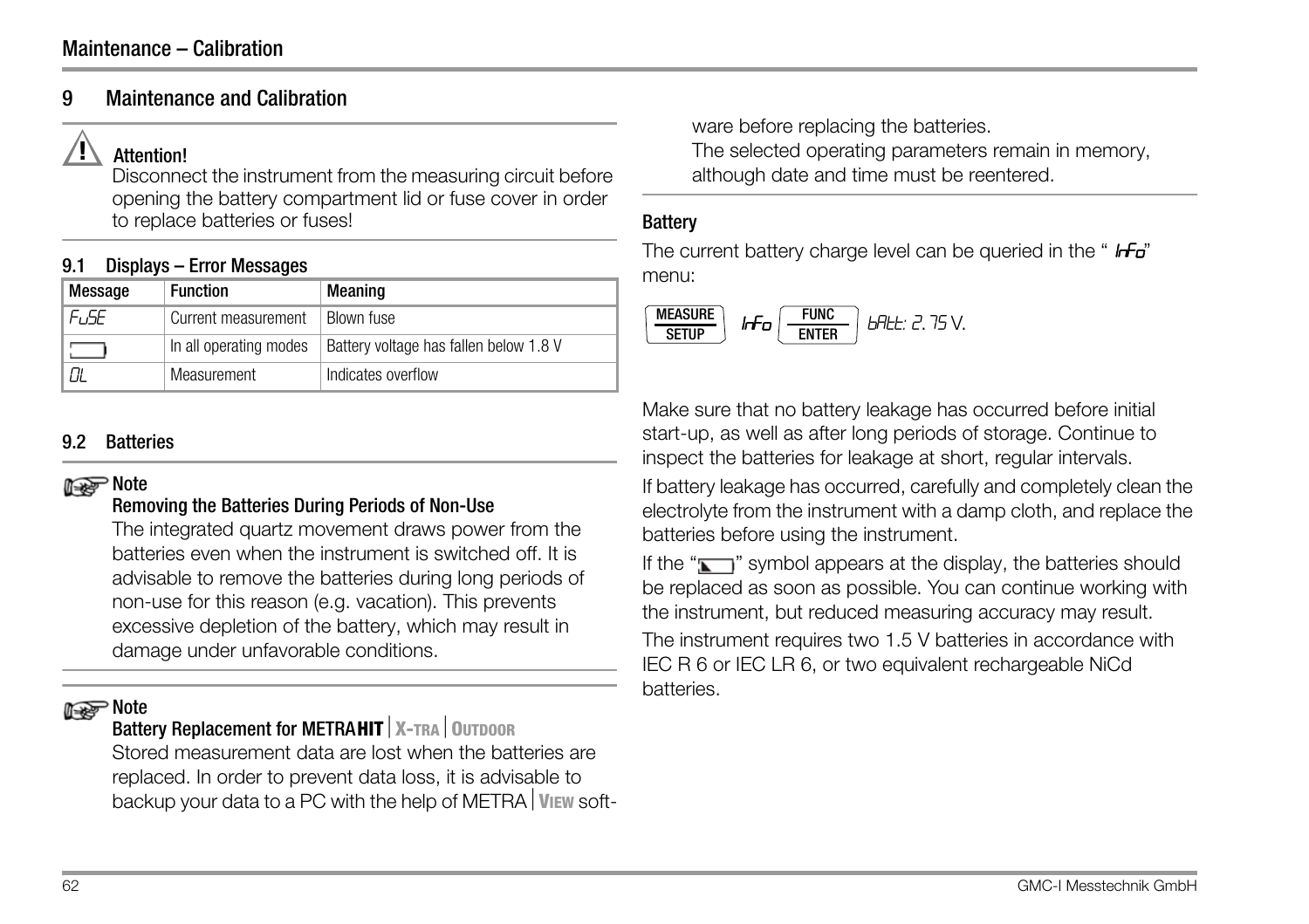#### <span id="page-61-0"></span>9 Maintenance and Calibration

# **!** Attention!

<span id="page-61-6"></span>Disconnect the instrument from the measuring circuit before opening the battery compartment lid or fuse cover in order to replace batteries or fuses!

#### <span id="page-61-1"></span>9.1 Displays – Error Messages

| Message | <b>Function</b>        | Meaning                                |
|---------|------------------------|----------------------------------------|
| FuSE    | Current measurement    | Blown fuse                             |
|         | In all operating modes | Battery voltage has fallen below 1.8 V |
|         | Measurement            | Indicates overflow                     |

#### <span id="page-61-3"></span><span id="page-61-2"></span>9.2 Batteries

#### **Note** Removing the Batteries During Periods of Non-Use

<span id="page-61-5"></span>The integrated quartz movement draws power from the batteries even when the instrument is switched off. It is advisable to remove the batteries during long periods of non-use for this reason (e.g. vacation). This prevents excessive depletion of the battery, which may result in damage under unfavorable conditions.

# **Note** Note

Battery Replacement for METRAHIT X-TRA OUTDOOR

Stored measurement data are lost when the batteries are replaced. In order to prevent data loss, it is advisable to backup your data to a PC with the help of METRA VIEW software before replacing the batteries. The selected operating parameters remain in memory, although date and time must be reentered.

#### <span id="page-61-4"></span>**Battery**

The current battery charge level can be queried in the " $l$ rfo" menu:

![](_page_61_Picture_15.jpeg)

Make sure that no battery leakage has occurred before initial start-up, as well as after long periods of storage. Continue to inspect the batteries for leakage at short, regular intervals.

If battery leakage has occurred, carefully and completely clean the electrolyte from the instrument with a damp cloth, and replace the batteries before using the instrument.

If the " $\sqrt{ }$ " symbol appears at the display, the batteries should be replaced as soon as possible. You can continue working with the instrument, but reduced measuring accuracy may result. The instrument requires two 1.5 V batteries in accordance with IEC R 6 or IEC LR 6, or two equivalent rechargeable NiCd batteries.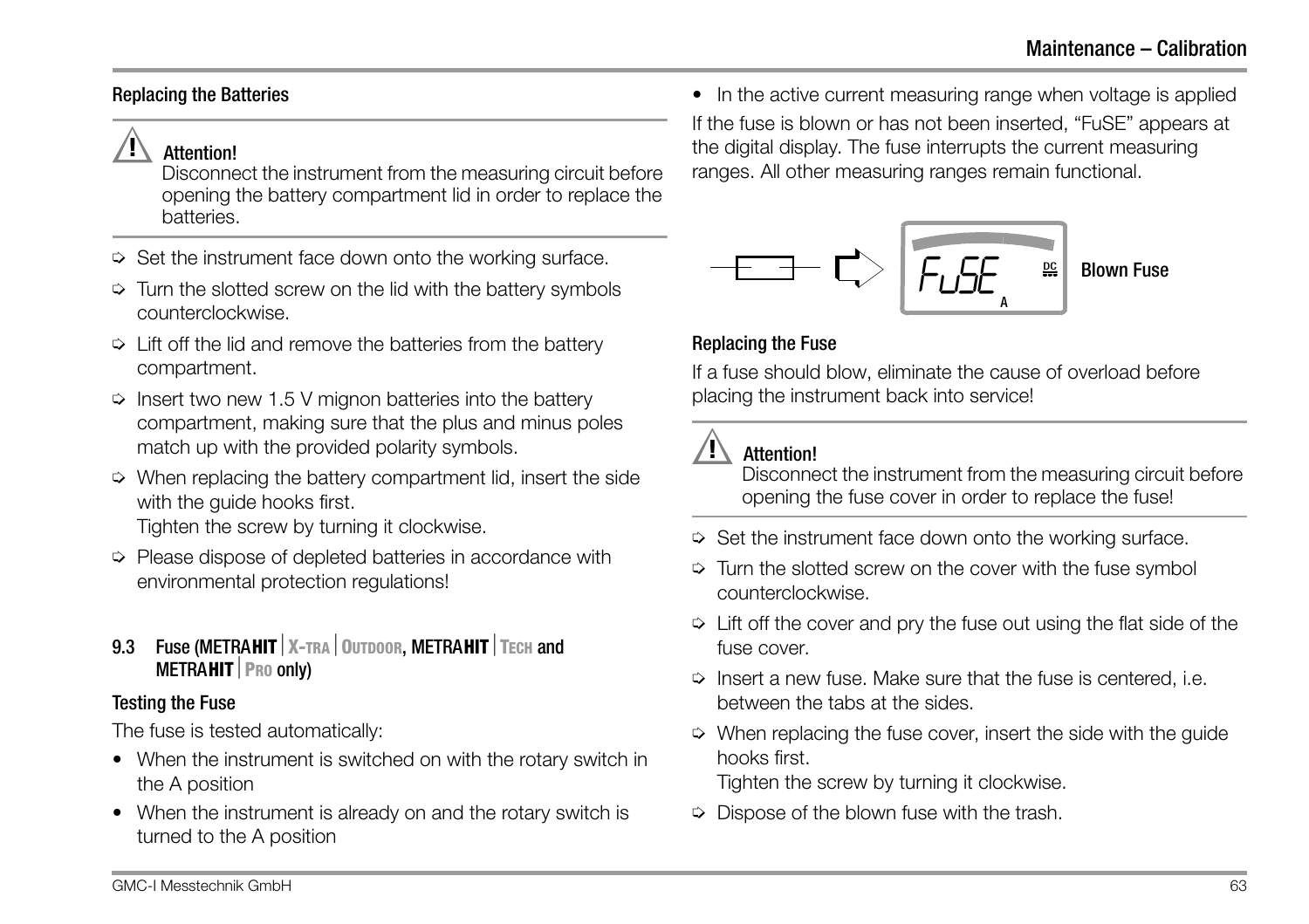#### <span id="page-62-2"></span>Replacing the Batteries

# **!** Attention!

Disconnect the instrument from the measuring circuit before opening the battery compartment lid in order to replace the batteries.

- $\Rightarrow$  Set the instrument face down onto the working surface.
- $\Rightarrow$  Turn the slotted screw on the lid with the battery symbols counterclockwise.
- $\Rightarrow$  Lift off the lid and remove the batteries from the battery compartment.
- $\Rightarrow$  Insert two new 1.5 V mignon batteries into the battery compartment, making sure that the plus and minus poles match up with the provided polarity symbols.
- $\Diamond$  When replacing the battery compartment lid, insert the side with the guide hooks first. Tighten the screw by turning it clockwise.
- $\Rightarrow$  Please dispose of depleted batteries in accordance with environmental protection regulations!

#### <span id="page-62-1"></span><span id="page-62-0"></span>9.3 Fuse (METRA**HITX-TRAOUTDOOR**, METRA**HITTECH** and METRA**HITPRO** only)

# Testing the Fuse

The fuse is tested automatically:

- When the instrument is switched on with the rotary switch in the A position
- When the instrument is already on and the rotary switch is turned to the A position

• In the active current measuring range when voltage is applied If the fuse is blown or has not been inserted, "FuSE" appears at the digital display. The fuse interrupts the current measuring ranges. All other measuring ranges remain functional.

![](_page_62_Picture_16.jpeg)

# <span id="page-62-3"></span>Replacing the Fuse

If a fuse should blow, eliminate the cause of overload before placing the instrument back into service!

**!** Attention!

Disconnect the instrument from the measuring circuit before opening the fuse cover in order to replace the fuse!

- $\Rightarrow$  Set the instrument face down onto the working surface.
- $\Rightarrow$  Turn the slotted screw on the cover with the fuse symbol counterclockwise.
- $\Rightarrow$  Lift off the cover and pry the fuse out using the flat side of the fuse cover.
- $\Rightarrow$  Insert a new fuse. Make sure that the fuse is centered, i.e. between the tabs at the sides.
- $\heartsuit$  When replacing the fuse cover, insert the side with the guide hooks first. Tighten the screw by turning it clockwise.
- $\Rightarrow$  Dispose of the blown fuse with the trash.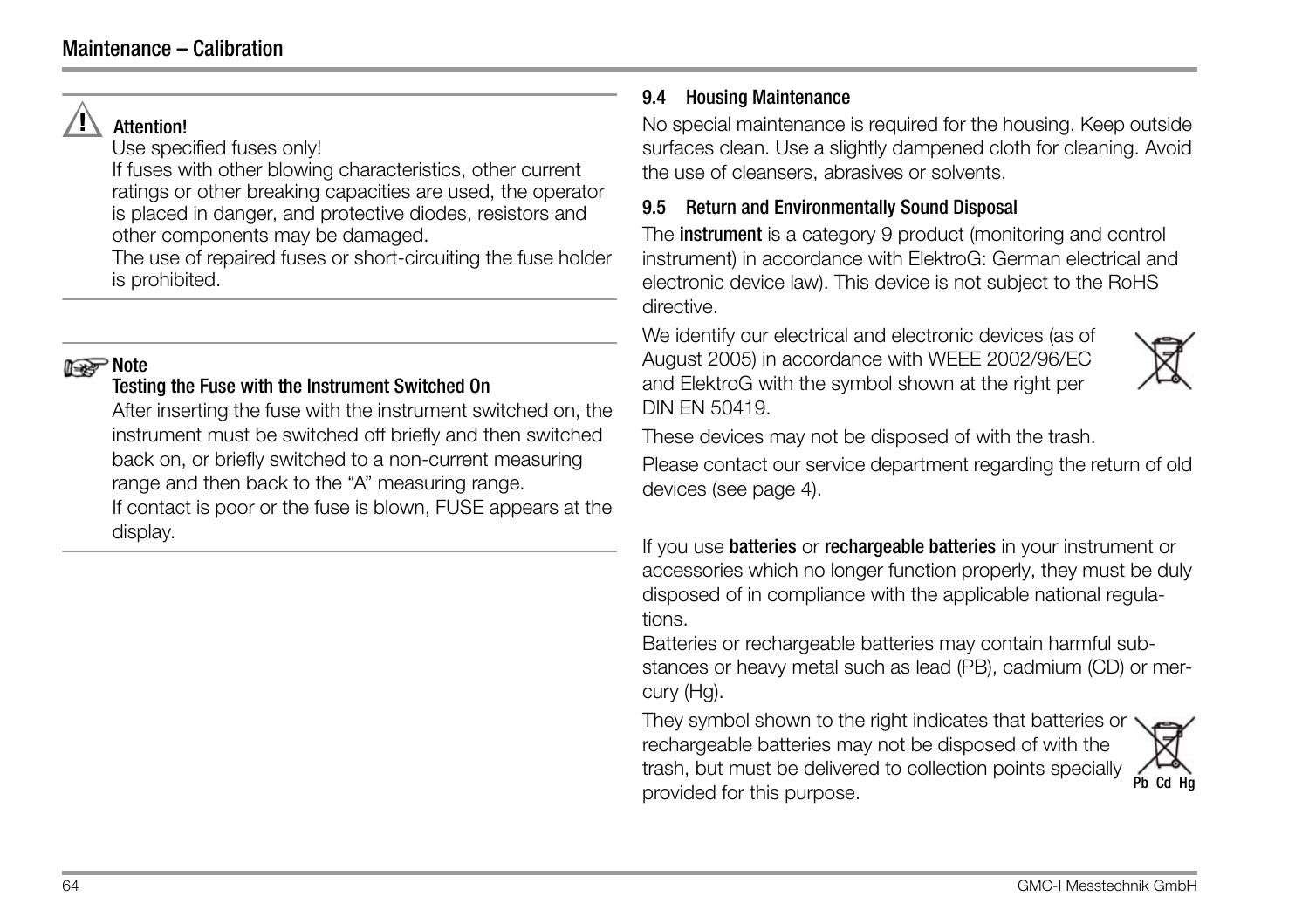# **!** Attention!

Use specified fuses only!

If fuses with other blowing characteristics, other current ratings or other breaking capacities are used, the operator is placed in danger, and protective diodes, resistors and other components may be damaged.

The use of repaired fuses or short-circuiting the fuse holder is prohibited.

# **Note** Note

# Testing the Fuse with the Instrument Switched On

After inserting the fuse with the instrument switched on, the instrument must be switched off briefly and then switched back on, or briefly switched to a non-current measuring range and then back to the "A" measuring range. If contact is poor or the fuse is blown, FUSE appears at the display.

#### <span id="page-63-3"></span><span id="page-63-0"></span>9.4 Housing Maintenance

No special maintenance is required for the housing. Keep outside surfaces clean. Use a slightly dampened cloth for cleaning. Avoid the use of cleansers, abrasives or solvents.

# <span id="page-63-2"></span><span id="page-63-1"></span>9.5 Return and Environmentally Sound Disposal

The instrument is a category 9 product (monitoring and control instrument) in accordance with ElektroG: German electrical and electronic device law). This device is not subject to the RoHS directive.

We identify our electrical and electronic devices (as of August 2005) in accordance with WEEE 2002/96/EC and ElektroG with the symbol shown at the right per DIN EN 50419.

![](_page_63_Picture_13.jpeg)

These devices may not be disposed of with the trash.

Please contact our service department regarding the return of old devices (see [page 4](#page-3-0)).

If you use **batteries** or **rechargeable batteries** in your instrument or accessories which no longer function properly, they must be duly disposed of in compliance with the applicable national regulations.

Batteries or rechargeable batteries may contain harmful substances or heavy metal such as lead (PB), cadmium (CD) or mercury (Hg).

They symbol shown to the right indicates that batteries or rechargeable batteries may not be disposed of with the trash, but must be delivered to collection points specially provided for this purpose.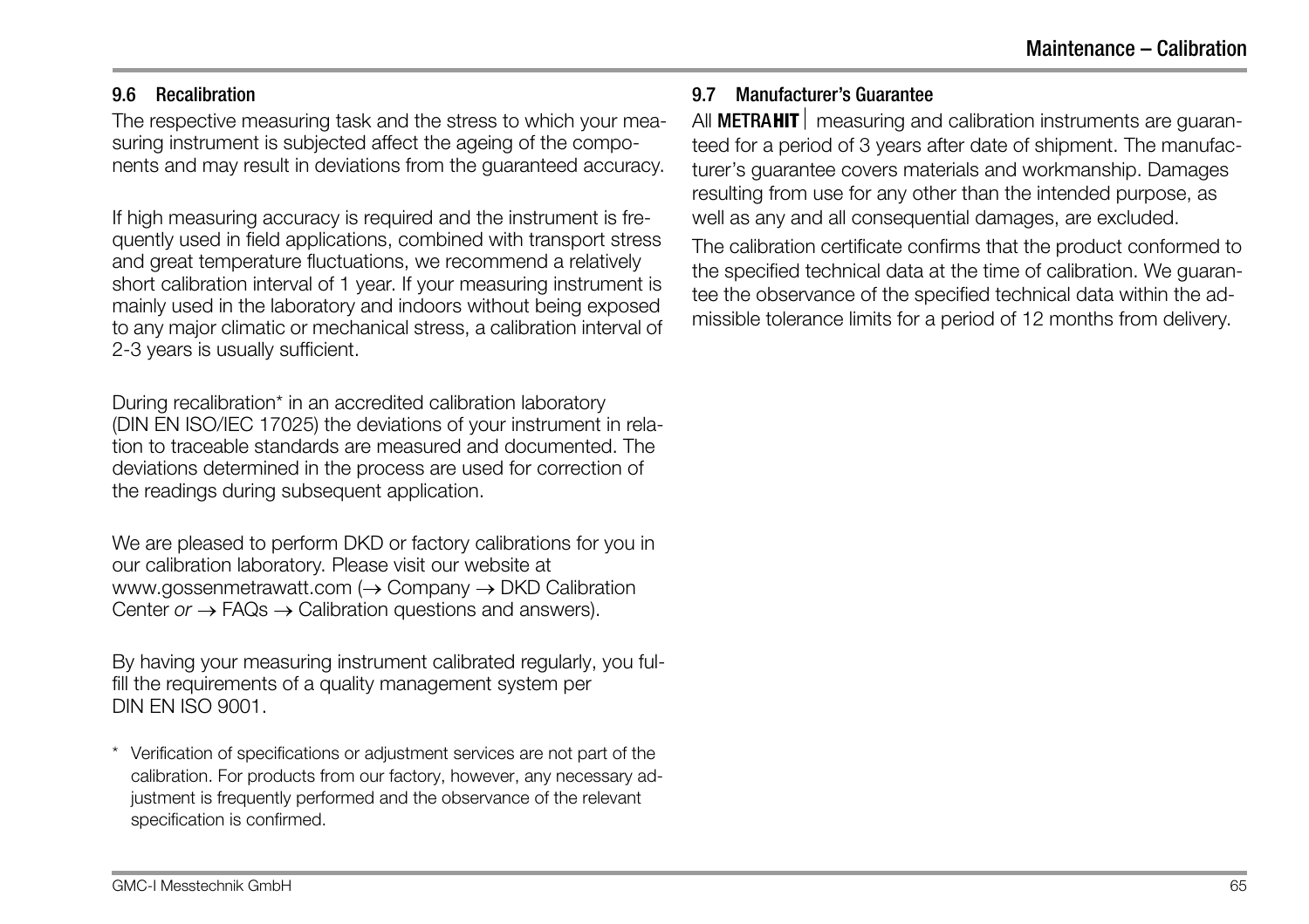#### <span id="page-64-2"></span><span id="page-64-0"></span>9.6 Recalibration

The respective measuring task and the stress to which your measuring instrument is subjected affect the ageing of the components and may result in deviations from the guaranteed accuracy.

If high measuring accuracy is required and the instrument is frequently used in field applications, combined with transport stress and great temperature fluctuations, we recommend a relatively short calibration interval of 1 year. If your measuring instrument is mainly used in the laboratory and indoors without being exposed to any major climatic or mechanical stress, a calibration interval of 2-3 years is usually sufficient.

During recalibration\* in an accredited calibration laboratory (DIN EN ISO/IEC 17025) the deviations of your instrument in relation to traceable standards are measured and documented. The deviations determined in the process are used for correction of the readings during subsequent application.

We are pleased to perform DKD or factory calibrations for you in our calibration laboratory. Please visit our website at www.gossenmetrawatt.com  $(\rightarrow$  Company  $\rightarrow$  DKD Calibration Center or  $\rightarrow$  FAQs  $\rightarrow$  Calibration questions and answers).

By having your measuring instrument calibrated regularly, you fulfill the requirements of a quality management system per DIN EN ISO 9001.

Verification of specifications or adjustment services are not part of the calibration. For products from our factory, however, any necessary adjustment is frequently performed and the observance of the relevant specification is confirmed.

# <span id="page-64-3"></span><span id="page-64-1"></span>9.7 Manufacturer's Guarantee

All **METRAHIT** measuring and calibration instruments are guaranteed for a period of 3 years after date of shipment. The manufacturer's guarantee covers materials and workmanship. Damages resulting from use for any other than the intended purpose, as well as any and all consequential damages, are excluded.

The calibration certificate confirms that the product conformed to the specified technical data at the time of calibration. We guarantee the observance of the specified technical data within the admissible tolerance limits for a period of 12 months from delivery.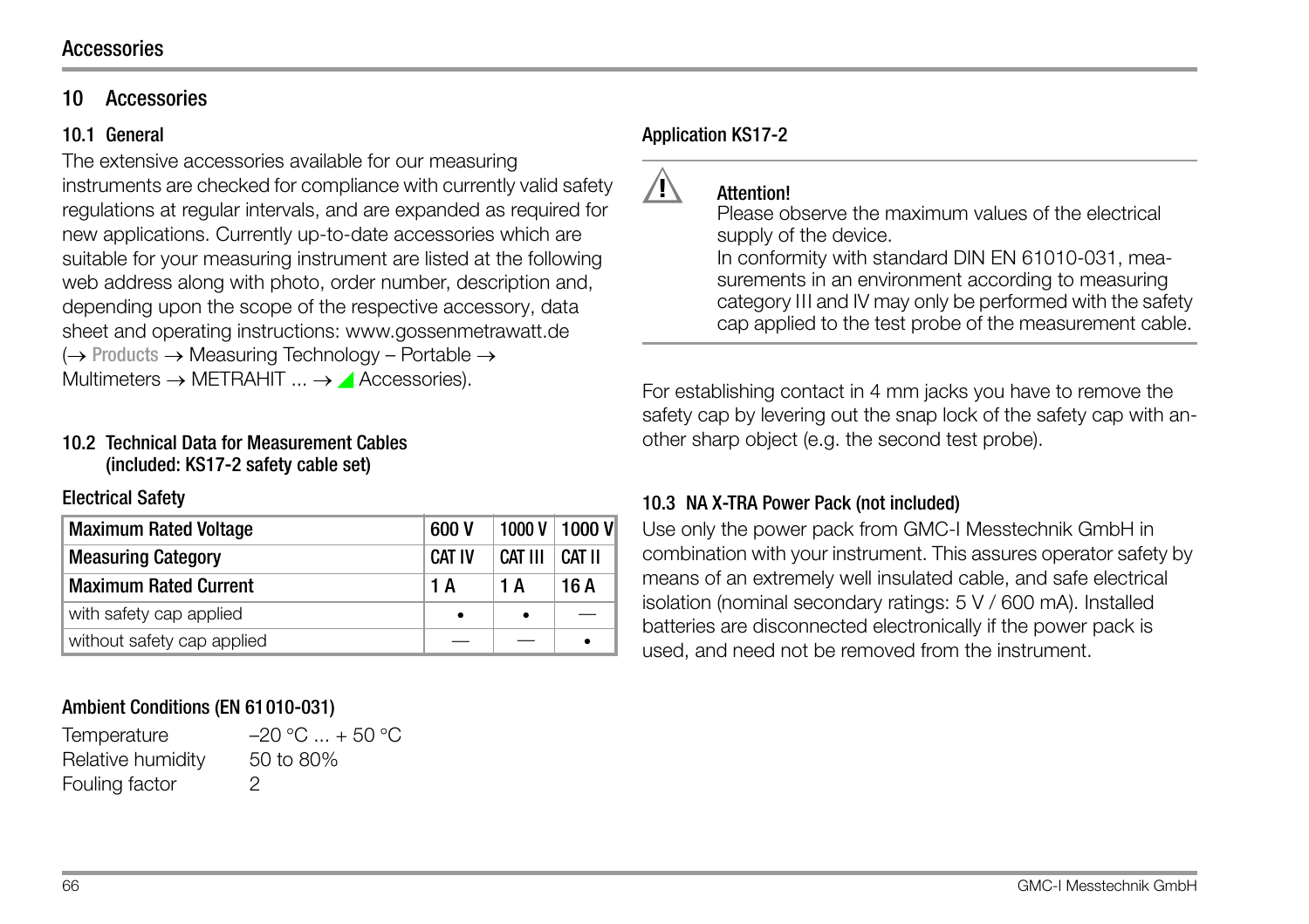#### Accessories

#### <span id="page-65-1"></span><span id="page-65-0"></span>10 Accessories

#### <span id="page-65-2"></span>10.1 General

The extensive accessories available for our measuring instruments are checked for compliance with currently valid safety regulations at regular intervals, and are expanded as required for new applications. Currently up-to-date accessories which are suitable for your measuring instrument are listed at the following web address along with photo, order number, description and, depending upon the scope of the respective accessory, data sheet and operating instructions: www.gossenmetrawatt.de  $\rightarrow$  Products  $\rightarrow$  Measuring Technology – Portable  $\rightarrow$ Multimeters  $\rightarrow$  METRAHIT  $\ldots \rightarrow$  Accessories).

#### <span id="page-65-7"></span><span id="page-65-5"></span><span id="page-65-3"></span>10.2 Technical Data for Measurement Cables (included: KS17-2 safety cable set)

#### Electrical Safety

| <b>Maximum Rated Voltage</b> | 600 V         | 1000V   | 1000 V |
|------------------------------|---------------|---------|--------|
| <b>Measuring Category</b>    | <b>CAT IV</b> | CAT III | CAT II |
| <b>Maximum Rated Current</b> | 1 A           | 1 A     | 16 A   |
| with safety cap applied      |               | ٠       |        |
| without safety cap applied   |               | --      |        |

#### Ambient Conditions (EN 61010-031)

| Temperature       | $-20 °C  + 50 °C$ |
|-------------------|-------------------|
| Relative humidity | 50 to 80%         |
| Fouling factor    | 2                 |

#### Application KS17-2

Please observe the maximum values of the electrical supply of the device.

In conformity with standard DIN EN 61010-031, measurements in an environment according to measuring category III and IV may only be performed with the safety cap applied to the test probe of the measurement cable.

For establishing contact in 4 mm jacks you have to remove the safety cap by levering out the snap lock of the safety cap with another sharp object (e.g. the second test probe).

#### <span id="page-65-8"></span><span id="page-65-6"></span><span id="page-65-4"></span>10.3 NA X-TRA Power Pack (not included)

Use only the power pack from GMC-I Messtechnik GmbH in combination with your instrument. This assures operator safety by means of an extremely well insulated cable, and safe electrical isolation (nominal secondary ratings: 5 V / 600 mA). Installed batteries are disconnected electronically if the power pack is used, and need not be removed from the instrument.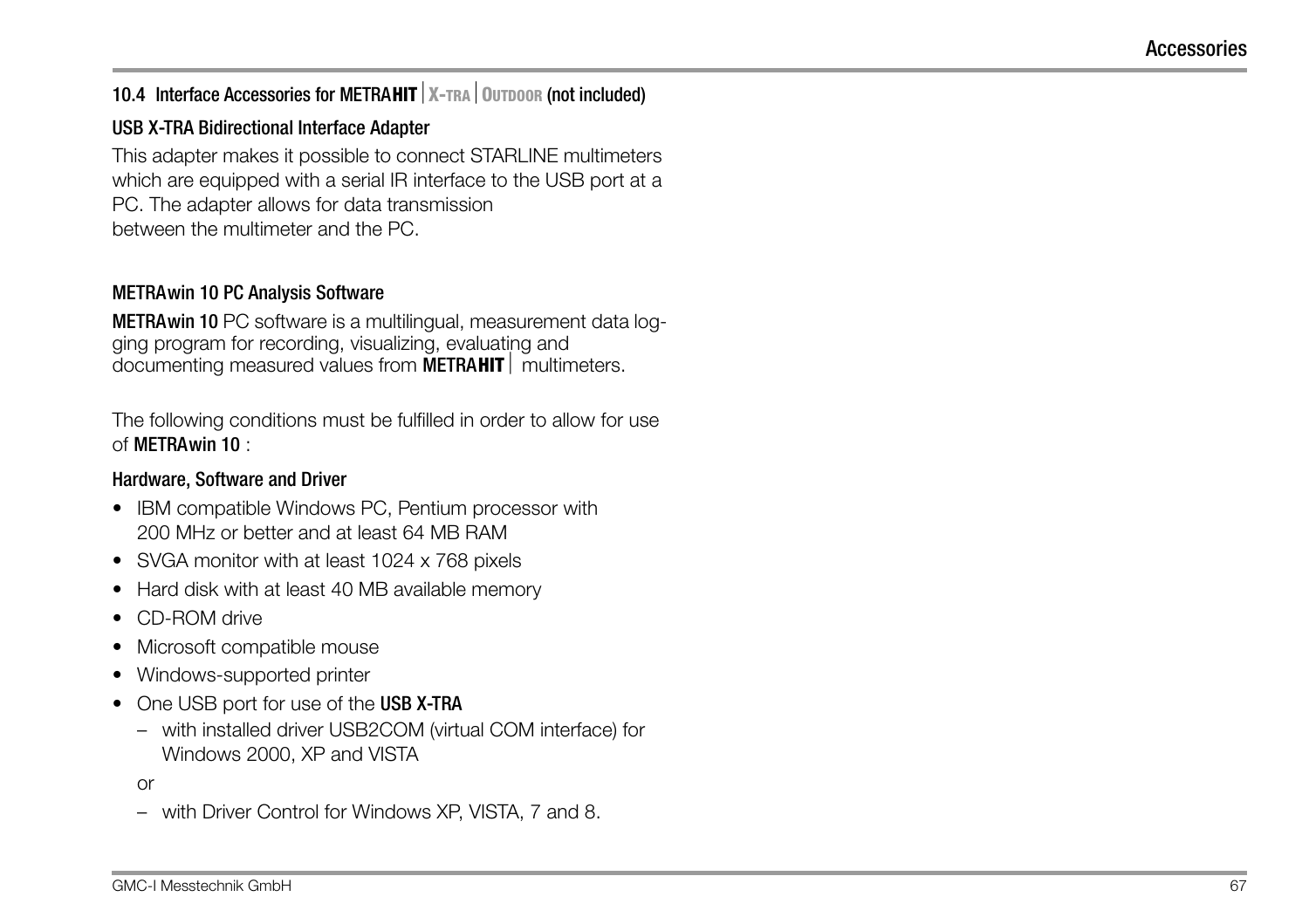# <span id="page-66-1"></span><span id="page-66-0"></span>10.4 Interface Accessories for METRAHIT | X-TRA | OUTDOOR (not included)

#### USB X-TRA Bidirectional Interface Adapter

This adapter makes it possible to connect STARLINE multimeters which are equipped with a serial IR interface to the USB port at a PC. The adapter allows for data transmission between the multimeter and the PC.

#### METRAwin 10 PC Analysis Software

METRAwin 10 PC software is a multilingual, measurement data logging program for recording, visualizing, evaluating and documenting measured values from **METRAHIT** multimeters.

The following conditions must be fulfilled in order to allow for use of METRAwin 10 :

#### Hardware, Software and Driver

- IBM compatible Windows PC, Pentium processor with 200 MHz or better and at least 64 MB RAM
- SVGA monitor with at least 1024 x 768 pixels
- Hard disk with at least 40 MB available memory
- CD-ROM drive
- Microsoft compatible mouse
- Windows-supported printer
- One USB port for use of the USB X-TRA
	- with installed driver USB2COM (virtual COM interface) for Windows 2000, XP and VISTA
	- or
	- with Driver Control for Windows XP, VISTA, 7 and 8.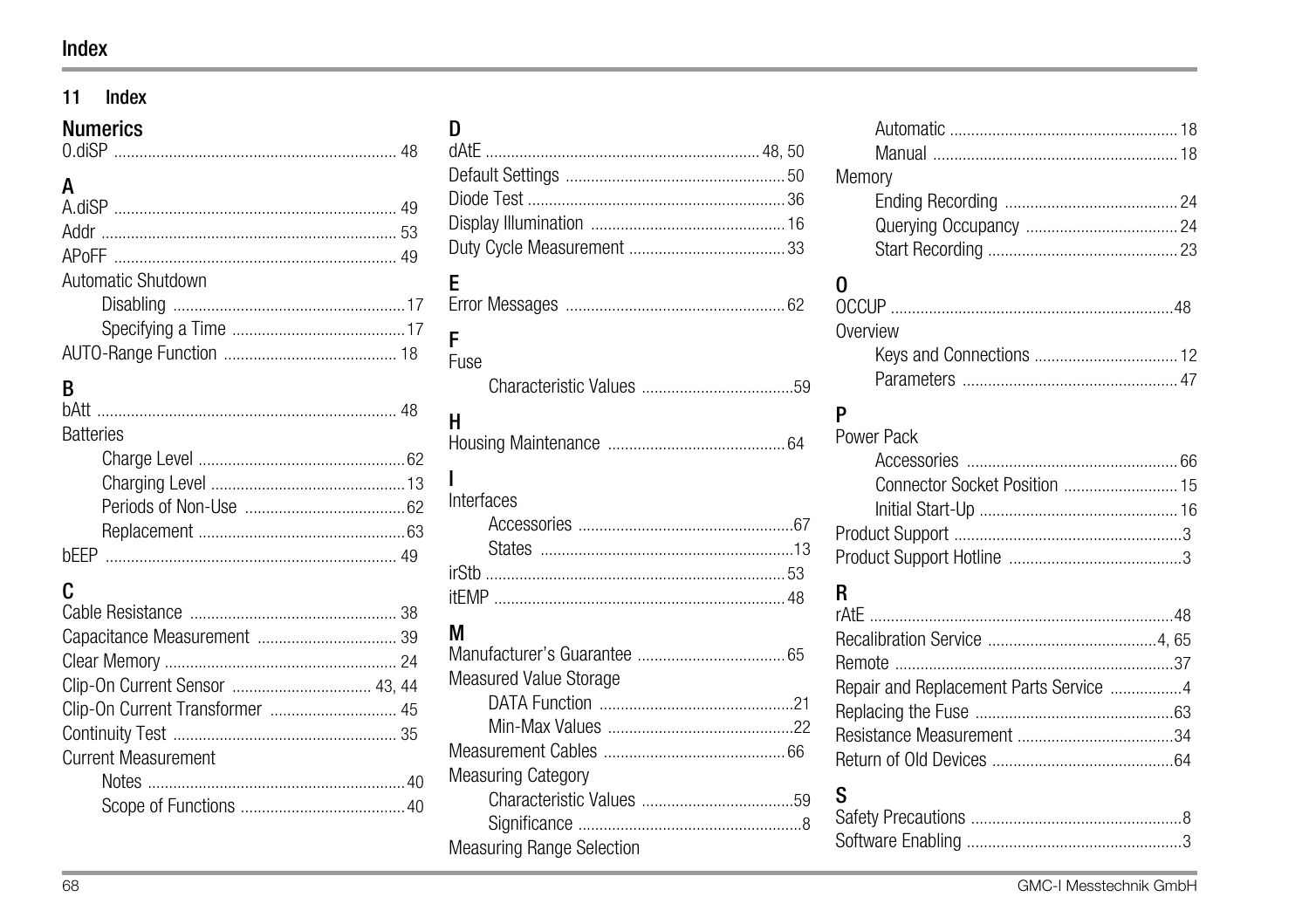# Index

# <span id="page-67-0"></span>11 Index

# **Numerics**

| ,,,,,,,,,,,,, |  |
|---------------|--|
| 0.diSP        |  |

| A                  |  |
|--------------------|--|
|                    |  |
| Automatic Shutdown |  |
|                    |  |
|                    |  |
|                    |  |

# $\overline{B}$

| <b>Batteries</b> |
|------------------|
|                  |
|                  |
|                  |
|                  |
|                  |

# $\mathbf c$

| <b>Current Measurement</b> |  |
|----------------------------|--|
|                            |  |
|                            |  |
|                            |  |

| n                           |
|-----------------------------|
|                             |
| F                           |
| F<br>Fuse                   |
|                             |
| н                           |
| ı<br>Interfaces             |
|                             |
| М<br>Measured Value Storage |
|                             |
|                             |
| <b>Measuring Category</b>   |
|                             |
|                             |
| Measuring Range Selection   |

| Memory                                 |  |
|----------------------------------------|--|
|                                        |  |
|                                        |  |
|                                        |  |
| D                                      |  |
|                                        |  |
| Overview                               |  |
|                                        |  |
|                                        |  |
|                                        |  |
| Power Pack                             |  |
|                                        |  |
| Connector Socket Position  15          |  |
|                                        |  |
|                                        |  |
|                                        |  |
| R                                      |  |
|                                        |  |
|                                        |  |
|                                        |  |
| Repair and Replacement Parts Service 4 |  |
|                                        |  |
|                                        |  |
|                                        |  |
| ς                                      |  |
|                                        |  |
|                                        |  |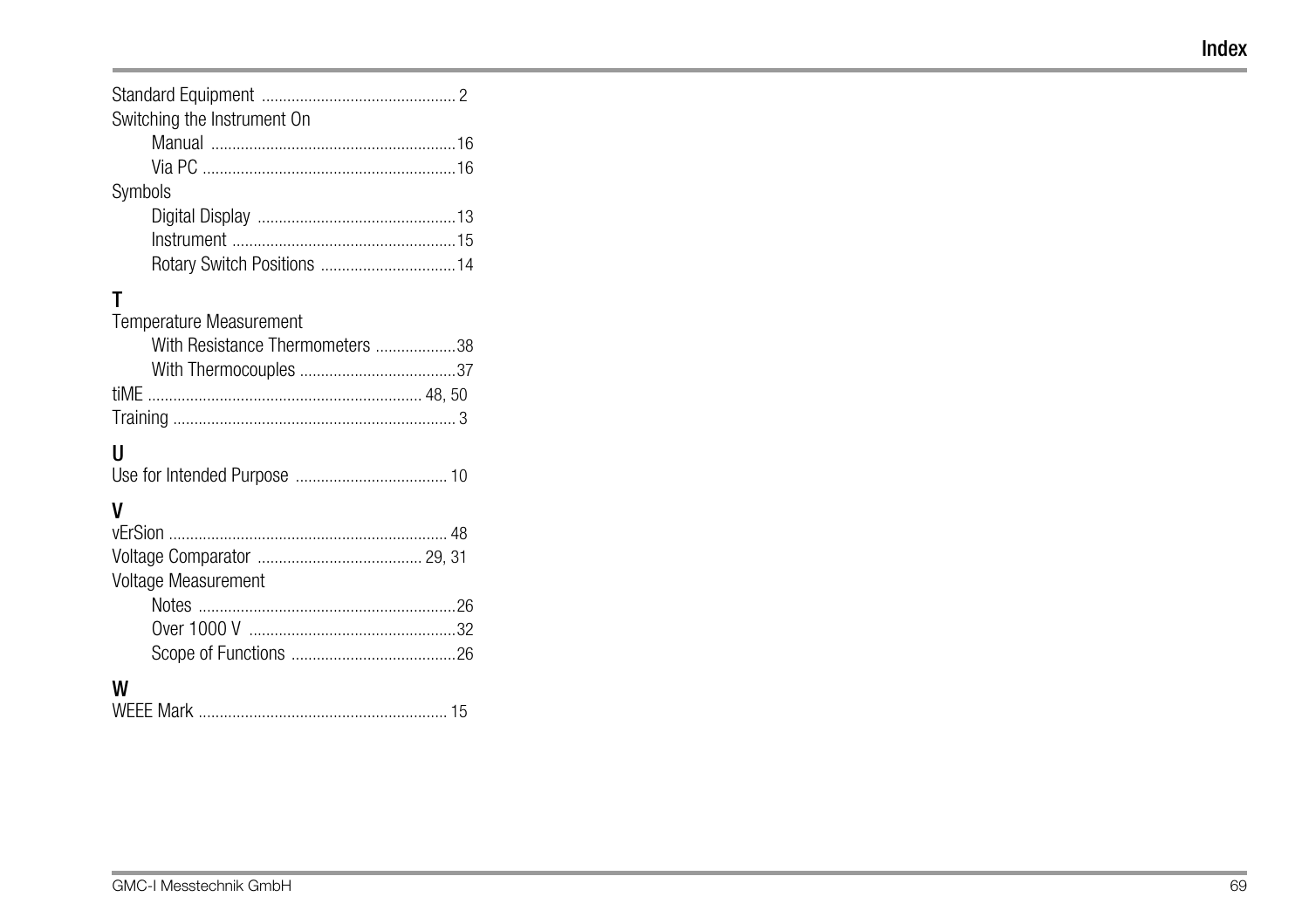| Switching the Instrument On |  |
|-----------------------------|--|
|                             |  |
|                             |  |
| Symbols                     |  |
|                             |  |
|                             |  |
|                             |  |

T<br>Temperature Measurement

| With Resistance Thermometers 38 |  |
|---------------------------------|--|
|                                 |  |
|                                 |  |
|                                 |  |

#### $\mathsf{U}$

|--|--|

# $\mathbf{V}$

| Voltage Measurement |  |
|---------------------|--|
|                     |  |
|                     |  |
|                     |  |

# W

|--|--|